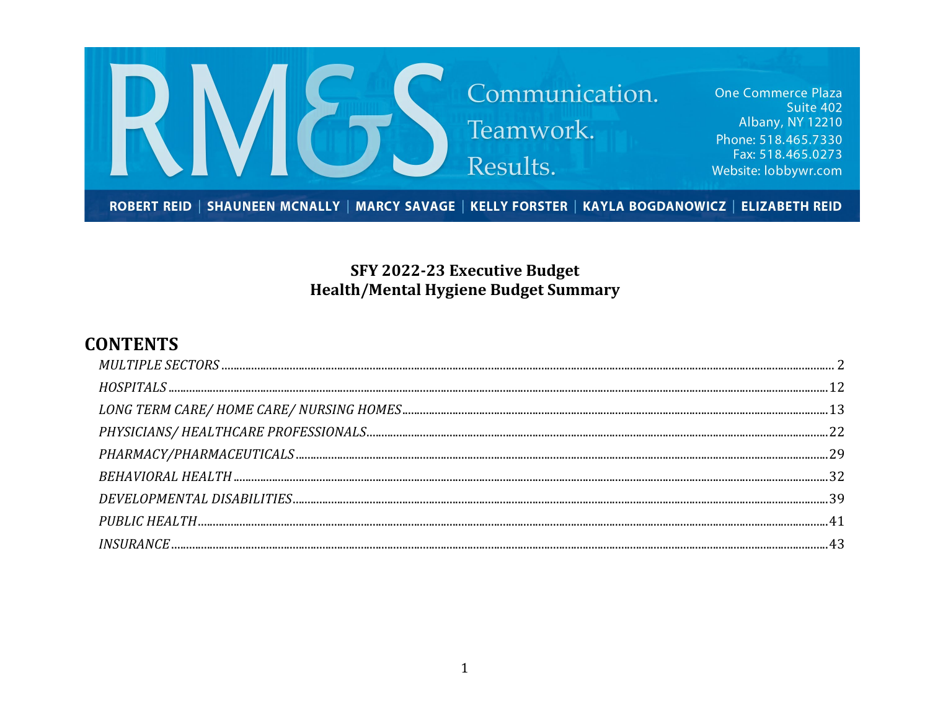

## SFY 2022-23 Executive Budget **Health/Mental Hygiene Budget Summary**

## **CONTENTS**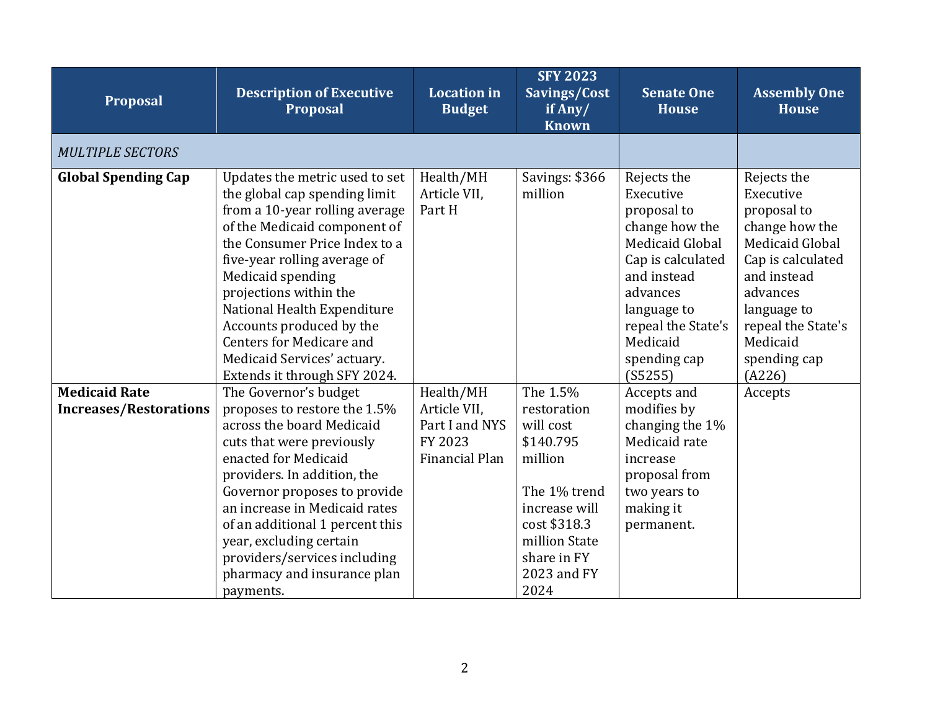<span id="page-1-0"></span>

| Proposal                                              | <b>Description of Executive</b><br><b>Proposal</b>                                                                                                                                                                                                                                                                                                                                                             | <b>Location</b> in<br><b>Budget</b>                                             | <b>SFY 2023</b><br>Savings/Cost<br>if Any/<br><b>Known</b>                                                                                                           | <b>Senate One</b><br><b>House</b>                                                                                                                                                                        | <b>Assembly One</b><br><b>House</b>                                                                                                                                                                     |
|-------------------------------------------------------|----------------------------------------------------------------------------------------------------------------------------------------------------------------------------------------------------------------------------------------------------------------------------------------------------------------------------------------------------------------------------------------------------------------|---------------------------------------------------------------------------------|----------------------------------------------------------------------------------------------------------------------------------------------------------------------|----------------------------------------------------------------------------------------------------------------------------------------------------------------------------------------------------------|---------------------------------------------------------------------------------------------------------------------------------------------------------------------------------------------------------|
| <b>MULTIPLE SECTORS</b>                               |                                                                                                                                                                                                                                                                                                                                                                                                                |                                                                                 |                                                                                                                                                                      |                                                                                                                                                                                                          |                                                                                                                                                                                                         |
| <b>Global Spending Cap</b>                            | Updates the metric used to set<br>the global cap spending limit<br>from a 10-year rolling average<br>of the Medicaid component of<br>the Consumer Price Index to a<br>five-year rolling average of<br>Medicaid spending<br>projections within the<br>National Health Expenditure<br>Accounts produced by the<br><b>Centers for Medicare and</b><br>Medicaid Services' actuary.<br>Extends it through SFY 2024. | Health/MH<br>Article VII,<br>Part H                                             | Savings: \$366<br>million                                                                                                                                            | Rejects the<br>Executive<br>proposal to<br>change how the<br>Medicaid Global<br>Cap is calculated<br>and instead<br>advances<br>language to<br>repeal the State's<br>Medicaid<br>spending cap<br>(S5255) | Rejects the<br>Executive<br>proposal to<br>change how the<br>Medicaid Global<br>Cap is calculated<br>and instead<br>advances<br>language to<br>repeal the State's<br>Medicaid<br>spending cap<br>(A226) |
| <b>Medicaid Rate</b><br><b>Increases/Restorations</b> | The Governor's budget<br>proposes to restore the 1.5%<br>across the board Medicaid<br>cuts that were previously<br>enacted for Medicaid<br>providers. In addition, the<br>Governor proposes to provide<br>an increase in Medicaid rates<br>of an additional 1 percent this<br>year, excluding certain<br>providers/services including<br>pharmacy and insurance plan<br>payments.                              | Health/MH<br>Article VII,<br>Part I and NYS<br>FY 2023<br><b>Financial Plan</b> | The 1.5%<br>restoration<br>will cost<br>\$140.795<br>million<br>The 1% trend<br>increase will<br>cost \$318.3<br>million State<br>share in FY<br>2023 and FY<br>2024 | Accepts and<br>modifies by<br>changing the 1%<br>Medicaid rate<br>increase<br>proposal from<br>two years to<br>making it<br>permanent.                                                                   | Accepts                                                                                                                                                                                                 |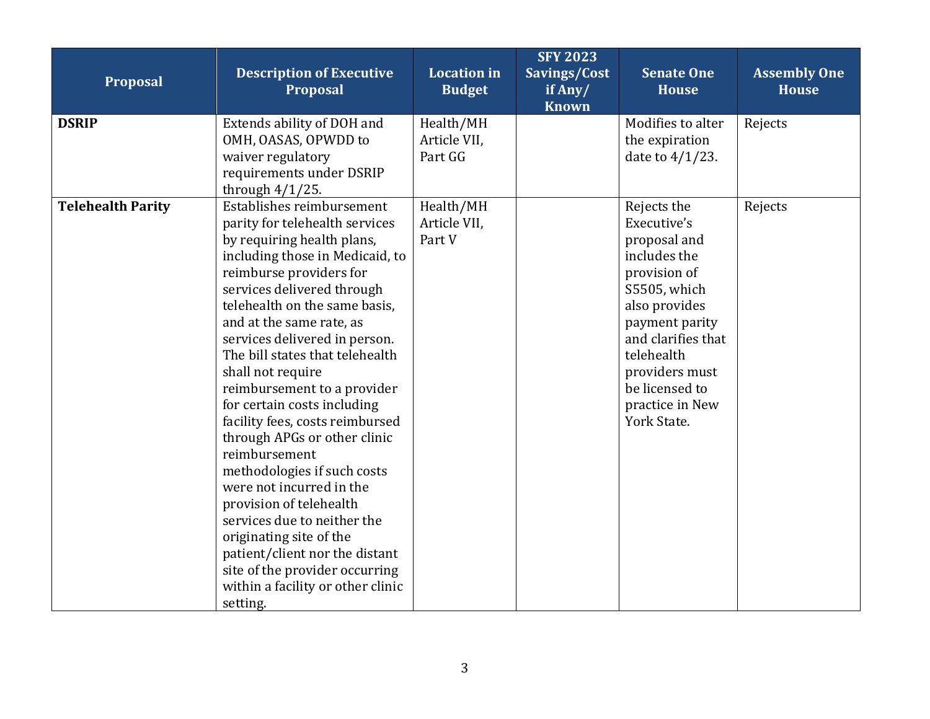| Proposal                 | <b>Description of Executive</b><br>Proposal                                                                                                                                                                                                                                                                                                                                                                                                                                                                                                                                                                                                                                                                                                                        | <b>Location</b> in<br><b>Budget</b>  | <b>SFY 2023</b><br>Savings/Cost<br>if Any/<br><b>Known</b> | <b>Senate One</b><br><b>House</b>                                                                                                                                                                                                       | <b>Assembly One</b><br><b>House</b> |
|--------------------------|--------------------------------------------------------------------------------------------------------------------------------------------------------------------------------------------------------------------------------------------------------------------------------------------------------------------------------------------------------------------------------------------------------------------------------------------------------------------------------------------------------------------------------------------------------------------------------------------------------------------------------------------------------------------------------------------------------------------------------------------------------------------|--------------------------------------|------------------------------------------------------------|-----------------------------------------------------------------------------------------------------------------------------------------------------------------------------------------------------------------------------------------|-------------------------------------|
| <b>DSRIP</b>             | Extends ability of DOH and<br>OMH, OASAS, OPWDD to<br>waiver regulatory<br>requirements under DSRIP<br>through $4/1/25$ .                                                                                                                                                                                                                                                                                                                                                                                                                                                                                                                                                                                                                                          | Health/MH<br>Article VII,<br>Part GG |                                                            | Modifies to alter<br>the expiration<br>date to $4/1/23$ .                                                                                                                                                                               | Rejects                             |
| <b>Telehealth Parity</b> | Establishes reimbursement<br>parity for telehealth services<br>by requiring health plans,<br>including those in Medicaid, to<br>reimburse providers for<br>services delivered through<br>telehealth on the same basis,<br>and at the same rate, as<br>services delivered in person.<br>The bill states that telehealth<br>shall not require<br>reimbursement to a provider<br>for certain costs including<br>facility fees, costs reimbursed<br>through APGs or other clinic<br>reimbursement<br>methodologies if such costs<br>were not incurred in the<br>provision of telehealth<br>services due to neither the<br>originating site of the<br>patient/client nor the distant<br>site of the provider occurring<br>within a facility or other clinic<br>setting. | Health/MH<br>Article VII,<br>Part V  |                                                            | Rejects the<br>Executive's<br>proposal and<br>includes the<br>provision of<br>S5505, which<br>also provides<br>payment parity<br>and clarifies that<br>telehealth<br>providers must<br>be licensed to<br>practice in New<br>York State. | Rejects                             |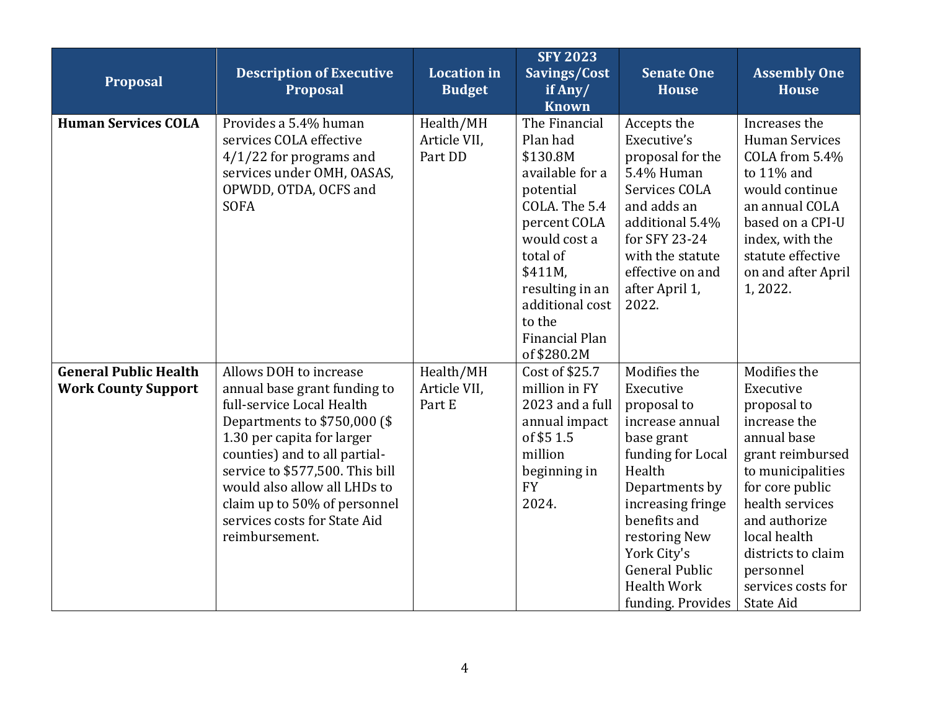| Proposal                                                   | <b>Description of Executive</b><br><b>Proposal</b>                                                                                                                                                                                                                                                                                      | <b>Location</b> in<br><b>Budget</b>  | <b>SFY 2023</b><br>Savings/Cost<br>if Any/<br><b>Known</b>                                                                                                                                                                     | <b>Senate One</b><br><b>House</b>                                                                                                                                                                                                                                   | <b>Assembly One</b><br><b>House</b>                                                                                                                                                                                                                           |
|------------------------------------------------------------|-----------------------------------------------------------------------------------------------------------------------------------------------------------------------------------------------------------------------------------------------------------------------------------------------------------------------------------------|--------------------------------------|--------------------------------------------------------------------------------------------------------------------------------------------------------------------------------------------------------------------------------|---------------------------------------------------------------------------------------------------------------------------------------------------------------------------------------------------------------------------------------------------------------------|---------------------------------------------------------------------------------------------------------------------------------------------------------------------------------------------------------------------------------------------------------------|
| <b>Human Services COLA</b>                                 | Provides a 5.4% human<br>services COLA effective<br>$4/1/22$ for programs and<br>services under OMH, OASAS,<br>OPWDD, OTDA, OCFS and<br><b>SOFA</b>                                                                                                                                                                                     | Health/MH<br>Article VII,<br>Part DD | The Financial<br>Plan had<br>\$130.8M<br>available for a<br>potential<br>COLA. The 5.4<br>percent COLA<br>would cost a<br>total of<br>\$411M,<br>resulting in an<br>additional cost<br>to the<br>Financial Plan<br>of \$280.2M | Accepts the<br>Executive's<br>proposal for the<br>5.4% Human<br>Services COLA<br>and adds an<br>additional 5.4%<br>for SFY 23-24<br>with the statute<br>effective on and<br>after April 1,<br>2022.                                                                 | Increases the<br><b>Human Services</b><br>COLA from 5.4%<br>to 11% and<br>would continue<br>an annual COLA<br>based on a CPI-U<br>index, with the<br>statute effective<br>on and after April<br>1,2022.                                                       |
| <b>General Public Health</b><br><b>Work County Support</b> | Allows DOH to increase<br>annual base grant funding to<br>full-service Local Health<br>Departments to \$750,000 (\$<br>1.30 per capita for larger<br>counties) and to all partial-<br>service to \$577,500. This bill<br>would also allow all LHDs to<br>claim up to 50% of personnel<br>services costs for State Aid<br>reimbursement. | Health/MH<br>Article VII,<br>Part E  | Cost of \$25.7<br>million in FY<br>2023 and a full<br>annual impact<br>of \$5 1.5<br>million<br>beginning in<br><b>FY</b><br>2024.                                                                                             | Modifies the<br>Executive<br>proposal to<br>increase annual<br>base grant<br>funding for Local<br>Health<br>Departments by<br>increasing fringe<br>benefits and<br>restoring New<br>York City's<br><b>General Public</b><br><b>Health Work</b><br>funding. Provides | Modifies the<br>Executive<br>proposal to<br>increase the<br>annual base<br>grant reimbursed<br>to municipalities<br>for core public<br>health services<br>and authorize<br>local health<br>districts to claim<br>personnel<br>services costs for<br>State Aid |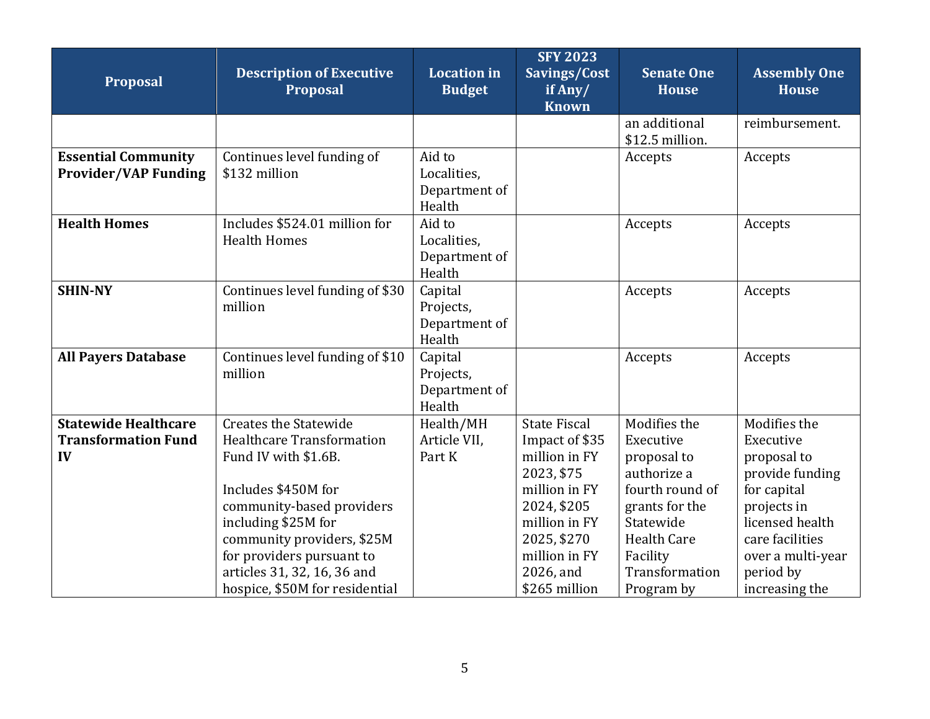| <b>Proposal</b>                                                 | <b>Description of Executive</b><br><b>Proposal</b>                                                                                                                                                                                                                                              | <b>Location</b> in<br><b>Budget</b>              | <b>SFY 2023</b><br>Savings/Cost<br>if Any/<br><b>Known</b>                                                                                                                          | Senate One<br><b>House</b>                                                                                                                                                  | <b>Assembly One</b><br><b>House</b>                                                                                                                                                 |
|-----------------------------------------------------------------|-------------------------------------------------------------------------------------------------------------------------------------------------------------------------------------------------------------------------------------------------------------------------------------------------|--------------------------------------------------|-------------------------------------------------------------------------------------------------------------------------------------------------------------------------------------|-----------------------------------------------------------------------------------------------------------------------------------------------------------------------------|-------------------------------------------------------------------------------------------------------------------------------------------------------------------------------------|
|                                                                 |                                                                                                                                                                                                                                                                                                 |                                                  |                                                                                                                                                                                     | an additional<br>\$12.5 million.                                                                                                                                            | reimbursement.                                                                                                                                                                      |
| <b>Essential Community</b><br><b>Provider/VAP Funding</b>       | Continues level funding of<br>\$132 million                                                                                                                                                                                                                                                     | Aid to<br>Localities,<br>Department of<br>Health |                                                                                                                                                                                     | Accepts                                                                                                                                                                     | Accepts                                                                                                                                                                             |
| <b>Health Homes</b>                                             | Includes \$524.01 million for<br><b>Health Homes</b>                                                                                                                                                                                                                                            | Aid to<br>Localities,<br>Department of<br>Health |                                                                                                                                                                                     | Accepts                                                                                                                                                                     | Accepts                                                                                                                                                                             |
| <b>SHIN-NY</b>                                                  | Continues level funding of \$30<br>million                                                                                                                                                                                                                                                      | Capital<br>Projects,<br>Department of<br>Health  |                                                                                                                                                                                     | Accepts                                                                                                                                                                     | Accepts                                                                                                                                                                             |
| <b>All Payers Database</b>                                      | Continues level funding of \$10<br>million                                                                                                                                                                                                                                                      | Capital<br>Projects,<br>Department of<br>Health  |                                                                                                                                                                                     | Accepts                                                                                                                                                                     | Accepts                                                                                                                                                                             |
| <b>Statewide Healthcare</b><br><b>Transformation Fund</b><br>IV | <b>Creates the Statewide</b><br><b>Healthcare Transformation</b><br>Fund IV with \$1.6B.<br>Includes \$450M for<br>community-based providers<br>including \$25M for<br>community providers, \$25M<br>for providers pursuant to<br>articles 31, 32, 16, 36 and<br>hospice, \$50M for residential | Health/MH<br>Article VII.<br>Part K              | <b>State Fiscal</b><br>Impact of \$35<br>million in FY<br>2023, \$75<br>million in FY<br>2024, \$205<br>million in FY<br>2025, \$270<br>million in FY<br>2026, and<br>\$265 million | Modifies the<br>Executive<br>proposal to<br>authorize a<br>fourth round of<br>grants for the<br>Statewide<br><b>Health Care</b><br>Facility<br>Transformation<br>Program by | Modifies the<br>Executive<br>proposal to<br>provide funding<br>for capital<br>projects in<br>licensed health<br>care facilities<br>over a multi-year<br>period by<br>increasing the |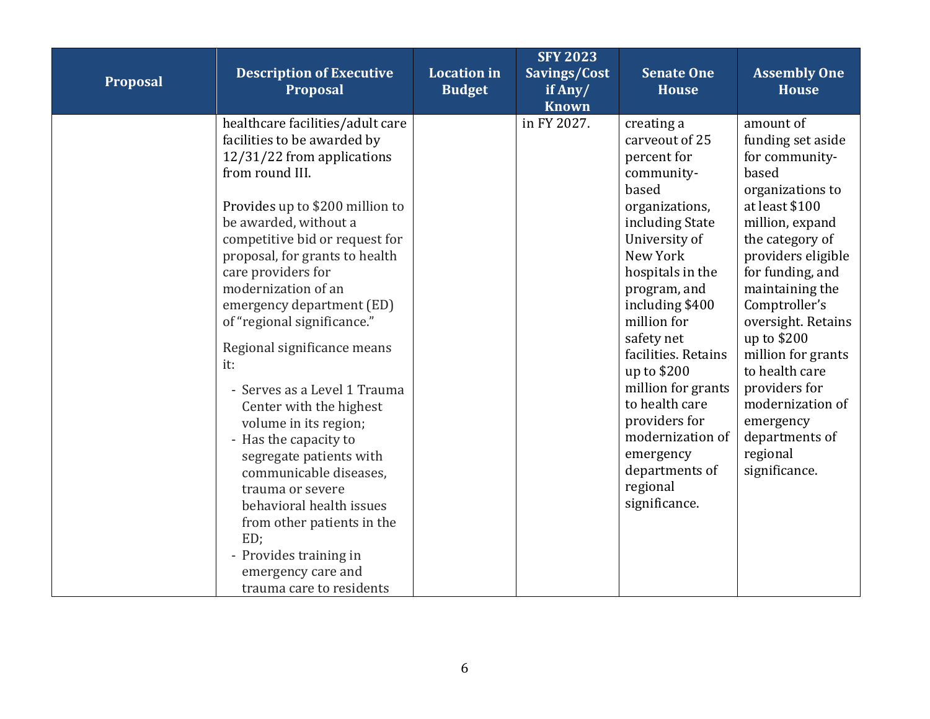| Proposal | <b>Description of Executive</b><br>Proposal                                                                                                                                                                                                                                                                                                                                                                                                                                                                                                                                                                                                                                                                                        | <b>Location in</b><br><b>Budget</b> | <b>SFY 2023</b><br>Savings/Cost<br>if Any/<br><b>Known</b> | <b>Senate One</b><br><b>House</b>                                                                                                                                                                                                                                                                                                                                                                       | <b>Assembly One</b><br><b>House</b>                                                                                                                                                                                                                                                                                                                                                               |
|----------|------------------------------------------------------------------------------------------------------------------------------------------------------------------------------------------------------------------------------------------------------------------------------------------------------------------------------------------------------------------------------------------------------------------------------------------------------------------------------------------------------------------------------------------------------------------------------------------------------------------------------------------------------------------------------------------------------------------------------------|-------------------------------------|------------------------------------------------------------|---------------------------------------------------------------------------------------------------------------------------------------------------------------------------------------------------------------------------------------------------------------------------------------------------------------------------------------------------------------------------------------------------------|---------------------------------------------------------------------------------------------------------------------------------------------------------------------------------------------------------------------------------------------------------------------------------------------------------------------------------------------------------------------------------------------------|
|          | healthcare facilities/adult care<br>facilities to be awarded by<br>12/31/22 from applications<br>from round III.<br>Provides up to \$200 million to<br>be awarded, without a<br>competitive bid or request for<br>proposal, for grants to health<br>care providers for<br>modernization of an<br>emergency department (ED)<br>of "regional significance."<br>Regional significance means<br>it:<br>- Serves as a Level 1 Trauma<br>Center with the highest<br>volume in its region;<br>- Has the capacity to<br>segregate patients with<br>communicable diseases,<br>trauma or severe<br>behavioral health issues<br>from other patients in the<br>ED;<br>- Provides training in<br>emergency care and<br>trauma care to residents |                                     | in FY 2027.                                                | creating a<br>carveout of 25<br>percent for<br>community-<br>based<br>organizations,<br>including State<br>University of<br>New York<br>hospitals in the<br>program, and<br>including \$400<br>million for<br>safety net<br>facilities. Retains<br>up to \$200<br>million for grants<br>to health care<br>providers for<br>modernization of<br>emergency<br>departments of<br>regional<br>significance. | amount of<br>funding set aside<br>for community-<br>based<br>organizations to<br>at least \$100<br>million, expand<br>the category of<br>providers eligible<br>for funding, and<br>maintaining the<br>Comptroller's<br>oversight. Retains<br>up to \$200<br>million for grants<br>to health care<br>providers for<br>modernization of<br>emergency<br>departments of<br>regional<br>significance. |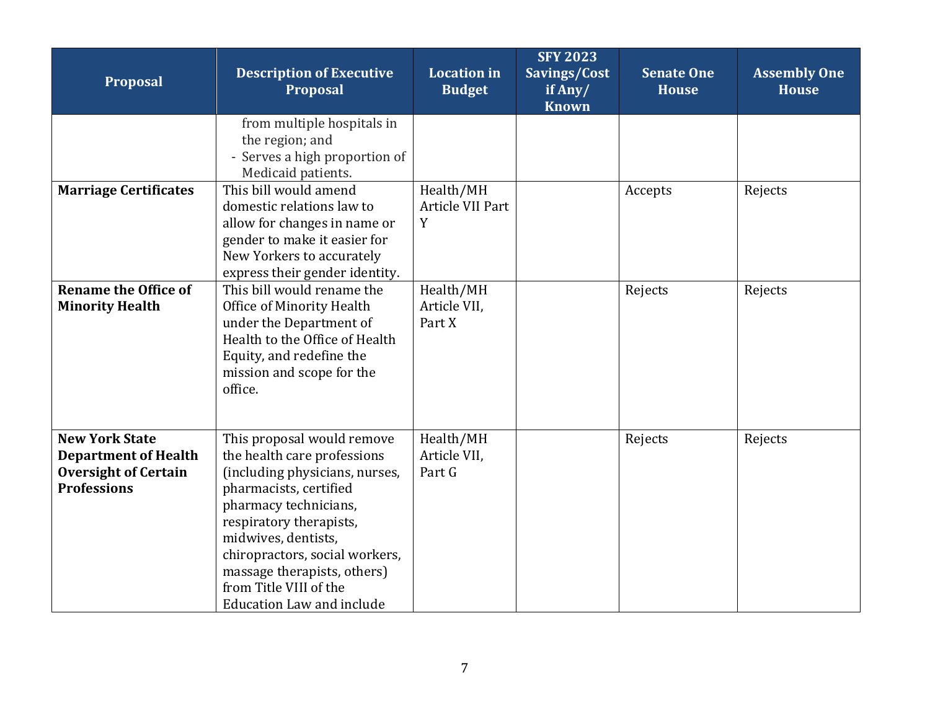| Proposal                                                                                                  | <b>Description of Executive</b><br><b>Proposal</b>                                                                                                                                                                                                                                                                       | <b>Location</b> in<br><b>Budget</b> | <b>SFY 2023</b><br>Savings/Cost<br>if Any/<br><b>Known</b> | <b>Senate One</b><br><b>House</b> | <b>Assembly One</b><br><b>House</b> |
|-----------------------------------------------------------------------------------------------------------|--------------------------------------------------------------------------------------------------------------------------------------------------------------------------------------------------------------------------------------------------------------------------------------------------------------------------|-------------------------------------|------------------------------------------------------------|-----------------------------------|-------------------------------------|
|                                                                                                           | from multiple hospitals in<br>the region; and<br>- Serves a high proportion of<br>Medicaid patients.                                                                                                                                                                                                                     |                                     |                                                            |                                   |                                     |
| <b>Marriage Certificates</b>                                                                              | This bill would amend<br>domestic relations law to<br>allow for changes in name or<br>gender to make it easier for<br>New Yorkers to accurately<br>express their gender identity.                                                                                                                                        | Health/MH<br>Article VII Part<br>Y  |                                                            | Accepts                           | Rejects                             |
| <b>Rename the Office of</b><br><b>Minority Health</b>                                                     | This bill would rename the<br>Office of Minority Health<br>under the Department of<br>Health to the Office of Health<br>Equity, and redefine the<br>mission and scope for the<br>office.                                                                                                                                 | Health/MH<br>Article VII,<br>Part X |                                                            | Rejects                           | Rejects                             |
| <b>New York State</b><br><b>Department of Health</b><br><b>Oversight of Certain</b><br><b>Professions</b> | This proposal would remove<br>the health care professions<br>(including physicians, nurses,<br>pharmacists, certified<br>pharmacy technicians,<br>respiratory therapists,<br>midwives, dentists,<br>chiropractors, social workers,<br>massage therapists, others)<br>from Title VIII of the<br>Education Law and include | Health/MH<br>Article VII,<br>Part G |                                                            | Rejects                           | Rejects                             |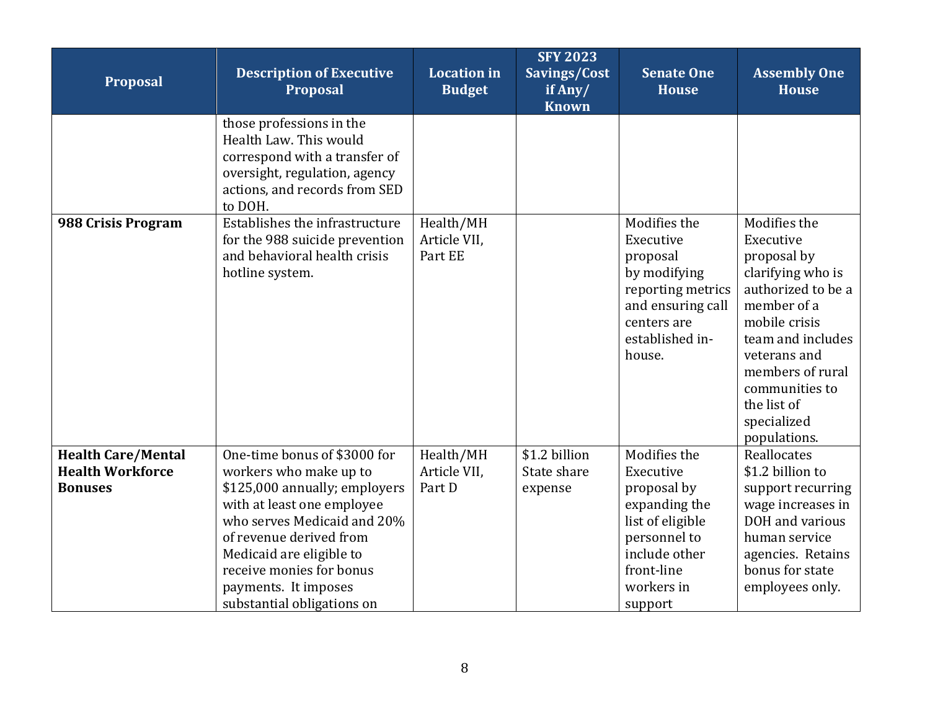| Proposal                                                               | <b>Description of Executive</b><br>Proposal                                                                                                                                                                                                                                                   | <b>Location in</b><br><b>Budget</b>  | <b>SFY 2023</b><br>Savings/Cost<br>if Any/<br><b>Known</b> | <b>Senate One</b><br><b>House</b>                                                                                                                     | <b>Assembly One</b><br><b>House</b>                                                                                                                                                                                                          |
|------------------------------------------------------------------------|-----------------------------------------------------------------------------------------------------------------------------------------------------------------------------------------------------------------------------------------------------------------------------------------------|--------------------------------------|------------------------------------------------------------|-------------------------------------------------------------------------------------------------------------------------------------------------------|----------------------------------------------------------------------------------------------------------------------------------------------------------------------------------------------------------------------------------------------|
|                                                                        | those professions in the<br>Health Law. This would<br>correspond with a transfer of<br>oversight, regulation, agency<br>actions, and records from SED<br>to DOH.                                                                                                                              |                                      |                                                            |                                                                                                                                                       |                                                                                                                                                                                                                                              |
| 988 Crisis Program                                                     | Establishes the infrastructure<br>for the 988 suicide prevention<br>and behavioral health crisis<br>hotline system.                                                                                                                                                                           | Health/MH<br>Article VII,<br>Part EE |                                                            | Modifies the<br>Executive<br>proposal<br>by modifying<br>reporting metrics<br>and ensuring call<br>centers are<br>established in-<br>house.           | Modifies the<br>Executive<br>proposal by<br>clarifying who is<br>authorized to be a<br>member of a<br>mobile crisis<br>team and includes<br>veterans and<br>members of rural<br>communities to<br>the list of<br>specialized<br>populations. |
| <b>Health Care/Mental</b><br><b>Health Workforce</b><br><b>Bonuses</b> | One-time bonus of \$3000 for<br>workers who make up to<br>\$125,000 annually; employers<br>with at least one employee<br>who serves Medicaid and 20%<br>of revenue derived from<br>Medicaid are eligible to<br>receive monies for bonus<br>payments. It imposes<br>substantial obligations on | Health/MH<br>Article VII,<br>Part D  | \$1.2 billion<br>State share<br>expense                    | Modifies the<br>Executive<br>proposal by<br>expanding the<br>list of eligible<br>personnel to<br>include other<br>front-line<br>workers in<br>support | Reallocates<br>\$1.2 billion to<br>support recurring<br>wage increases in<br>DOH and various<br>human service<br>agencies. Retains<br>bonus for state<br>employees only.                                                                     |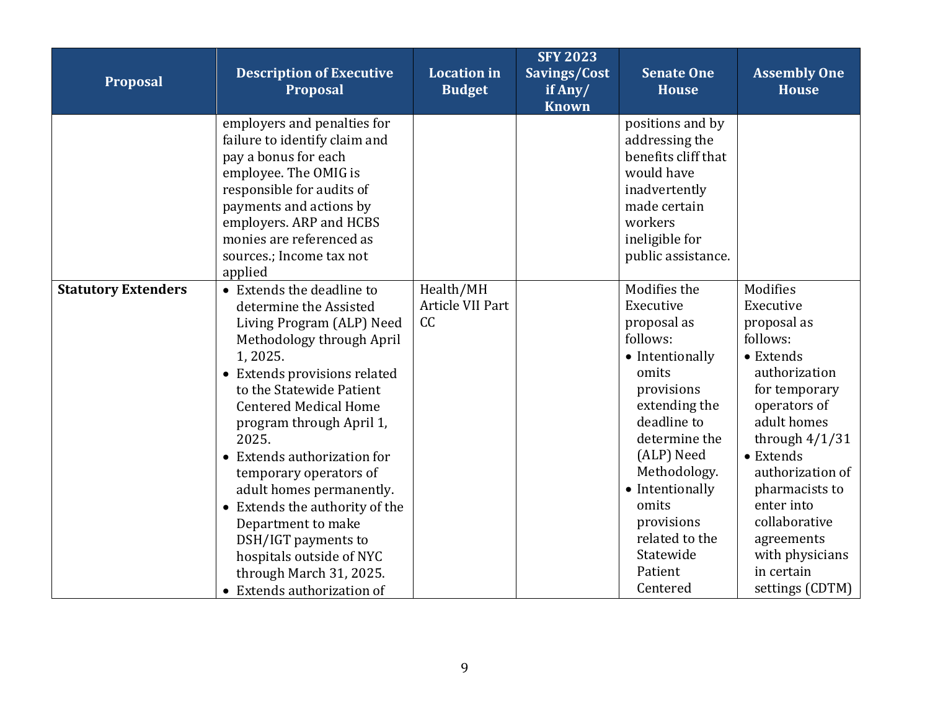| Proposal                   | <b>Description of Executive</b><br><b>Proposal</b>                                                                                                                                                                                                                                                                                                                                                                                                                                                                 | <b>Location</b> in<br><b>Budget</b> | <b>SFY 2023</b><br>Savings/Cost<br>if Any/<br><b>Known</b> | <b>Senate One</b><br><b>House</b>                                                                                                                                                                                                                                             | <b>Assembly One</b><br><b>House</b>                                                                                                                                                                                                                                                                    |
|----------------------------|--------------------------------------------------------------------------------------------------------------------------------------------------------------------------------------------------------------------------------------------------------------------------------------------------------------------------------------------------------------------------------------------------------------------------------------------------------------------------------------------------------------------|-------------------------------------|------------------------------------------------------------|-------------------------------------------------------------------------------------------------------------------------------------------------------------------------------------------------------------------------------------------------------------------------------|--------------------------------------------------------------------------------------------------------------------------------------------------------------------------------------------------------------------------------------------------------------------------------------------------------|
|                            | employers and penalties for<br>failure to identify claim and<br>pay a bonus for each<br>employee. The OMIG is<br>responsible for audits of<br>payments and actions by<br>employers. ARP and HCBS<br>monies are referenced as<br>sources.; Income tax not<br>applied                                                                                                                                                                                                                                                |                                     |                                                            | positions and by<br>addressing the<br>benefits cliff that<br>would have<br>inadvertently<br>made certain<br>workers<br>ineligible for<br>public assistance.                                                                                                                   |                                                                                                                                                                                                                                                                                                        |
| <b>Statutory Extenders</b> | • Extends the deadline to<br>determine the Assisted<br>Living Program (ALP) Need<br>Methodology through April<br>1,2025.<br>• Extends provisions related<br>to the Statewide Patient<br><b>Centered Medical Home</b><br>program through April 1,<br>2025.<br>• Extends authorization for<br>temporary operators of<br>adult homes permanently.<br>• Extends the authority of the<br>Department to make<br>DSH/IGT payments to<br>hospitals outside of NYC<br>through March 31, 2025.<br>• Extends authorization of | Health/MH<br>Article VII Part<br>CC |                                                            | Modifies the<br>Executive<br>proposal as<br>follows:<br>• Intentionally<br>omits<br>provisions<br>extending the<br>deadline to<br>determine the<br>(ALP) Need<br>Methodology.<br>• Intentionally<br>omits<br>provisions<br>related to the<br>Statewide<br>Patient<br>Centered | Modifies<br>Executive<br>proposal as<br>follows:<br>• Extends<br>authorization<br>for temporary<br>operators of<br>adult homes<br>through $4/1/31$<br>• Extends<br>authorization of<br>pharmacists to<br>enter into<br>collaborative<br>agreements<br>with physicians<br>in certain<br>settings (CDTM) |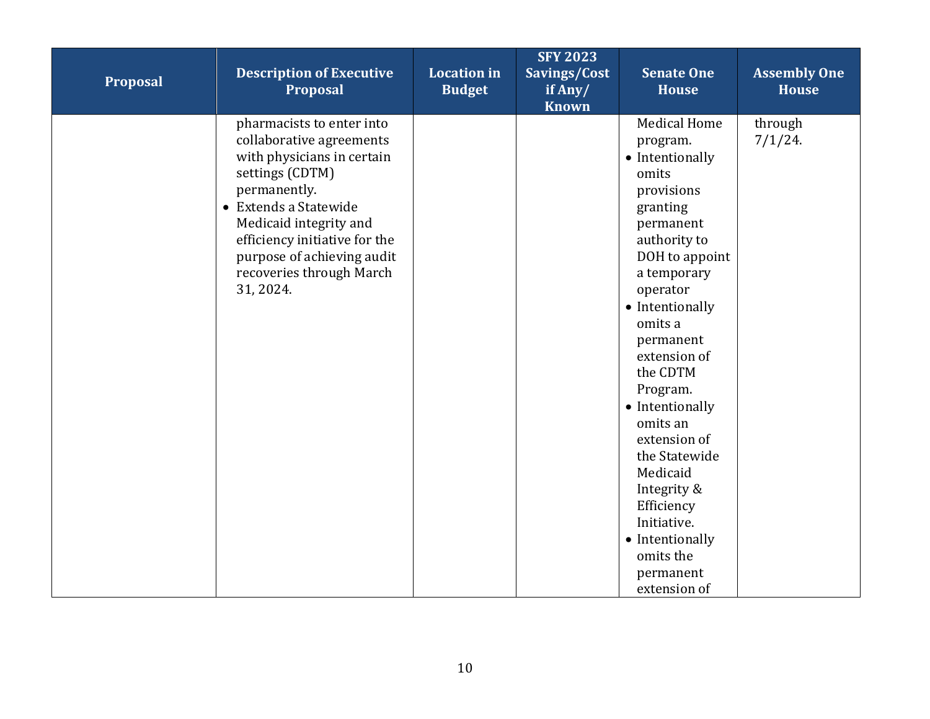| Proposal | <b>Description of Executive</b><br>Proposal                                                                                                                                                                                                                                       | <b>Location</b> in<br><b>Budget</b> | <b>SFY 2023</b><br>Savings/Cost<br>if Any/<br><b>Known</b> | <b>Senate One</b><br><b>House</b>                                                                                                                                                                                                                                                                                                                                                                                                       | <b>Assembly One</b><br><b>House</b> |
|----------|-----------------------------------------------------------------------------------------------------------------------------------------------------------------------------------------------------------------------------------------------------------------------------------|-------------------------------------|------------------------------------------------------------|-----------------------------------------------------------------------------------------------------------------------------------------------------------------------------------------------------------------------------------------------------------------------------------------------------------------------------------------------------------------------------------------------------------------------------------------|-------------------------------------|
|          | pharmacists to enter into<br>collaborative agreements<br>with physicians in certain<br>settings (CDTM)<br>permanently.<br>• Extends a Statewide<br>Medicaid integrity and<br>efficiency initiative for the<br>purpose of achieving audit<br>recoveries through March<br>31, 2024. |                                     |                                                            | <b>Medical Home</b><br>program.<br>• Intentionally<br>omits<br>provisions<br>granting<br>permanent<br>authority to<br>DOH to appoint<br>a temporary<br>operator<br>• Intentionally<br>omits a<br>permanent<br>extension of<br>the CDTM<br>Program.<br>• Intentionally<br>omits an<br>extension of<br>the Statewide<br>Medicaid<br>Integrity &<br>Efficiency<br>Initiative.<br>• Intentionally<br>omits the<br>permanent<br>extension of | through<br>7/1/24.                  |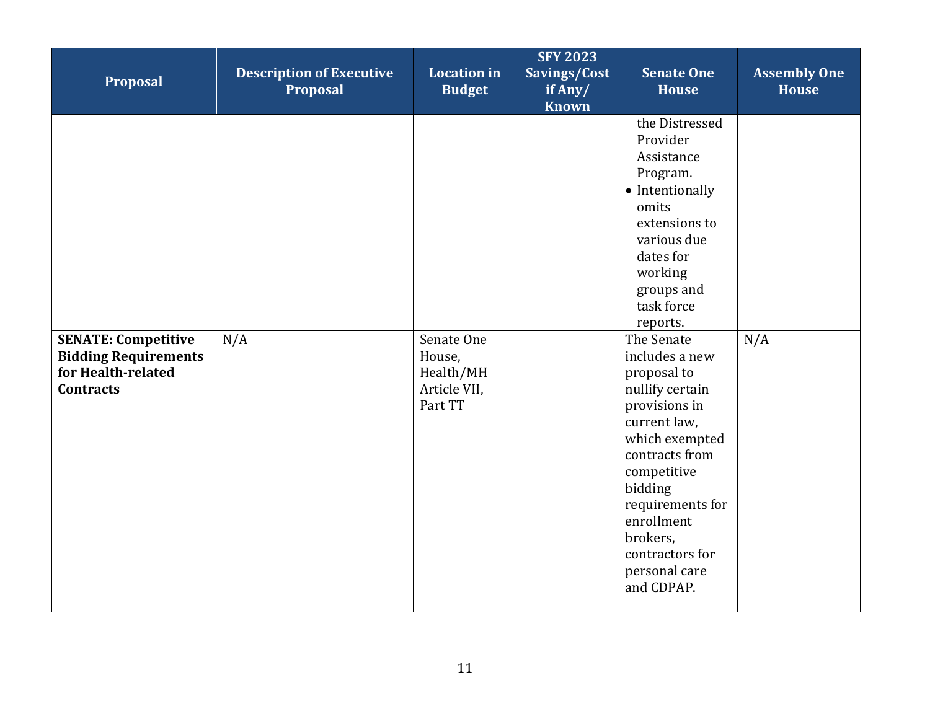| Proposal                                                                                            | <b>Description of Executive</b><br><b>Proposal</b> | <b>Location in</b><br><b>Budget</b>                          | <b>SFY 2023</b><br>Savings/Cost<br>if Any/<br><b>Known</b> | <b>Senate One</b><br><b>House</b>                                                                                                                                                                                                                                                                                                                                                                                                                 | <b>Assembly One</b><br><b>House</b> |
|-----------------------------------------------------------------------------------------------------|----------------------------------------------------|--------------------------------------------------------------|------------------------------------------------------------|---------------------------------------------------------------------------------------------------------------------------------------------------------------------------------------------------------------------------------------------------------------------------------------------------------------------------------------------------------------------------------------------------------------------------------------------------|-------------------------------------|
| <b>SENATE: Competitive</b><br><b>Bidding Requirements</b><br>for Health-related<br><b>Contracts</b> | N/A                                                | Senate One<br>House,<br>Health/MH<br>Article VII,<br>Part TT |                                                            | the Distressed<br>Provider<br>Assistance<br>Program.<br>• Intentionally<br>omits<br>extensions to<br>various due<br>dates for<br>working<br>groups and<br>task force<br>reports.<br>The Senate<br>includes a new<br>proposal to<br>nullify certain<br>provisions in<br>current law,<br>which exempted<br>contracts from<br>competitive<br>bidding<br>requirements for<br>enrollment<br>brokers,<br>contractors for<br>personal care<br>and CDPAP. | N/A                                 |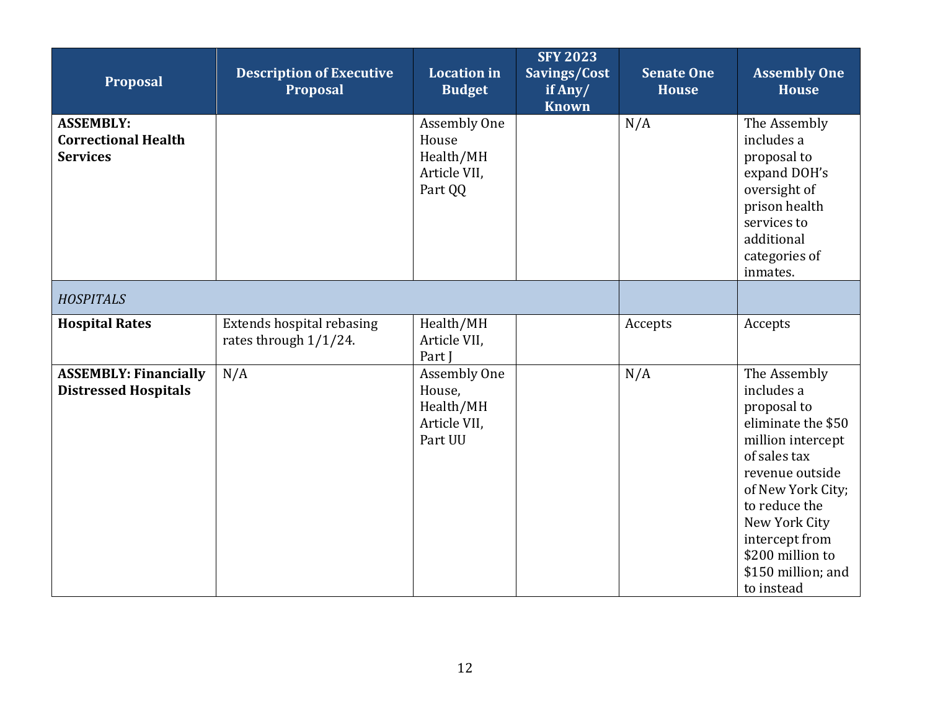<span id="page-11-0"></span>

| Proposal                                                          | <b>Description of Executive</b><br>Proposal        | <b>Location</b> in<br><b>Budget</b>                                   | <b>SFY 2023</b><br>Savings/Cost<br>if Any/<br><b>Known</b> | <b>Senate One</b><br><b>House</b> | <b>Assembly One</b><br><b>House</b>                                                                                                                                                                                                                      |
|-------------------------------------------------------------------|----------------------------------------------------|-----------------------------------------------------------------------|------------------------------------------------------------|-----------------------------------|----------------------------------------------------------------------------------------------------------------------------------------------------------------------------------------------------------------------------------------------------------|
| <b>ASSEMBLY:</b><br><b>Correctional Health</b><br><b>Services</b> |                                                    | Assembly One<br>House<br>Health/MH<br>Article VII,<br>Part QQ         |                                                            | N/A                               | The Assembly<br>includes a<br>proposal to<br>expand DOH's<br>oversight of<br>prison health<br>services to<br>additional<br>categories of<br>inmates.                                                                                                     |
| <b>HOSPITALS</b>                                                  |                                                    |                                                                       |                                                            |                                   |                                                                                                                                                                                                                                                          |
| <b>Hospital Rates</b>                                             | Extends hospital rebasing<br>rates through 1/1/24. | Health/MH<br>Article VII,<br>Part I                                   |                                                            | Accepts                           | Accepts                                                                                                                                                                                                                                                  |
| <b>ASSEMBLY: Financially</b><br><b>Distressed Hospitals</b>       | N/A                                                | <b>Assembly One</b><br>House,<br>Health/MH<br>Article VII,<br>Part UU |                                                            | N/A                               | The Assembly<br>includes a<br>proposal to<br>eliminate the \$50<br>million intercept<br>of sales tax<br>revenue outside<br>of New York City;<br>to reduce the<br>New York City<br>intercept from<br>\$200 million to<br>\$150 million; and<br>to instead |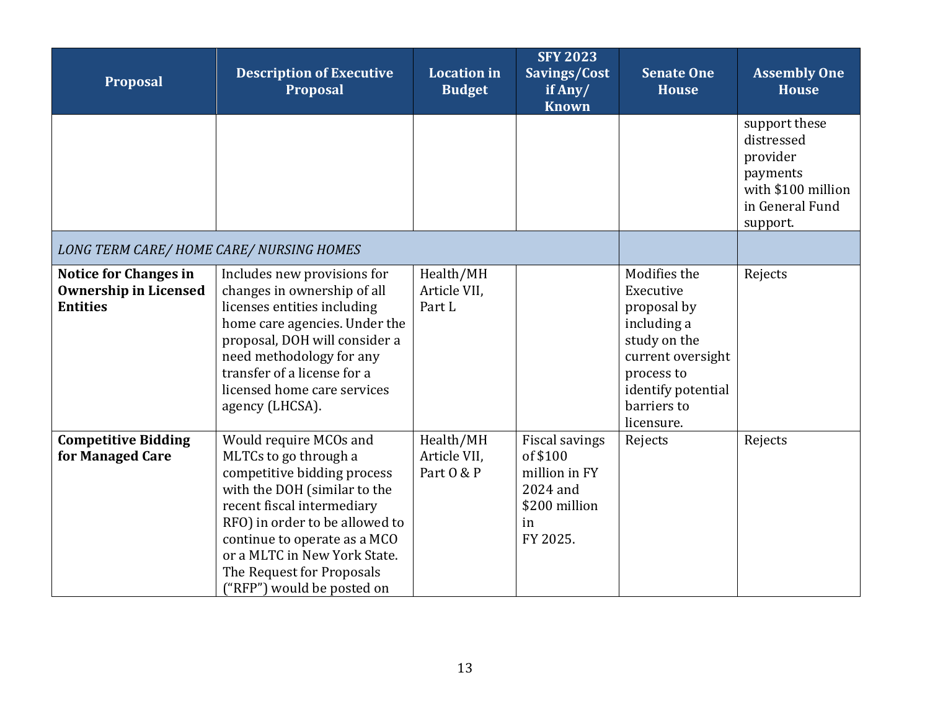<span id="page-12-0"></span>

| Proposal                                                                        | <b>Description of Executive</b><br><b>Proposal</b>                                                                                                                                                                                                                                                        | <b>Location</b> in<br><b>Budget</b>     | <b>SFY 2023</b><br>Savings/Cost<br>if Any/<br><b>Known</b>                                 | <b>Senate One</b><br><b>House</b>                                                                                                                             | <b>Assembly One</b><br><b>House</b>                                                                      |
|---------------------------------------------------------------------------------|-----------------------------------------------------------------------------------------------------------------------------------------------------------------------------------------------------------------------------------------------------------------------------------------------------------|-----------------------------------------|--------------------------------------------------------------------------------------------|---------------------------------------------------------------------------------------------------------------------------------------------------------------|----------------------------------------------------------------------------------------------------------|
|                                                                                 |                                                                                                                                                                                                                                                                                                           |                                         |                                                                                            |                                                                                                                                                               | support these<br>distressed<br>provider<br>payments<br>with \$100 million<br>in General Fund<br>support. |
| LONG TERM CARE/HOME CARE/NURSING HOMES                                          |                                                                                                                                                                                                                                                                                                           |                                         |                                                                                            |                                                                                                                                                               |                                                                                                          |
| <b>Notice for Changes in</b><br><b>Ownership in Licensed</b><br><b>Entities</b> | Includes new provisions for<br>changes in ownership of all<br>licenses entities including<br>home care agencies. Under the<br>proposal, DOH will consider a<br>need methodology for any<br>transfer of a license for a<br>licensed home care services<br>agency (LHCSA).                                  | Health/MH<br>Article VII,<br>Part L     |                                                                                            | Modifies the<br>Executive<br>proposal by<br>including a<br>study on the<br>current oversight<br>process to<br>identify potential<br>barriers to<br>licensure. | Rejects                                                                                                  |
| <b>Competitive Bidding</b><br>for Managed Care                                  | Would require MCOs and<br>MLTCs to go through a<br>competitive bidding process<br>with the DOH (similar to the<br>recent fiscal intermediary<br>RFO) in order to be allowed to<br>continue to operate as a MCO<br>or a MLTC in New York State.<br>The Request for Proposals<br>("RFP") would be posted on | Health/MH<br>Article VII,<br>Part 0 & P | Fiscal savings<br>of \$100<br>million in FY<br>2024 and<br>\$200 million<br>in<br>FY 2025. | Rejects                                                                                                                                                       | Rejects                                                                                                  |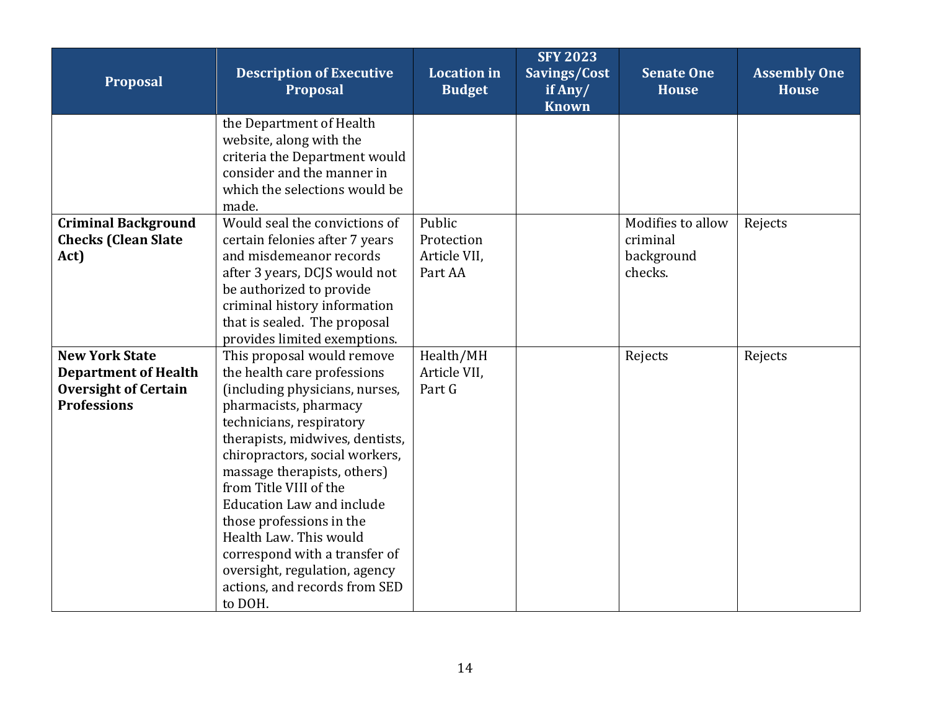| Proposal                                                                                                  | <b>Description of Executive</b><br>Proposal                                                                                                                                                                                                                                                                                                                                                                                                                                            | <b>Location</b> in<br><b>Budget</b>             | <b>SFY 2023</b><br>Savings/Cost<br>if Any/<br><b>Known</b> | <b>Senate One</b><br><b>House</b>                      | <b>Assembly One</b><br><b>House</b> |
|-----------------------------------------------------------------------------------------------------------|----------------------------------------------------------------------------------------------------------------------------------------------------------------------------------------------------------------------------------------------------------------------------------------------------------------------------------------------------------------------------------------------------------------------------------------------------------------------------------------|-------------------------------------------------|------------------------------------------------------------|--------------------------------------------------------|-------------------------------------|
|                                                                                                           | the Department of Health<br>website, along with the<br>criteria the Department would<br>consider and the manner in<br>which the selections would be<br>made.                                                                                                                                                                                                                                                                                                                           |                                                 |                                                            |                                                        |                                     |
| <b>Criminal Background</b><br><b>Checks (Clean Slate</b><br>Act)                                          | Would seal the convictions of<br>certain felonies after 7 years<br>and misdemeanor records<br>after 3 years, DCJS would not<br>be authorized to provide<br>criminal history information<br>that is sealed. The proposal<br>provides limited exemptions.                                                                                                                                                                                                                                | Public<br>Protection<br>Article VII,<br>Part AA |                                                            | Modifies to allow<br>criminal<br>background<br>checks. | Rejects                             |
| <b>New York State</b><br><b>Department of Health</b><br><b>Oversight of Certain</b><br><b>Professions</b> | This proposal would remove<br>the health care professions<br>(including physicians, nurses,<br>pharmacists, pharmacy<br>technicians, respiratory<br>therapists, midwives, dentists,<br>chiropractors, social workers,<br>massage therapists, others)<br>from Title VIII of the<br><b>Education Law and include</b><br>those professions in the<br>Health Law. This would<br>correspond with a transfer of<br>oversight, regulation, agency<br>actions, and records from SED<br>to DOH. | Health/MH<br>Article VII,<br>Part G             |                                                            | Rejects                                                | Rejects                             |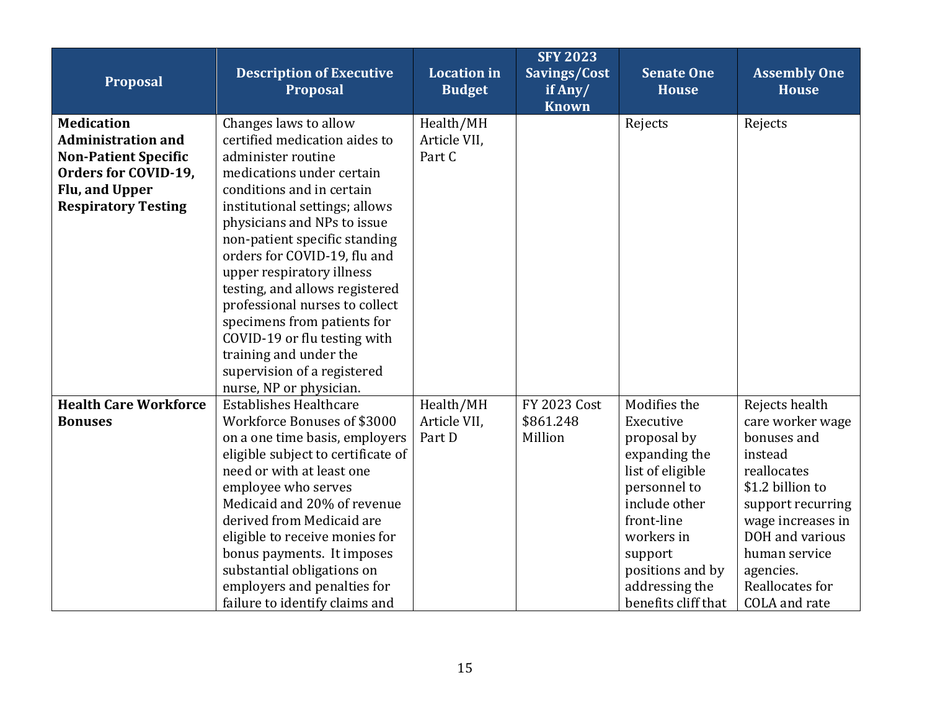| Proposal                                                                                                                                              | <b>Description of Executive</b><br><b>Proposal</b>                                                                                                                                                                                                                                                                                                                                                                                                                                                                           | <b>Location</b> in<br><b>Budget</b> | <b>SFY 2023</b><br>Savings/Cost<br>if Any/<br><b>Known</b> | <b>Senate One</b><br><b>House</b>                                                                                                                                                                                  | <b>Assembly One</b><br><b>House</b>                                                                                                                                                                                            |
|-------------------------------------------------------------------------------------------------------------------------------------------------------|------------------------------------------------------------------------------------------------------------------------------------------------------------------------------------------------------------------------------------------------------------------------------------------------------------------------------------------------------------------------------------------------------------------------------------------------------------------------------------------------------------------------------|-------------------------------------|------------------------------------------------------------|--------------------------------------------------------------------------------------------------------------------------------------------------------------------------------------------------------------------|--------------------------------------------------------------------------------------------------------------------------------------------------------------------------------------------------------------------------------|
| <b>Medication</b><br><b>Administration and</b><br><b>Non-Patient Specific</b><br>Orders for COVID-19,<br>Flu, and Upper<br><b>Respiratory Testing</b> | Changes laws to allow<br>certified medication aides to<br>administer routine<br>medications under certain<br>conditions and in certain<br>institutional settings; allows<br>physicians and NPs to issue<br>non-patient specific standing<br>orders for COVID-19, flu and<br>upper respiratory illness<br>testing, and allows registered<br>professional nurses to collect<br>specimens from patients for<br>COVID-19 or flu testing with<br>training and under the<br>supervision of a registered<br>nurse, NP or physician. | Health/MH<br>Article VII,<br>Part C |                                                            | Rejects                                                                                                                                                                                                            | Rejects                                                                                                                                                                                                                        |
| <b>Health Care Workforce</b><br><b>Bonuses</b>                                                                                                        | <b>Establishes Healthcare</b><br>Workforce Bonuses of \$3000<br>on a one time basis, employers<br>eligible subject to certificate of<br>need or with at least one<br>employee who serves<br>Medicaid and 20% of revenue<br>derived from Medicaid are<br>eligible to receive monies for<br>bonus payments. It imposes<br>substantial obligations on<br>employers and penalties for<br>failure to identify claims and                                                                                                          | Health/MH<br>Article VII,<br>Part D | <b>FY 2023 Cost</b><br>\$861.248<br>Million                | Modifies the<br>Executive<br>proposal by<br>expanding the<br>list of eligible<br>personnel to<br>include other<br>front-line<br>workers in<br>support<br>positions and by<br>addressing the<br>benefits cliff that | Rejects health<br>care worker wage<br>bonuses and<br>instead<br>reallocates<br>\$1.2 billion to<br>support recurring<br>wage increases in<br>DOH and various<br>human service<br>agencies.<br>Reallocates for<br>COLA and rate |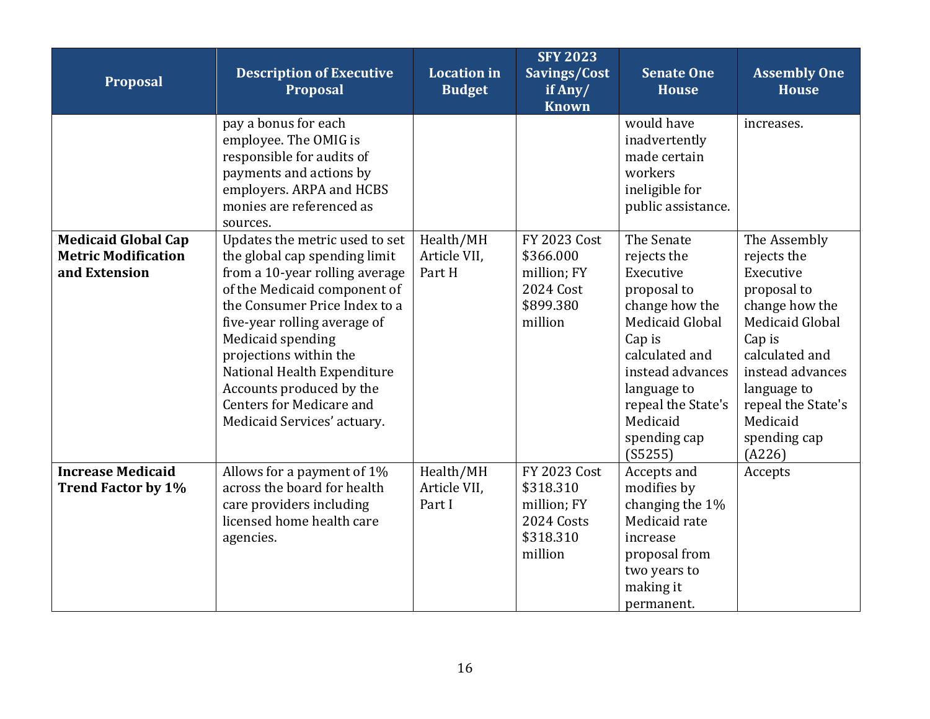| Proposal                                                                  | <b>Description of Executive</b><br><b>Proposal</b>                                                                                                                                                                                                                                                                                                                             | <b>Location</b> in<br><b>Budget</b> | <b>SFY 2023</b><br>Savings/Cost<br>$\overline{\textbf{if} \textbf{Any}}$<br><b>Known</b> | <b>Senate One</b><br><b>House</b>                                                                                                                                                                                             | <b>Assembly One</b><br><b>House</b>                                                                                                                                                                                            |
|---------------------------------------------------------------------------|--------------------------------------------------------------------------------------------------------------------------------------------------------------------------------------------------------------------------------------------------------------------------------------------------------------------------------------------------------------------------------|-------------------------------------|------------------------------------------------------------------------------------------|-------------------------------------------------------------------------------------------------------------------------------------------------------------------------------------------------------------------------------|--------------------------------------------------------------------------------------------------------------------------------------------------------------------------------------------------------------------------------|
|                                                                           | pay a bonus for each<br>employee. The OMIG is<br>responsible for audits of<br>payments and actions by<br>employers. ARPA and HCBS<br>monies are referenced as<br>sources.                                                                                                                                                                                                      |                                     |                                                                                          | would have<br>inadvertently<br>made certain<br>workers<br>ineligible for<br>public assistance.                                                                                                                                | increases.                                                                                                                                                                                                                     |
| <b>Medicaid Global Cap</b><br><b>Metric Modification</b><br>and Extension | Updates the metric used to set<br>the global cap spending limit<br>from a 10-year rolling average<br>of the Medicaid component of<br>the Consumer Price Index to a<br>five-year rolling average of<br>Medicaid spending<br>projections within the<br>National Health Expenditure<br>Accounts produced by the<br><b>Centers for Medicare and</b><br>Medicaid Services' actuary. | Health/MH<br>Article VII,<br>Part H | <b>FY 2023 Cost</b><br>\$366.000<br>million; FY<br>2024 Cost<br>\$899.380<br>million     | The Senate<br>rejects the<br>Executive<br>proposal to<br>change how the<br><b>Medicaid Global</b><br>Cap is<br>calculated and<br>instead advances<br>language to<br>repeal the State's<br>Medicaid<br>spending cap<br>(S5255) | The Assembly<br>rejects the<br>Executive<br>proposal to<br>change how the<br><b>Medicaid Global</b><br>Cap is<br>calculated and<br>instead advances<br>language to<br>repeal the State's<br>Medicaid<br>spending cap<br>(A226) |
| <b>Increase Medicaid</b><br><b>Trend Factor by 1%</b>                     | Allows for a payment of 1%<br>across the board for health<br>care providers including<br>licensed home health care<br>agencies.                                                                                                                                                                                                                                                | Health/MH<br>Article VII,<br>Part I | <b>FY 2023 Cost</b><br>\$318.310<br>million; FY<br>2024 Costs<br>\$318.310<br>million    | Accepts and<br>modifies by<br>changing the 1%<br>Medicaid rate<br>increase<br>proposal from<br>two years to<br>making it<br>permanent.                                                                                        | Accepts                                                                                                                                                                                                                        |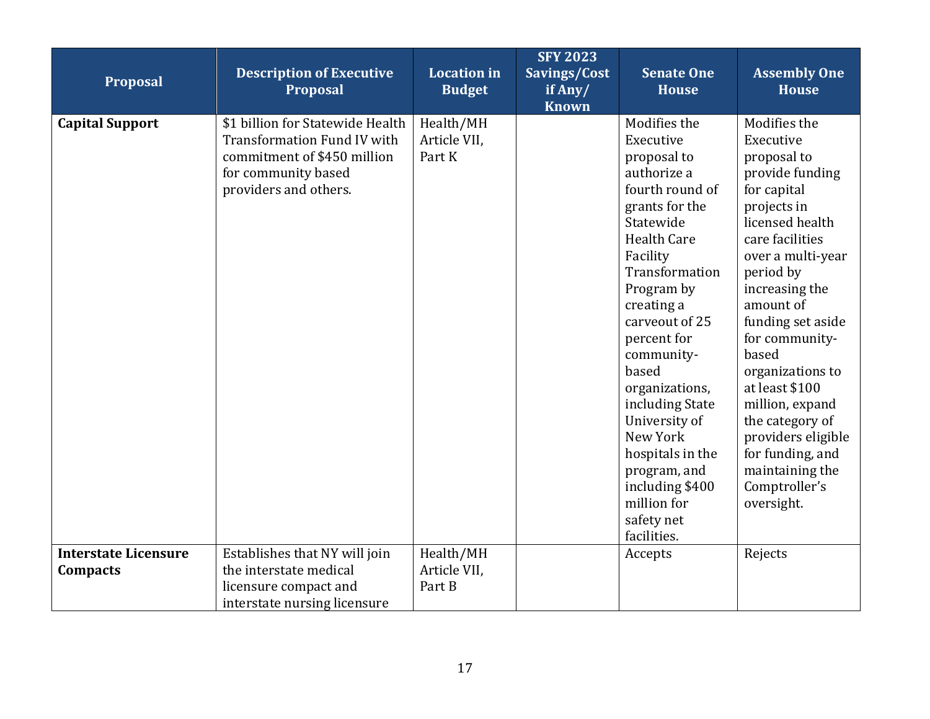| Proposal                                | <b>Description of Executive</b><br><b>Proposal</b>                                                                                                    | <b>Location</b> in<br><b>Budget</b> | <b>SFY 2023</b><br>Savings/Cost<br>if $Any/$<br><b>Known</b> | <b>Senate One</b><br><b>House</b>                                                                                                                                                                                                                                                                                                                                                                                      | <b>Assembly One</b><br><b>House</b>                                                                                                                                                                                                                                                                                                                                                                                      |
|-----------------------------------------|-------------------------------------------------------------------------------------------------------------------------------------------------------|-------------------------------------|--------------------------------------------------------------|------------------------------------------------------------------------------------------------------------------------------------------------------------------------------------------------------------------------------------------------------------------------------------------------------------------------------------------------------------------------------------------------------------------------|--------------------------------------------------------------------------------------------------------------------------------------------------------------------------------------------------------------------------------------------------------------------------------------------------------------------------------------------------------------------------------------------------------------------------|
| <b>Capital Support</b>                  | \$1 billion for Statewide Health<br><b>Transformation Fund IV with</b><br>commitment of \$450 million<br>for community based<br>providers and others. | Health/MH<br>Article VII,<br>Part K |                                                              | Modifies the<br>Executive<br>proposal to<br>authorize a<br>fourth round of<br>grants for the<br>Statewide<br><b>Health Care</b><br>Facility<br>Transformation<br>Program by<br>creating a<br>carveout of 25<br>percent for<br>community-<br>based<br>organizations,<br>including State<br>University of<br>New York<br>hospitals in the<br>program, and<br>including \$400<br>million for<br>safety net<br>facilities. | Modifies the<br>Executive<br>proposal to<br>provide funding<br>for capital<br>projects in<br>licensed health<br>care facilities<br>over a multi-year<br>period by<br>increasing the<br>amount of<br>funding set aside<br>for community-<br>based<br>organizations to<br>at least \$100<br>million, expand<br>the category of<br>providers eligible<br>for funding, and<br>maintaining the<br>Comptroller's<br>oversight. |
| <b>Interstate Licensure</b><br>Compacts | Establishes that NY will join<br>the interstate medical<br>licensure compact and<br>interstate nursing licensure                                      | Health/MH<br>Article VII,<br>Part B |                                                              | Accepts                                                                                                                                                                                                                                                                                                                                                                                                                | Rejects                                                                                                                                                                                                                                                                                                                                                                                                                  |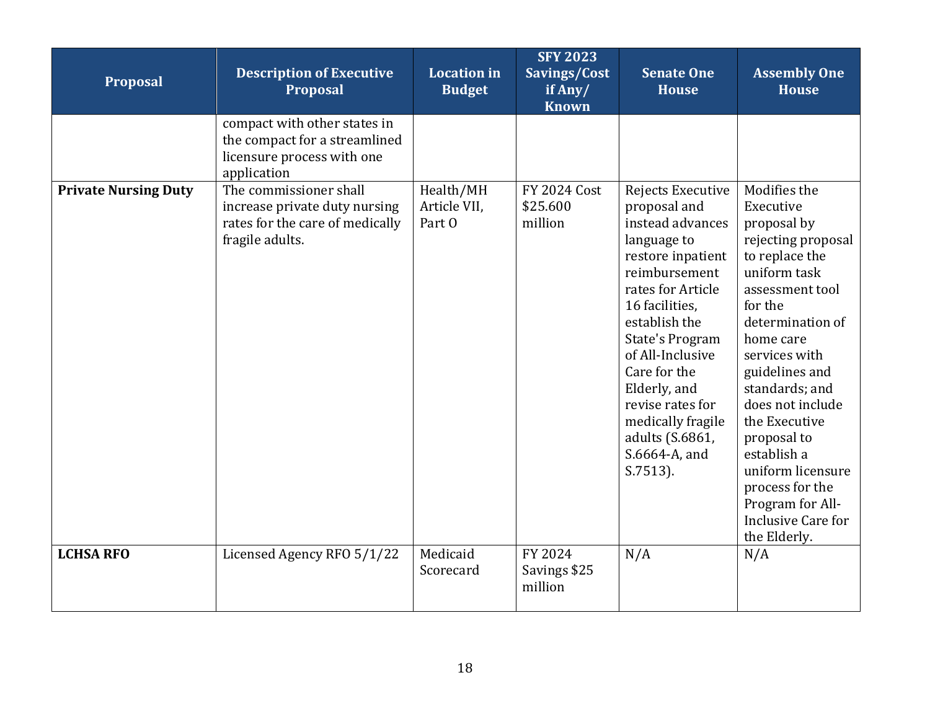| Proposal                    | <b>Description of Executive</b><br><b>Proposal</b>                                                            | <b>Location in</b><br><b>Budget</b> | <b>SFY 2023</b><br>Savings/Cost<br>if Any/<br><b>Known</b> | <b>Senate One</b><br><b>House</b>                                                                                                                                                                                                                                                                                                            | <b>Assembly One</b><br><b>House</b>                                                                                                                                                                                                                                                                                                                                                       |
|-----------------------------|---------------------------------------------------------------------------------------------------------------|-------------------------------------|------------------------------------------------------------|----------------------------------------------------------------------------------------------------------------------------------------------------------------------------------------------------------------------------------------------------------------------------------------------------------------------------------------------|-------------------------------------------------------------------------------------------------------------------------------------------------------------------------------------------------------------------------------------------------------------------------------------------------------------------------------------------------------------------------------------------|
|                             | compact with other states in<br>the compact for a streamlined<br>licensure process with one<br>application    |                                     |                                                            |                                                                                                                                                                                                                                                                                                                                              |                                                                                                                                                                                                                                                                                                                                                                                           |
| <b>Private Nursing Duty</b> | The commissioner shall<br>increase private duty nursing<br>rates for the care of medically<br>fragile adults. | Health/MH<br>Article VII,<br>Part 0 | <b>FY 2024 Cost</b><br>\$25.600<br>million                 | Rejects Executive<br>proposal and<br>instead advances<br>language to<br>restore inpatient<br>reimbursement<br>rates for Article<br>16 facilities,<br>establish the<br><b>State's Program</b><br>of All-Inclusive<br>Care for the<br>Elderly, and<br>revise rates for<br>medically fragile<br>adults (S.6861,<br>S.6664-A, and<br>$S.7513$ ). | Modifies the<br>Executive<br>proposal by<br>rejecting proposal<br>to replace the<br>uniform task<br>assessment tool<br>for the<br>determination of<br>home care<br>services with<br>guidelines and<br>standards; and<br>does not include<br>the Executive<br>proposal to<br>establish a<br>uniform licensure<br>process for the<br>Program for All-<br>Inclusive Care for<br>the Elderly. |
| <b>LCHSA RFO</b>            | Licensed Agency RFO 5/1/22                                                                                    | Medicaid<br>Scorecard               | FY 2024<br>Savings \$25<br>million                         | N/A                                                                                                                                                                                                                                                                                                                                          | N/A                                                                                                                                                                                                                                                                                                                                                                                       |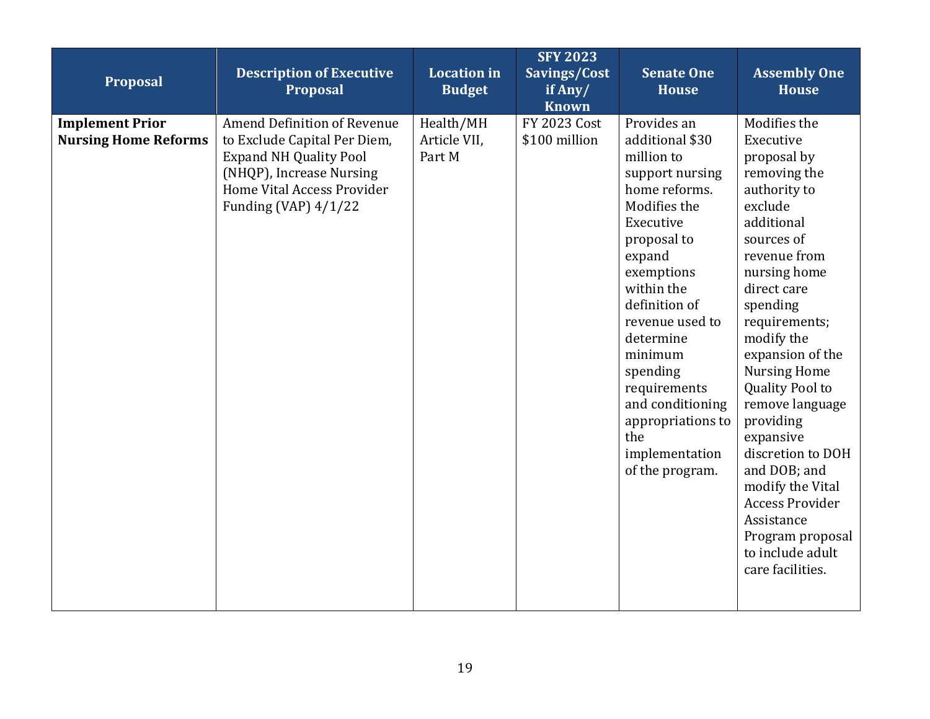| Proposal                                              | <b>Description of Executive</b><br>Proposal                                                                                                                                      | <b>Location</b> in<br><b>Budget</b> | <b>SFY 2023</b><br>Savings/Cost<br>if Any/<br><b>Known</b> | <b>Senate One</b><br><b>House</b>                                                                                                                                                                                                                                                                                                               | <b>Assembly One</b><br><b>House</b>                                                                                                                                                                                                                                                                                                                                                                                                                                                      |
|-------------------------------------------------------|----------------------------------------------------------------------------------------------------------------------------------------------------------------------------------|-------------------------------------|------------------------------------------------------------|-------------------------------------------------------------------------------------------------------------------------------------------------------------------------------------------------------------------------------------------------------------------------------------------------------------------------------------------------|------------------------------------------------------------------------------------------------------------------------------------------------------------------------------------------------------------------------------------------------------------------------------------------------------------------------------------------------------------------------------------------------------------------------------------------------------------------------------------------|
| <b>Implement Prior</b><br><b>Nursing Home Reforms</b> | Amend Definition of Revenue<br>to Exclude Capital Per Diem,<br><b>Expand NH Quality Pool</b><br>(NHQP), Increase Nursing<br>Home Vital Access Provider<br>Funding (VAP) $4/1/22$ | Health/MH<br>Article VII,<br>Part M | <b>FY 2023 Cost</b><br>\$100 million                       | Provides an<br>additional \$30<br>million to<br>support nursing<br>home reforms.<br>Modifies the<br>Executive<br>proposal to<br>expand<br>exemptions<br>within the<br>definition of<br>revenue used to<br>determine<br>minimum<br>spending<br>requirements<br>and conditioning<br>appropriations to<br>the<br>implementation<br>of the program. | Modifies the<br>Executive<br>proposal by<br>removing the<br>authority to<br>exclude<br>additional<br>sources of<br>revenue from<br>nursing home<br>direct care<br>spending<br>requirements;<br>modify the<br>expansion of the<br><b>Nursing Home</b><br><b>Quality Pool to</b><br>remove language<br>providing<br>expansive<br>discretion to DOH<br>and DOB; and<br>modify the Vital<br><b>Access Provider</b><br>Assistance<br>Program proposal<br>to include adult<br>care facilities. |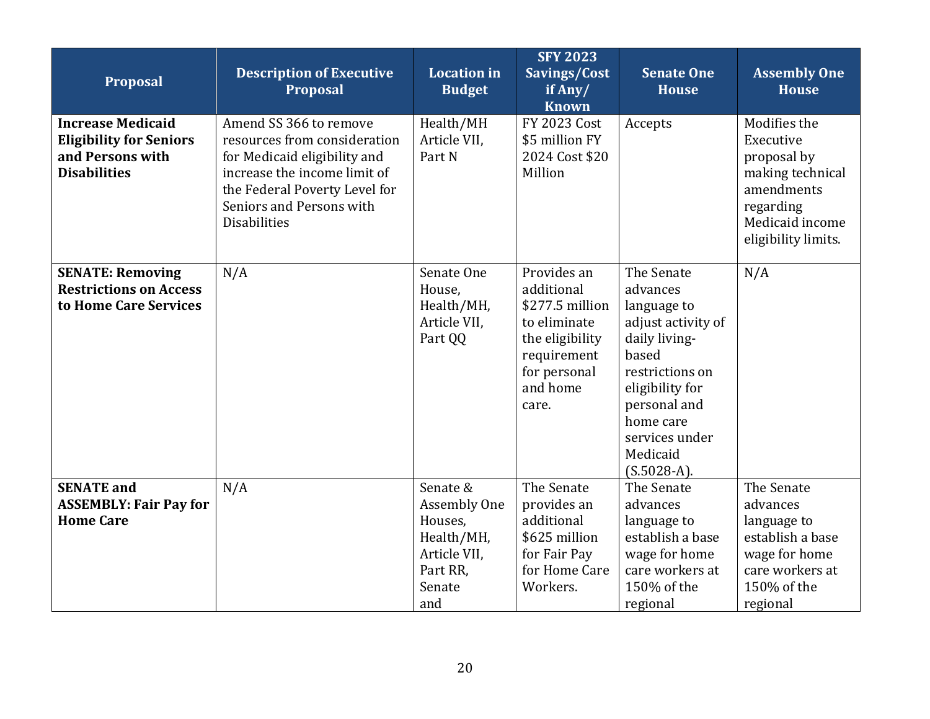| <b>Proposal</b>                                                                                       | <b>Description of Executive</b><br><b>Proposal</b>                                                                                                                                                         | <b>Location</b> in<br><b>Budget</b>                                                            | <b>SFY 2023</b><br>Savings/Cost<br>if Any/<br><b>Known</b>                                                                          | <b>Senate One</b><br><b>House</b>                                                                                                                                                                       | <b>Assembly One</b><br><b>House</b>                                                                                               |
|-------------------------------------------------------------------------------------------------------|------------------------------------------------------------------------------------------------------------------------------------------------------------------------------------------------------------|------------------------------------------------------------------------------------------------|-------------------------------------------------------------------------------------------------------------------------------------|---------------------------------------------------------------------------------------------------------------------------------------------------------------------------------------------------------|-----------------------------------------------------------------------------------------------------------------------------------|
| <b>Increase Medicaid</b><br><b>Eligibility for Seniors</b><br>and Persons with<br><b>Disabilities</b> | Amend SS 366 to remove<br>resources from consideration<br>for Medicaid eligibility and<br>increase the income limit of<br>the Federal Poverty Level for<br>Seniors and Persons with<br><b>Disabilities</b> | Health/MH<br>Article VII,<br>Part N                                                            | <b>FY 2023 Cost</b><br>\$5 million FY<br>2024 Cost \$20<br>Million                                                                  | Accepts                                                                                                                                                                                                 | Modifies the<br>Executive<br>proposal by<br>making technical<br>amendments<br>regarding<br>Medicaid income<br>eligibility limits. |
| <b>SENATE: Removing</b><br><b>Restrictions on Access</b><br>to Home Care Services                     | N/A                                                                                                                                                                                                        | Senate One<br>House,<br>Health/MH,<br>Article VII.<br>Part QQ                                  | Provides an<br>additional<br>\$277.5 million<br>to eliminate<br>the eligibility<br>requirement<br>for personal<br>and home<br>care. | The Senate<br>advances<br>language to<br>adjust activity of<br>daily living-<br>based<br>restrictions on<br>eligibility for<br>personal and<br>home care<br>services under<br>Medicaid<br>$(S.5028-A).$ | N/A                                                                                                                               |
| <b>SENATE</b> and<br><b>ASSEMBLY: Fair Pay for</b><br><b>Home Care</b>                                | N/A                                                                                                                                                                                                        | Senate &<br>Assembly One<br>Houses,<br>Health/MH,<br>Article VII,<br>Part RR,<br>Senate<br>and | The Senate<br>provides an<br>additional<br>\$625 million<br>for Fair Pay<br>for Home Care<br>Workers.                               | The Senate<br>advances<br>language to<br>establish a base<br>wage for home<br>care workers at<br>150% of the<br>regional                                                                                | The Senate<br>advances<br>language to<br>establish a base<br>wage for home<br>care workers at<br>150% of the<br>regional          |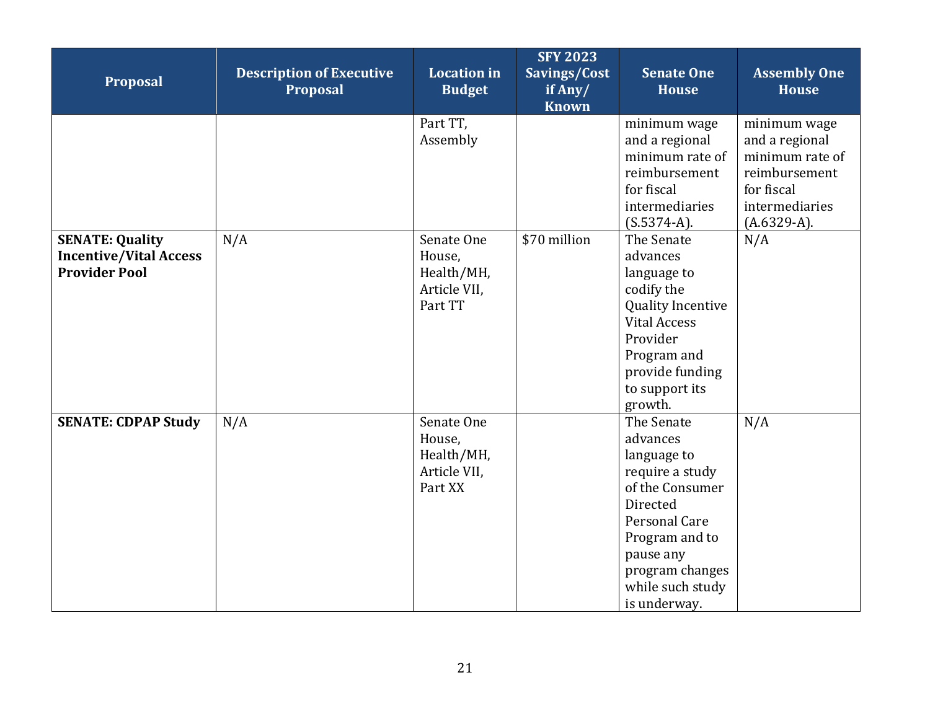| Proposal                                                                        | <b>Description of Executive</b><br><b>Proposal</b> | <b>Location</b> in<br><b>Budget</b>                           | <b>SFY 2023</b><br>Savings/Cost<br>if Any/<br><b>Known</b> | <b>Senate One</b><br><b>House</b>                                                                                                                                                              | <b>Assembly One</b><br><b>House</b>                                                                                 |
|---------------------------------------------------------------------------------|----------------------------------------------------|---------------------------------------------------------------|------------------------------------------------------------|------------------------------------------------------------------------------------------------------------------------------------------------------------------------------------------------|---------------------------------------------------------------------------------------------------------------------|
|                                                                                 |                                                    | Part TT,<br>Assembly                                          |                                                            | minimum wage<br>and a regional<br>minimum rate of<br>reimbursement<br>for fiscal<br>intermediaries<br>$(S.5374-A).$                                                                            | minimum wage<br>and a regional<br>minimum rate of<br>reimbursement<br>for fiscal<br>intermediaries<br>$(A.6329-A).$ |
| <b>SENATE: Quality</b><br><b>Incentive/Vital Access</b><br><b>Provider Pool</b> | N/A                                                | Senate One<br>House,<br>Health/MH,<br>Article VII,<br>Part TT | \$70 million                                               | The Senate<br>advances<br>language to<br>codify the<br><b>Quality Incentive</b><br><b>Vital Access</b><br>Provider<br>Program and<br>provide funding<br>to support its<br>growth.              | N/A                                                                                                                 |
| <b>SENATE: CDPAP Study</b>                                                      | N/A                                                | Senate One<br>House,<br>Health/MH,<br>Article VII,<br>Part XX |                                                            | The Senate<br>advances<br>language to<br>require a study<br>of the Consumer<br>Directed<br>Personal Care<br>Program and to<br>pause any<br>program changes<br>while such study<br>is underway. | N/A                                                                                                                 |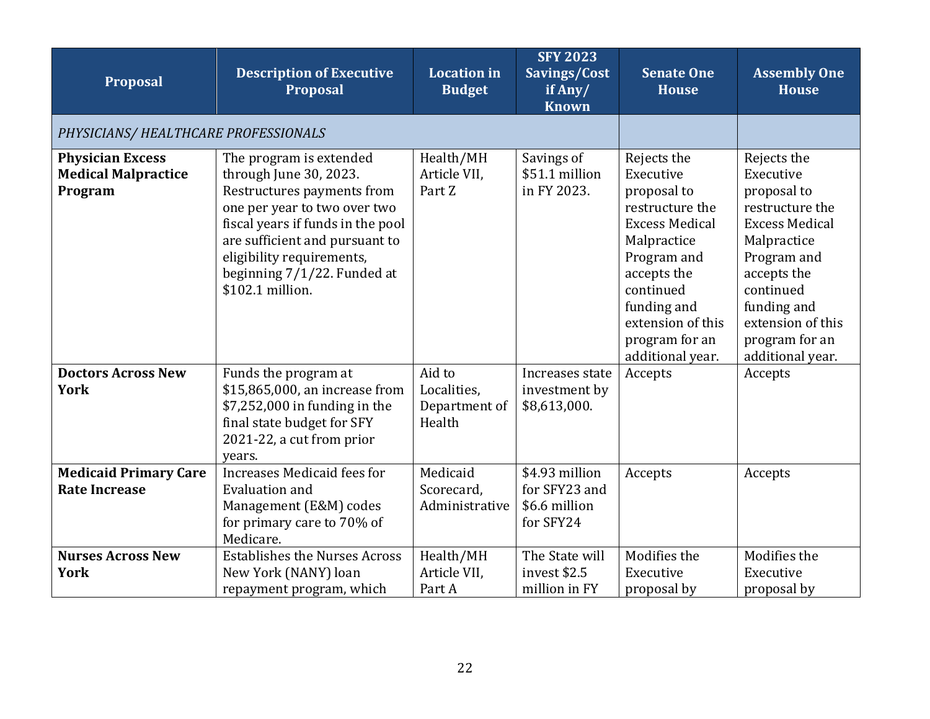<span id="page-21-0"></span>

| Proposal                                                                                         | <b>Description of Executive</b><br><b>Proposal</b>                                                                                                                                                                                                                                        | <b>Location</b> in<br><b>Budget</b>                                                          | <b>SFY 2023</b><br>Savings/Cost<br>if Any/<br><b>Known</b>                                                        | <b>Senate One</b><br><b>House</b>                                                                                                                                                                                       | <b>Assembly One</b><br><b>House</b>                                                                                                                                                                                     |
|--------------------------------------------------------------------------------------------------|-------------------------------------------------------------------------------------------------------------------------------------------------------------------------------------------------------------------------------------------------------------------------------------------|----------------------------------------------------------------------------------------------|-------------------------------------------------------------------------------------------------------------------|-------------------------------------------------------------------------------------------------------------------------------------------------------------------------------------------------------------------------|-------------------------------------------------------------------------------------------------------------------------------------------------------------------------------------------------------------------------|
| PHYSICIANS/ HEALTHCARE PROFESSIONALS                                                             |                                                                                                                                                                                                                                                                                           |                                                                                              |                                                                                                                   |                                                                                                                                                                                                                         |                                                                                                                                                                                                                         |
| <b>Physician Excess</b><br><b>Medical Malpractice</b><br>Program                                 | The program is extended<br>through June 30, 2023.<br>Restructures payments from<br>one per year to two over two<br>fiscal years if funds in the pool<br>are sufficient and pursuant to<br>eligibility requirements,<br>beginning 7/1/22. Funded at<br>\$102.1 million.                    | Health/MH<br>Article VII,<br>Part Z                                                          | Savings of<br>\$51.1 million<br>in FY 2023.                                                                       | Rejects the<br>Executive<br>proposal to<br>restructure the<br><b>Excess Medical</b><br>Malpractice<br>Program and<br>accepts the<br>continued<br>funding and<br>extension of this<br>program for an<br>additional year. | Rejects the<br>Executive<br>proposal to<br>restructure the<br><b>Excess Medical</b><br>Malpractice<br>Program and<br>accepts the<br>continued<br>funding and<br>extension of this<br>program for an<br>additional year. |
| <b>Doctors Across New</b><br><b>York</b><br><b>Medicaid Primary Care</b><br><b>Rate Increase</b> | Funds the program at<br>\$15,865,000, an increase from<br>\$7,252,000 in funding in the<br>final state budget for SFY<br>2021-22, a cut from prior<br>years.<br>Increases Medicaid fees for<br><b>Evaluation and</b><br>Management (E&M) codes<br>for primary care to 70% of<br>Medicare. | Aid to<br>Localities,<br>Department of<br>Health<br>Medicaid<br>Scorecard,<br>Administrative | Increases state<br>investment by<br>\$8,613,000.<br>\$4.93 million<br>for SFY23 and<br>\$6.6 million<br>for SFY24 | Accepts<br>Accepts                                                                                                                                                                                                      | Accepts<br>Accepts                                                                                                                                                                                                      |
| <b>Nurses Across New</b><br><b>York</b>                                                          | <b>Establishes the Nurses Across</b><br>New York (NANY) loan<br>repayment program, which                                                                                                                                                                                                  | Health/MH<br>Article VII,<br>Part A                                                          | The State will<br>invest \$2.5<br>million in FY                                                                   | Modifies the<br>Executive<br>proposal by                                                                                                                                                                                | Modifies the<br>Executive<br>proposal by                                                                                                                                                                                |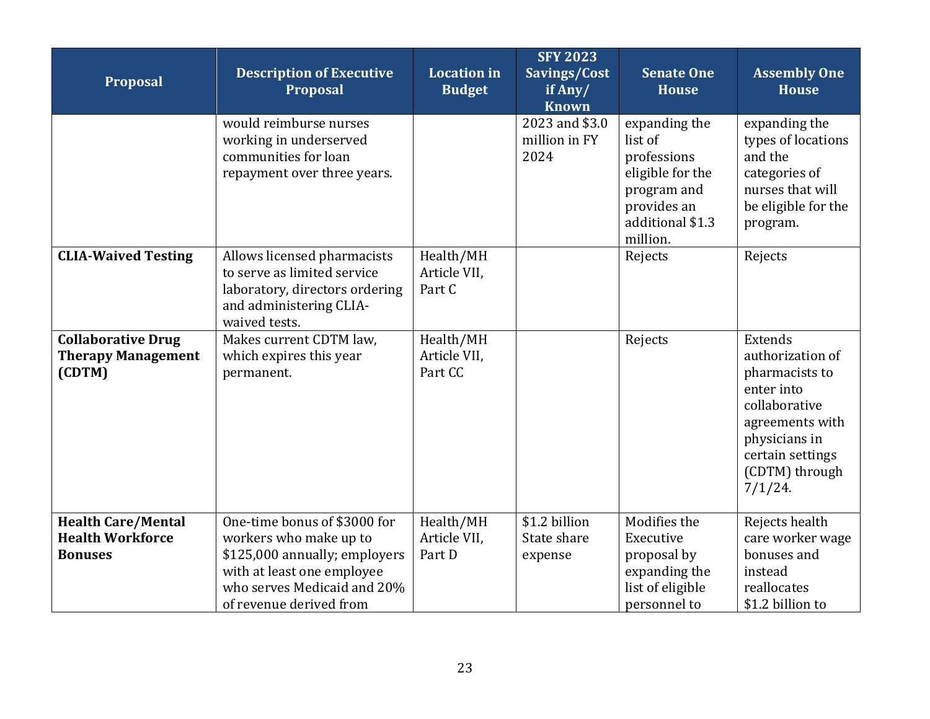| Proposal                                                               | <b>Description of Executive</b><br>Proposal                                                                                                                                     | <b>Location</b> in<br><b>Budget</b>  | <b>SFY 2023</b><br>Savings/Cost<br>if Any/<br><b>Known</b> | <b>Senate One</b><br><b>House</b>                                                                                         | <b>Assembly One</b><br><b>House</b>                                                                                                                                  |
|------------------------------------------------------------------------|---------------------------------------------------------------------------------------------------------------------------------------------------------------------------------|--------------------------------------|------------------------------------------------------------|---------------------------------------------------------------------------------------------------------------------------|----------------------------------------------------------------------------------------------------------------------------------------------------------------------|
|                                                                        | would reimburse nurses<br>working in underserved<br>communities for loan<br>repayment over three years.                                                                         |                                      | 2023 and \$3.0<br>million in FY<br>2024                    | expanding the<br>list of<br>professions<br>eligible for the<br>program and<br>provides an<br>additional \$1.3<br>million. | expanding the<br>types of locations<br>and the<br>categories of<br>nurses that will<br>be eligible for the<br>program.                                               |
| <b>CLIA-Waived Testing</b>                                             | Allows licensed pharmacists<br>to serve as limited service<br>laboratory, directors ordering<br>and administering CLIA-<br>waived tests.                                        | Health/MH<br>Article VII,<br>Part C  |                                                            | Rejects                                                                                                                   | Rejects                                                                                                                                                              |
| <b>Collaborative Drug</b><br><b>Therapy Management</b><br>(CDTM)       | Makes current CDTM law,<br>which expires this year<br>permanent.                                                                                                                | Health/MH<br>Article VII,<br>Part CC |                                                            | Rejects                                                                                                                   | Extends<br>authorization of<br>pharmacists to<br>enter into<br>collaborative<br>agreements with<br>physicians in<br>certain settings<br>(CDTM) through<br>$7/1/24$ . |
| <b>Health Care/Mental</b><br><b>Health Workforce</b><br><b>Bonuses</b> | One-time bonus of \$3000 for<br>workers who make up to<br>\$125,000 annually; employers<br>with at least one employee<br>who serves Medicaid and 20%<br>of revenue derived from | Health/MH<br>Article VII,<br>Part D  | \$1.2 billion<br>State share<br>expense                    | Modifies the<br>Executive<br>proposal by<br>expanding the<br>list of eligible<br>personnel to                             | Rejects health<br>care worker wage<br>bonuses and<br>instead<br>reallocates<br>\$1.2 billion to                                                                      |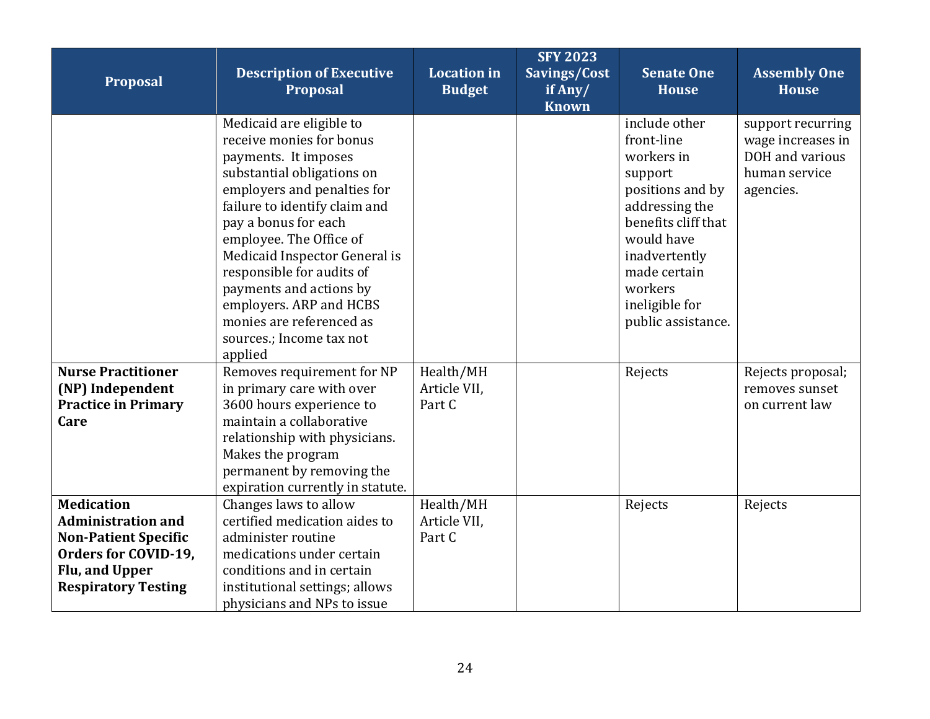| Proposal                                                                                                                                              | <b>Description of Executive</b><br><b>Proposal</b>                                                                                                                                                                                                                                                                                                                                                                   | <b>Location</b> in<br><b>Budget</b> | <b>SFY 2023</b><br>Savings/Cost<br>if Any/<br><b>Known</b> | <b>Senate One</b><br><b>House</b>                                                                                                                                                                                   | <b>Assembly One</b><br><b>House</b>                                                     |
|-------------------------------------------------------------------------------------------------------------------------------------------------------|----------------------------------------------------------------------------------------------------------------------------------------------------------------------------------------------------------------------------------------------------------------------------------------------------------------------------------------------------------------------------------------------------------------------|-------------------------------------|------------------------------------------------------------|---------------------------------------------------------------------------------------------------------------------------------------------------------------------------------------------------------------------|-----------------------------------------------------------------------------------------|
|                                                                                                                                                       | Medicaid are eligible to<br>receive monies for bonus<br>payments. It imposes<br>substantial obligations on<br>employers and penalties for<br>failure to identify claim and<br>pay a bonus for each<br>employee. The Office of<br>Medicaid Inspector General is<br>responsible for audits of<br>payments and actions by<br>employers. ARP and HCBS<br>monies are referenced as<br>sources.; Income tax not<br>applied |                                     |                                                            | include other<br>front-line<br>workers in<br>support<br>positions and by<br>addressing the<br>benefits cliff that<br>would have<br>inadvertently<br>made certain<br>workers<br>ineligible for<br>public assistance. | support recurring<br>wage increases in<br>DOH and various<br>human service<br>agencies. |
| <b>Nurse Practitioner</b><br>(NP) Independent<br><b>Practice in Primary</b><br>Care                                                                   | Removes requirement for NP<br>in primary care with over<br>3600 hours experience to<br>maintain a collaborative<br>relationship with physicians.<br>Makes the program<br>permanent by removing the<br>expiration currently in statute.                                                                                                                                                                               | Health/MH<br>Article VII,<br>Part C |                                                            | Rejects                                                                                                                                                                                                             | Rejects proposal;<br>removes sunset<br>on current law                                   |
| <b>Medication</b><br><b>Administration and</b><br><b>Non-Patient Specific</b><br>Orders for COVID-19,<br>Flu, and Upper<br><b>Respiratory Testing</b> | Changes laws to allow<br>certified medication aides to<br>administer routine<br>medications under certain<br>conditions and in certain<br>institutional settings; allows<br>physicians and NPs to issue                                                                                                                                                                                                              | Health/MH<br>Article VII,<br>Part C |                                                            | Rejects                                                                                                                                                                                                             | Rejects                                                                                 |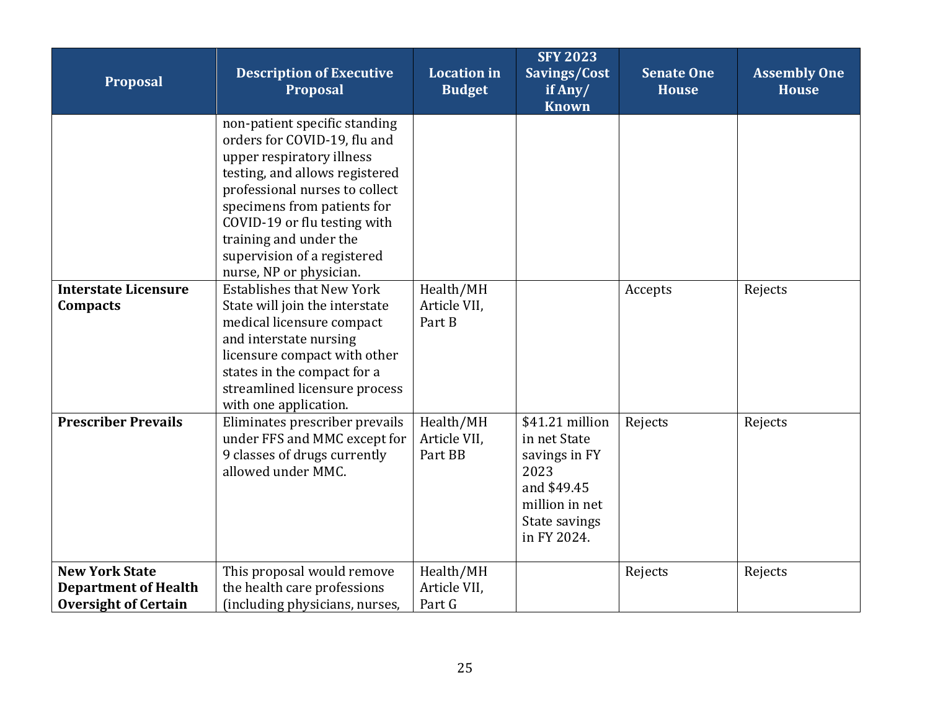| Proposal                                                                            | <b>Description of Executive</b><br>Proposal                                                                                                                                                                                                                                                                       | <b>Location</b> in<br><b>Budget</b>  | <b>SFY 2023</b><br>Savings/Cost<br>if Any/<br><b>Known</b>                                                                | <b>Senate One</b><br><b>House</b> | <b>Assembly One</b><br><b>House</b> |
|-------------------------------------------------------------------------------------|-------------------------------------------------------------------------------------------------------------------------------------------------------------------------------------------------------------------------------------------------------------------------------------------------------------------|--------------------------------------|---------------------------------------------------------------------------------------------------------------------------|-----------------------------------|-------------------------------------|
|                                                                                     | non-patient specific standing<br>orders for COVID-19, flu and<br>upper respiratory illness<br>testing, and allows registered<br>professional nurses to collect<br>specimens from patients for<br>COVID-19 or flu testing with<br>training and under the<br>supervision of a registered<br>nurse, NP or physician. |                                      |                                                                                                                           |                                   |                                     |
| <b>Interstate Licensure</b><br>Compacts                                             | <b>Establishes that New York</b><br>State will join the interstate<br>medical licensure compact<br>and interstate nursing<br>licensure compact with other<br>states in the compact for a<br>streamlined licensure process<br>with one application.                                                                | Health/MH<br>Article VII,<br>Part B  |                                                                                                                           | Accepts                           | Rejects                             |
| <b>Prescriber Prevails</b>                                                          | Eliminates prescriber prevails<br>under FFS and MMC except for<br>9 classes of drugs currently<br>allowed under MMC.                                                                                                                                                                                              | Health/MH<br>Article VII,<br>Part BB | \$41.21 million<br>in net State<br>savings in FY<br>2023<br>and \$49.45<br>million in net<br>State savings<br>in FY 2024. | Rejects                           | Rejects                             |
| <b>New York State</b><br><b>Department of Health</b><br><b>Oversight of Certain</b> | This proposal would remove<br>the health care professions<br>(including physicians, nurses,                                                                                                                                                                                                                       | Health/MH<br>Article VII,<br>Part G  |                                                                                                                           | Rejects                           | Rejects                             |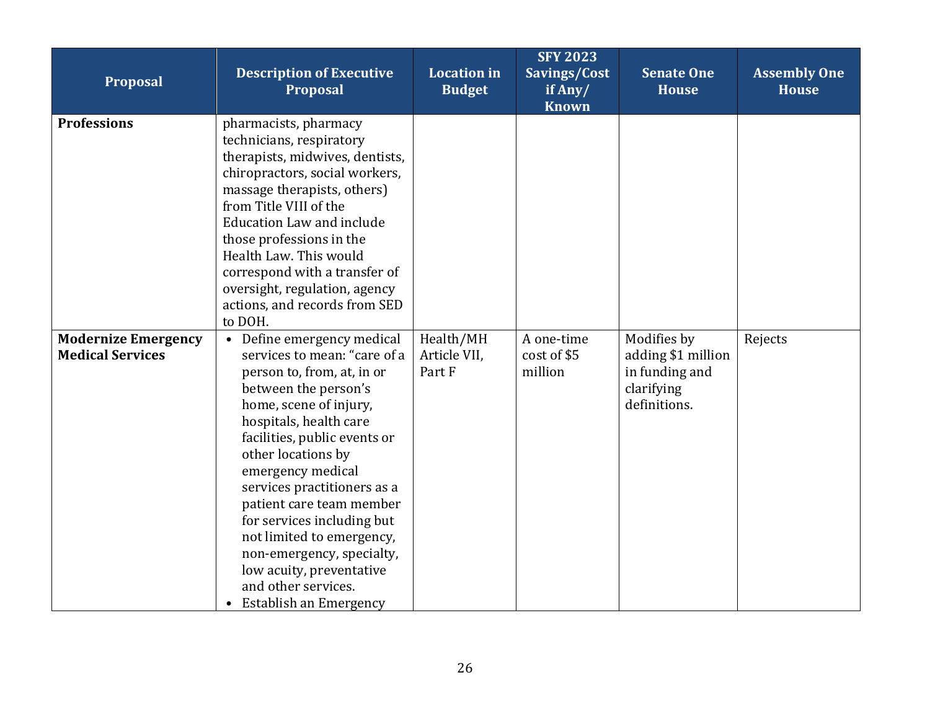| Proposal                                              | <b>Description of Executive</b><br>Proposal                                                                                                                                                                                                                                                                                                                                                                                                                                       | <b>Location</b> in<br><b>Budget</b> | <b>SFY 2023</b><br>Savings/Cost<br>if Any/<br><b>Known</b> | <b>Senate One</b><br><b>House</b>                                                 | <b>Assembly One</b><br><b>House</b> |
|-------------------------------------------------------|-----------------------------------------------------------------------------------------------------------------------------------------------------------------------------------------------------------------------------------------------------------------------------------------------------------------------------------------------------------------------------------------------------------------------------------------------------------------------------------|-------------------------------------|------------------------------------------------------------|-----------------------------------------------------------------------------------|-------------------------------------|
| <b>Professions</b>                                    | pharmacists, pharmacy<br>technicians, respiratory<br>therapists, midwives, dentists,<br>chiropractors, social workers,<br>massage therapists, others)<br>from Title VIII of the<br><b>Education Law and include</b><br>those professions in the<br>Health Law. This would<br>correspond with a transfer of<br>oversight, regulation, agency<br>actions, and records from SED<br>to DOH.                                                                                           |                                     |                                                            |                                                                                   |                                     |
| <b>Modernize Emergency</b><br><b>Medical Services</b> | • Define emergency medical<br>services to mean: "care of a<br>person to, from, at, in or<br>between the person's<br>home, scene of injury,<br>hospitals, health care<br>facilities, public events or<br>other locations by<br>emergency medical<br>services practitioners as a<br>patient care team member<br>for services including but<br>not limited to emergency,<br>non-emergency, specialty,<br>low acuity, preventative<br>and other services.<br>• Establish an Emergency | Health/MH<br>Article VII,<br>Part F | A one-time<br>cost of \$5<br>million                       | Modifies by<br>adding \$1 million<br>in funding and<br>clarifying<br>definitions. | Rejects                             |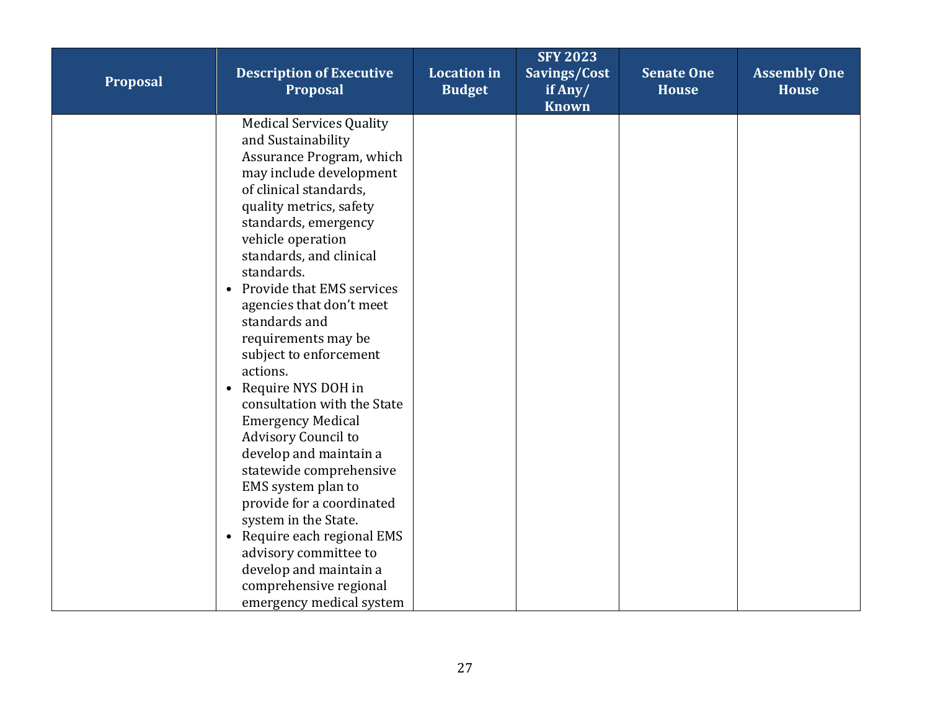| Proposal | <b>Description of Executive</b><br><b>Proposal</b>                                                                                                                                                                                                                                                                                                                                                                                                                                                                                                                                                                                                                                                                                                                                          | <b>Location</b> in<br><b>Budget</b> | <b>SFY 2023</b><br>Savings/Cost<br>if $Any/$<br><b>Known</b> | <b>Senate One</b><br><b>House</b> | <b>Assembly One</b><br><b>House</b> |
|----------|---------------------------------------------------------------------------------------------------------------------------------------------------------------------------------------------------------------------------------------------------------------------------------------------------------------------------------------------------------------------------------------------------------------------------------------------------------------------------------------------------------------------------------------------------------------------------------------------------------------------------------------------------------------------------------------------------------------------------------------------------------------------------------------------|-------------------------------------|--------------------------------------------------------------|-----------------------------------|-------------------------------------|
|          | <b>Medical Services Quality</b><br>and Sustainability<br>Assurance Program, which<br>may include development<br>of clinical standards,<br>quality metrics, safety<br>standards, emergency<br>vehicle operation<br>standards, and clinical<br>standards.<br>• Provide that EMS services<br>agencies that don't meet<br>standards and<br>requirements may be<br>subject to enforcement<br>actions.<br>Require NYS DOH in<br>$\bullet$<br>consultation with the State<br><b>Emergency Medical</b><br>Advisory Council to<br>develop and maintain a<br>statewide comprehensive<br>EMS system plan to<br>provide for a coordinated<br>system in the State.<br>Require each regional EMS<br>advisory committee to<br>develop and maintain a<br>comprehensive regional<br>emergency medical system |                                     |                                                              |                                   |                                     |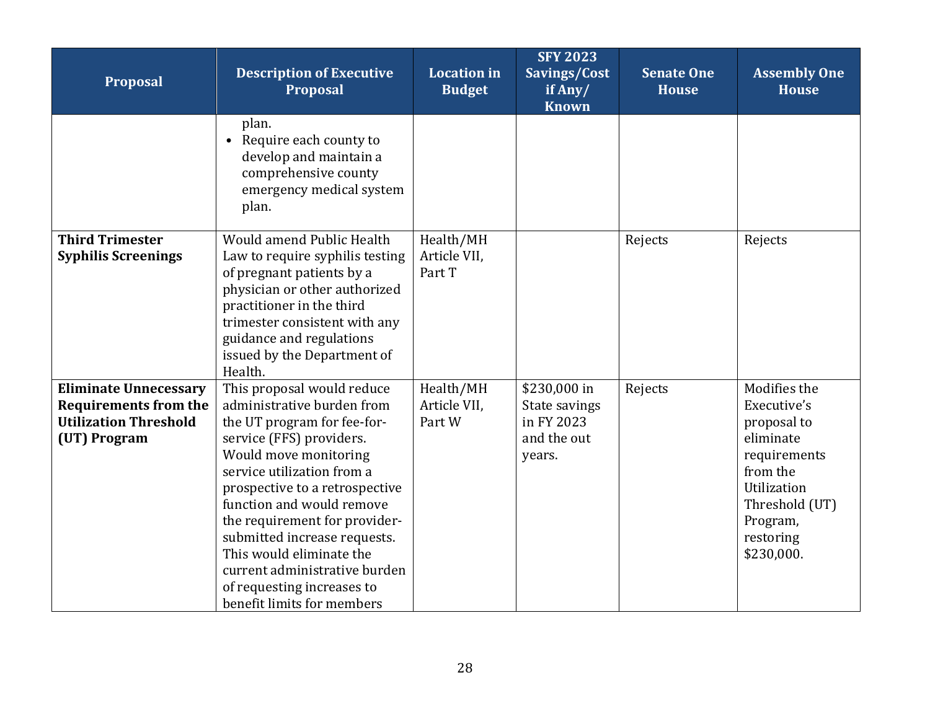| Proposal                                                                                                     | <b>Description of Executive</b><br><b>Proposal</b>                                                                                                                                                                                                                                                                                                                                                                                  | <b>Location</b> in<br><b>Budget</b> | <b>SFY 2023</b><br>Savings/Cost<br>if Any/<br><b>Known</b>           | <b>Senate One</b><br><b>House</b> | <b>Assembly One</b><br><b>House</b>                                                                                                                         |
|--------------------------------------------------------------------------------------------------------------|-------------------------------------------------------------------------------------------------------------------------------------------------------------------------------------------------------------------------------------------------------------------------------------------------------------------------------------------------------------------------------------------------------------------------------------|-------------------------------------|----------------------------------------------------------------------|-----------------------------------|-------------------------------------------------------------------------------------------------------------------------------------------------------------|
|                                                                                                              | plan.<br>• Require each county to<br>develop and maintain a<br>comprehensive county<br>emergency medical system<br>plan.                                                                                                                                                                                                                                                                                                            |                                     |                                                                      |                                   |                                                                                                                                                             |
| <b>Third Trimester</b><br><b>Syphilis Screenings</b>                                                         | Would amend Public Health<br>Law to require syphilis testing<br>of pregnant patients by a<br>physician or other authorized<br>practitioner in the third<br>trimester consistent with any<br>guidance and regulations<br>issued by the Department of<br>Health.                                                                                                                                                                      | Health/MH<br>Article VII,<br>Part T |                                                                      | Rejects                           | Rejects                                                                                                                                                     |
| <b>Eliminate Unnecessary</b><br><b>Requirements from the</b><br><b>Utilization Threshold</b><br>(UT) Program | This proposal would reduce<br>administrative burden from<br>the UT program for fee-for-<br>service (FFS) providers.<br>Would move monitoring<br>service utilization from a<br>prospective to a retrospective<br>function and would remove<br>the requirement for provider-<br>submitted increase requests.<br>This would eliminate the<br>current administrative burden<br>of requesting increases to<br>benefit limits for members | Health/MH<br>Article VII,<br>Part W | \$230,000 in<br>State savings<br>in FY 2023<br>and the out<br>years. | Rejects                           | Modifies the<br>Executive's<br>proposal to<br>eliminate<br>requirements<br>from the<br>Utilization<br>Threshold (UT)<br>Program,<br>restoring<br>\$230,000. |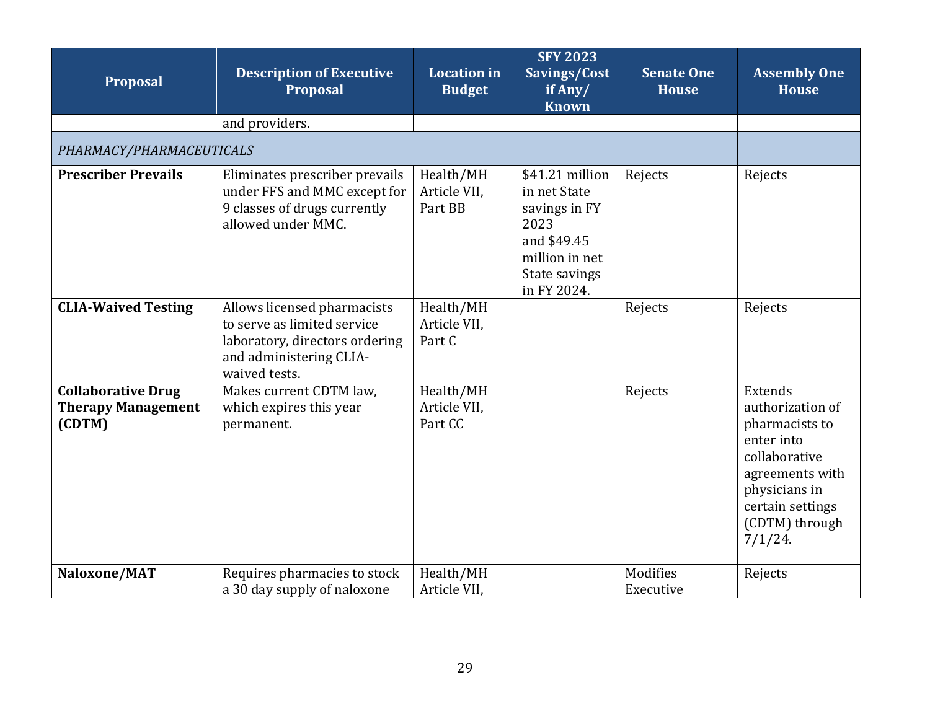<span id="page-28-0"></span>

| Proposal                                                         | <b>Description of Executive</b><br><b>Proposal</b>                                                                                       | <b>Location</b> in<br><b>Budget</b>  | <b>SFY 2023</b><br>Savings/Cost<br>if Any/<br><b>Known</b>                                                                | <b>Senate One</b><br><b>House</b> | <b>Assembly One</b><br><b>House</b>                                                                                                                                  |
|------------------------------------------------------------------|------------------------------------------------------------------------------------------------------------------------------------------|--------------------------------------|---------------------------------------------------------------------------------------------------------------------------|-----------------------------------|----------------------------------------------------------------------------------------------------------------------------------------------------------------------|
|                                                                  | and providers.                                                                                                                           |                                      |                                                                                                                           |                                   |                                                                                                                                                                      |
| PHARMACY/PHARMACEUTICALS                                         |                                                                                                                                          |                                      |                                                                                                                           |                                   |                                                                                                                                                                      |
| <b>Prescriber Prevails</b>                                       | Eliminates prescriber prevails<br>under FFS and MMC except for<br>9 classes of drugs currently<br>allowed under MMC.                     | Health/MH<br>Article VII,<br>Part BB | \$41.21 million<br>in net State<br>savings in FY<br>2023<br>and \$49.45<br>million in net<br>State savings<br>in FY 2024. | Rejects                           | Rejects                                                                                                                                                              |
| <b>CLIA-Waived Testing</b>                                       | Allows licensed pharmacists<br>to serve as limited service<br>laboratory, directors ordering<br>and administering CLIA-<br>waived tests. | Health/MH<br>Article VII,<br>Part C  |                                                                                                                           | Rejects                           | Rejects                                                                                                                                                              |
| <b>Collaborative Drug</b><br><b>Therapy Management</b><br>(CDTM) | Makes current CDTM law,<br>which expires this year<br>permanent.                                                                         | Health/MH<br>Article VII,<br>Part CC |                                                                                                                           | Rejects                           | Extends<br>authorization of<br>pharmacists to<br>enter into<br>collaborative<br>agreements with<br>physicians in<br>certain settings<br>(CDTM) through<br>$7/1/24$ . |
| Naloxone/MAT                                                     | Requires pharmacies to stock<br>a 30 day supply of naloxone                                                                              | Health/MH<br>Article VII,            |                                                                                                                           | Modifies<br>Executive             | Rejects                                                                                                                                                              |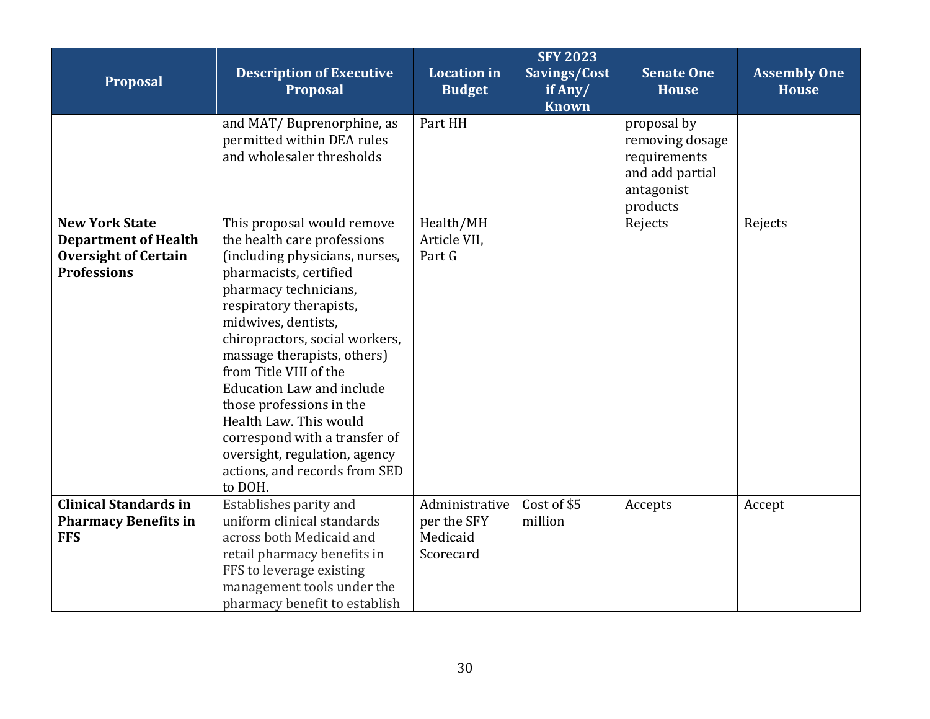| Proposal                                                                                                  | <b>Description of Executive</b><br><b>Proposal</b>                                                                                                                                                                                                                                                                                                                                                                                                                                                  | <b>Location</b> in<br><b>Budget</b>                    | <b>SFY 2023</b><br>Savings/Cost<br>if Any/<br><b>Known</b> | <b>Senate One</b><br><b>House</b>                                                           | <b>Assembly One</b><br><b>House</b> |
|-----------------------------------------------------------------------------------------------------------|-----------------------------------------------------------------------------------------------------------------------------------------------------------------------------------------------------------------------------------------------------------------------------------------------------------------------------------------------------------------------------------------------------------------------------------------------------------------------------------------------------|--------------------------------------------------------|------------------------------------------------------------|---------------------------------------------------------------------------------------------|-------------------------------------|
|                                                                                                           | and MAT/Buprenorphine, as<br>permitted within DEA rules<br>and wholesaler thresholds                                                                                                                                                                                                                                                                                                                                                                                                                | Part HH                                                |                                                            | proposal by<br>removing dosage<br>requirements<br>and add partial<br>antagonist<br>products |                                     |
| <b>New York State</b><br><b>Department of Health</b><br><b>Oversight of Certain</b><br><b>Professions</b> | This proposal would remove<br>the health care professions<br>(including physicians, nurses,<br>pharmacists, certified<br>pharmacy technicians,<br>respiratory therapists,<br>midwives, dentists,<br>chiropractors, social workers,<br>massage therapists, others)<br>from Title VIII of the<br><b>Education Law and include</b><br>those professions in the<br>Health Law. This would<br>correspond with a transfer of<br>oversight, regulation, agency<br>actions, and records from SED<br>to DOH. | Health/MH<br>Article VII,<br>Part G                    |                                                            | Rejects                                                                                     | Rejects                             |
| <b>Clinical Standards in</b><br><b>Pharmacy Benefits in</b><br><b>FFS</b>                                 | Establishes parity and<br>uniform clinical standards<br>across both Medicaid and<br>retail pharmacy benefits in<br>FFS to leverage existing<br>management tools under the<br>pharmacy benefit to establish                                                                                                                                                                                                                                                                                          | Administrative<br>per the SFY<br>Medicaid<br>Scorecard | Cost of \$5<br>million                                     | Accepts                                                                                     | Accept                              |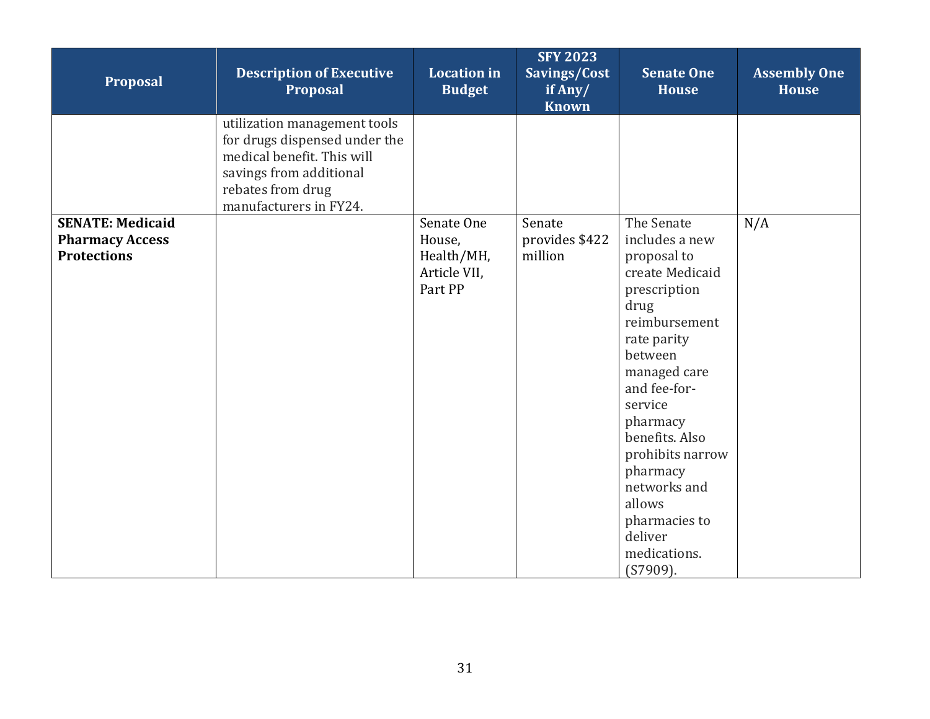| Proposal                                                                | <b>Description of Executive</b><br>Proposal                                                                                                                           | <b>Location</b> in<br><b>Budget</b>                           | <b>SFY 2023</b><br>Savings/Cost<br>if Any/<br><b>Known</b> | <b>Senate One</b><br><b>House</b>                                                                                                                                                                                                                                                                                               | <b>Assembly One</b><br><b>House</b> |
|-------------------------------------------------------------------------|-----------------------------------------------------------------------------------------------------------------------------------------------------------------------|---------------------------------------------------------------|------------------------------------------------------------|---------------------------------------------------------------------------------------------------------------------------------------------------------------------------------------------------------------------------------------------------------------------------------------------------------------------------------|-------------------------------------|
|                                                                         | utilization management tools<br>for drugs dispensed under the<br>medical benefit. This will<br>savings from additional<br>rebates from drug<br>manufacturers in FY24. |                                                               |                                                            |                                                                                                                                                                                                                                                                                                                                 |                                     |
| <b>SENATE: Medicaid</b><br><b>Pharmacy Access</b><br><b>Protections</b> |                                                                                                                                                                       | Senate One<br>House,<br>Health/MH,<br>Article VII,<br>Part PP | Senate<br>provides \$422<br>million                        | The Senate<br>includes a new<br>proposal to<br>create Medicaid<br>prescription<br>drug<br>reimbursement<br>rate parity<br>between<br>managed care<br>and fee-for-<br>service<br>pharmacy<br>benefits. Also<br>prohibits narrow<br>pharmacy<br>networks and<br>allows<br>pharmacies to<br>deliver<br>medications.<br>$(S7909)$ . | N/A                                 |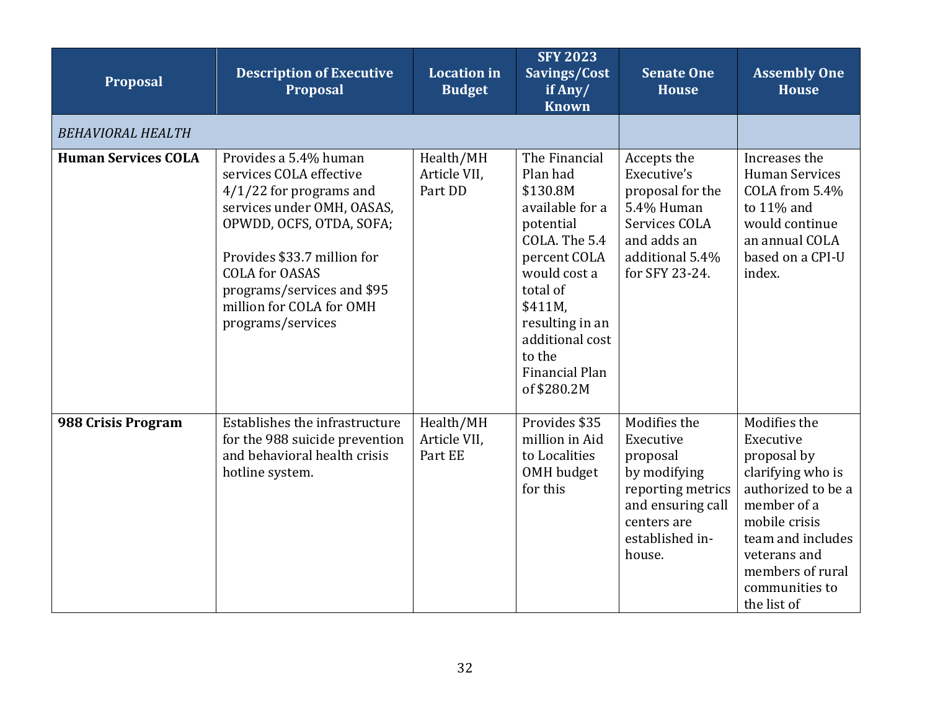<span id="page-31-0"></span>

| Proposal                   | <b>Description of Executive</b><br><b>Proposal</b>                                                                                                                                                                                                                             | <b>Location</b> in<br><b>Budget</b>  | <b>SFY 2023</b><br>Savings/Cost<br>if Any/<br><b>Known</b>                                                                                                                                                                            | <b>Senate One</b><br><b>House</b>                                                                                                           | <b>Assembly One</b><br><b>House</b>                                                                                                                                                                           |
|----------------------------|--------------------------------------------------------------------------------------------------------------------------------------------------------------------------------------------------------------------------------------------------------------------------------|--------------------------------------|---------------------------------------------------------------------------------------------------------------------------------------------------------------------------------------------------------------------------------------|---------------------------------------------------------------------------------------------------------------------------------------------|---------------------------------------------------------------------------------------------------------------------------------------------------------------------------------------------------------------|
| <b>BEHAVIORAL HEALTH</b>   |                                                                                                                                                                                                                                                                                |                                      |                                                                                                                                                                                                                                       |                                                                                                                                             |                                                                                                                                                                                                               |
| <b>Human Services COLA</b> | Provides a 5.4% human<br>services COLA effective<br>$4/1/22$ for programs and<br>services under OMH, OASAS,<br>OPWDD, OCFS, OTDA, SOFA;<br>Provides \$33.7 million for<br><b>COLA for OASAS</b><br>programs/services and \$95<br>million for COLA for OMH<br>programs/services | Health/MH<br>Article VII,<br>Part DD | The Financial<br>Plan had<br>\$130.8M<br>available for a<br>potential<br>COLA. The 5.4<br>percent COLA<br>would cost a<br>total of<br>\$411M,<br>resulting in an<br>additional cost<br>to the<br><b>Financial Plan</b><br>of \$280.2M | Accepts the<br>Executive's<br>proposal for the<br>5.4% Human<br>Services COLA<br>and adds an<br>additional 5.4%<br>for SFY 23-24.           | Increases the<br><b>Human Services</b><br>COLA from 5.4%<br>to 11% and<br>would continue<br>an annual COLA<br>based on a CPI-U<br>index.                                                                      |
| 988 Crisis Program         | Establishes the infrastructure<br>for the 988 suicide prevention<br>and behavioral health crisis<br>hotline system.                                                                                                                                                            | Health/MH<br>Article VII,<br>Part EE | Provides \$35<br>million in Aid<br>to Localities<br>OMH budget<br>for this                                                                                                                                                            | Modifies the<br>Executive<br>proposal<br>by modifying<br>reporting metrics<br>and ensuring call<br>centers are<br>established in-<br>house. | Modifies the<br>Executive<br>proposal by<br>clarifying who is<br>authorized to be a<br>member of a<br>mobile crisis<br>team and includes<br>veterans and<br>members of rural<br>communities to<br>the list of |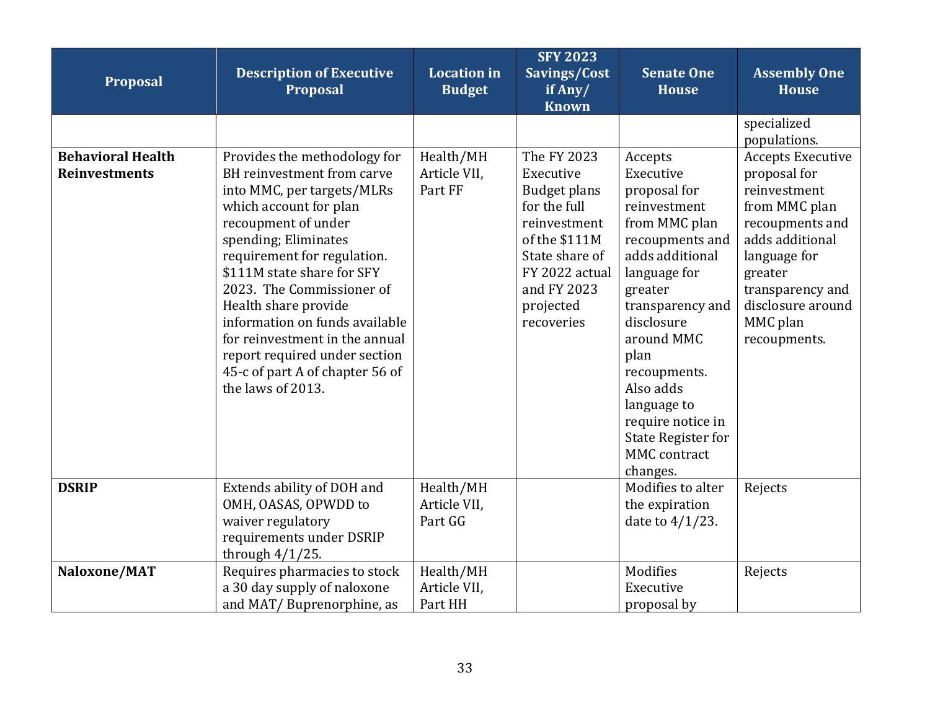| Proposal                                         | <b>Description of Executive</b><br>Proposal                                                                                                                                                                                                                                                                                                                                                                                                      | <b>Location</b> in<br><b>Budget</b>  | <b>SFY 2023</b><br>Savings/Cost<br>if Any/<br><b>Known</b>                                                                                                                     | <b>Senate One</b><br><b>House</b>                                                                                                                                                                                                                                                                                               | <b>Assembly One</b><br><b>House</b>                                                                                                                                                                             |
|--------------------------------------------------|--------------------------------------------------------------------------------------------------------------------------------------------------------------------------------------------------------------------------------------------------------------------------------------------------------------------------------------------------------------------------------------------------------------------------------------------------|--------------------------------------|--------------------------------------------------------------------------------------------------------------------------------------------------------------------------------|---------------------------------------------------------------------------------------------------------------------------------------------------------------------------------------------------------------------------------------------------------------------------------------------------------------------------------|-----------------------------------------------------------------------------------------------------------------------------------------------------------------------------------------------------------------|
|                                                  |                                                                                                                                                                                                                                                                                                                                                                                                                                                  |                                      |                                                                                                                                                                                |                                                                                                                                                                                                                                                                                                                                 | specialized<br>populations.                                                                                                                                                                                     |
| <b>Behavioral Health</b><br><b>Reinvestments</b> | Provides the methodology for<br>BH reinvestment from carve<br>into MMC, per targets/MLRs<br>which account for plan<br>recoupment of under<br>spending; Eliminates<br>requirement for regulation.<br>\$111M state share for SFY<br>2023. The Commissioner of<br>Health share provide<br>information on funds available<br>for reinvestment in the annual<br>report required under section<br>45-c of part A of chapter 56 of<br>the laws of 2013. | Health/MH<br>Article VII,<br>Part FF | The FY 2023<br>Executive<br><b>Budget plans</b><br>for the full<br>reinvestment<br>of the \$111M<br>State share of<br>FY 2022 actual<br>and FY 2023<br>projected<br>recoveries | Accepts<br>Executive<br>proposal for<br>reinvestment<br>from MMC plan<br>recoupments and<br>adds additional<br>language for<br>greater<br>transparency and<br>disclosure<br>around MMC<br>plan<br>recoupments.<br>Also adds<br>language to<br>require notice in<br><b>State Register for</b><br><b>MMC</b> contract<br>changes. | <b>Accepts Executive</b><br>proposal for<br>reinvestment<br>from MMC plan<br>recoupments and<br>adds additional<br>language for<br>greater<br>transparency and<br>disclosure around<br>MMC plan<br>recoupments. |
| <b>DSRIP</b>                                     | Extends ability of DOH and<br>OMH, OASAS, OPWDD to<br>waiver regulatory<br>requirements under DSRIP<br>through $4/1/25$ .                                                                                                                                                                                                                                                                                                                        | Health/MH<br>Article VII.<br>Part GG |                                                                                                                                                                                | Modifies to alter<br>the expiration<br>date to $4/1/23$ .                                                                                                                                                                                                                                                                       | Rejects                                                                                                                                                                                                         |
| Naloxone/MAT                                     | Requires pharmacies to stock<br>a 30 day supply of naloxone<br>and MAT/Buprenorphine, as                                                                                                                                                                                                                                                                                                                                                         | Health/MH<br>Article VII,<br>Part HH |                                                                                                                                                                                | Modifies<br>Executive<br>proposal by                                                                                                                                                                                                                                                                                            | Rejects                                                                                                                                                                                                         |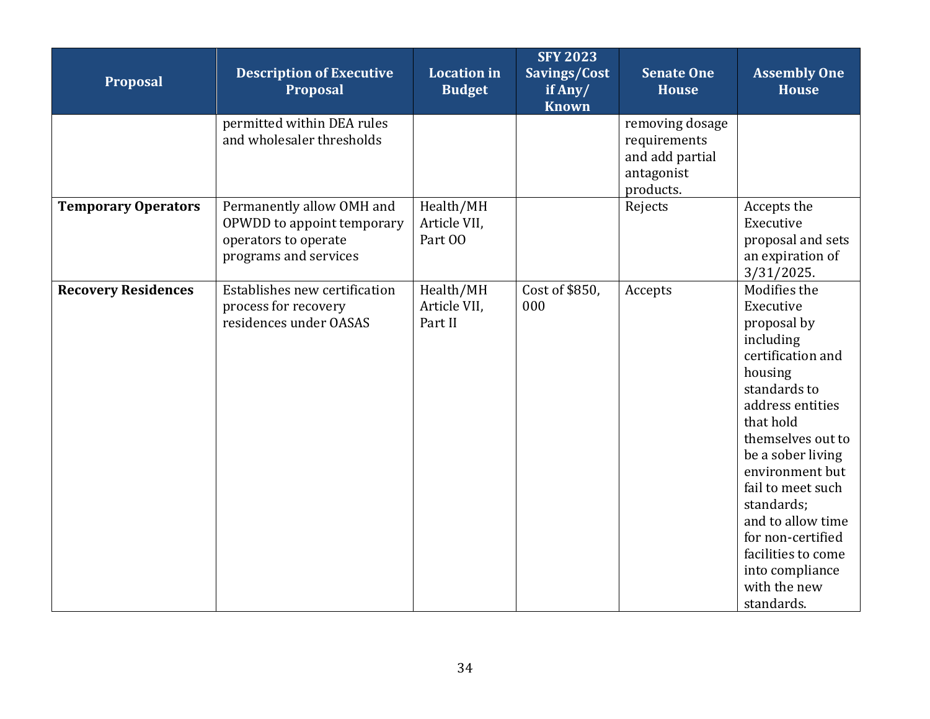| Proposal                   | <b>Description of Executive</b><br><b>Proposal</b>                                                       | <b>Location</b> in<br><b>Budget</b>  | <b>SFY 2023</b><br>Savings/Cost<br>if Any/<br><b>Known</b> | <b>Senate One</b><br><b>House</b>                                             | <b>Assembly One</b><br><b>House</b>                                                                                                                                                                                                                                                                                                                     |
|----------------------------|----------------------------------------------------------------------------------------------------------|--------------------------------------|------------------------------------------------------------|-------------------------------------------------------------------------------|---------------------------------------------------------------------------------------------------------------------------------------------------------------------------------------------------------------------------------------------------------------------------------------------------------------------------------------------------------|
|                            | permitted within DEA rules<br>and wholesaler thresholds                                                  |                                      |                                                            | removing dosage<br>requirements<br>and add partial<br>antagonist<br>products. |                                                                                                                                                                                                                                                                                                                                                         |
| <b>Temporary Operators</b> | Permanently allow OMH and<br>OPWDD to appoint temporary<br>operators to operate<br>programs and services | Health/MH<br>Article VII,<br>Part 00 |                                                            | Rejects                                                                       | Accepts the<br>Executive<br>proposal and sets<br>an expiration of<br>$3/31/2025$ .                                                                                                                                                                                                                                                                      |
| <b>Recovery Residences</b> | Establishes new certification<br>process for recovery<br>residences under OASAS                          | Health/MH<br>Article VII,<br>Part II | Cost of \$850,<br>000                                      | Accepts                                                                       | Modifies the<br>Executive<br>proposal by<br>including<br>certification and<br>housing<br>standards to<br>address entities<br>that hold<br>themselves out to<br>be a sober living<br>environment but<br>fail to meet such<br>standards;<br>and to allow time<br>for non-certified<br>facilities to come<br>into compliance<br>with the new<br>standards. |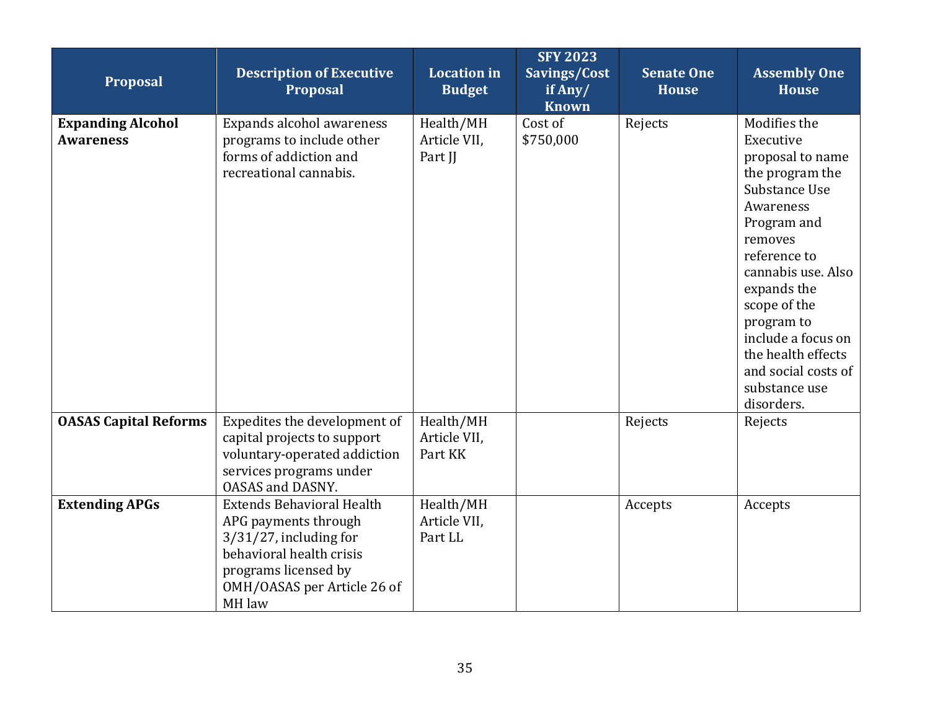| Proposal                                     | <b>Description of Executive</b><br>Proposal                                                                                                                                        | <b>Location</b> in<br><b>Budget</b>  | <b>SFY 2023</b><br>Savings/Cost<br>if Any/<br><b>Known</b> | <b>Senate One</b><br><b>House</b> | <b>Assembly One</b><br><b>House</b>                                                                                                                                                                                                                                                                           |
|----------------------------------------------|------------------------------------------------------------------------------------------------------------------------------------------------------------------------------------|--------------------------------------|------------------------------------------------------------|-----------------------------------|---------------------------------------------------------------------------------------------------------------------------------------------------------------------------------------------------------------------------------------------------------------------------------------------------------------|
| <b>Expanding Alcohol</b><br><b>Awareness</b> | Expands alcohol awareness<br>programs to include other<br>forms of addiction and<br>recreational cannabis.                                                                         | Health/MH<br>Article VII,<br>Part JJ | Cost of<br>\$750,000                                       | Rejects                           | Modifies the<br>Executive<br>proposal to name<br>the program the<br>Substance Use<br>Awareness<br>Program and<br>removes<br>reference to<br>cannabis use. Also<br>expands the<br>scope of the<br>program to<br>include a focus on<br>the health effects<br>and social costs of<br>substance use<br>disorders. |
| <b>OASAS Capital Reforms</b>                 | Expedites the development of<br>capital projects to support<br>voluntary-operated addiction<br>services programs under<br><b>OASAS and DASNY.</b>                                  | Health/MH<br>Article VII,<br>Part KK |                                                            | Rejects                           | Rejects                                                                                                                                                                                                                                                                                                       |
| <b>Extending APGs</b>                        | <b>Extends Behavioral Health</b><br>APG payments through<br>$3/31/27$ , including for<br>behavioral health crisis<br>programs licensed by<br>OMH/OASAS per Article 26 of<br>MH law | Health/MH<br>Article VII,<br>Part LL |                                                            | Accepts                           | Accepts                                                                                                                                                                                                                                                                                                       |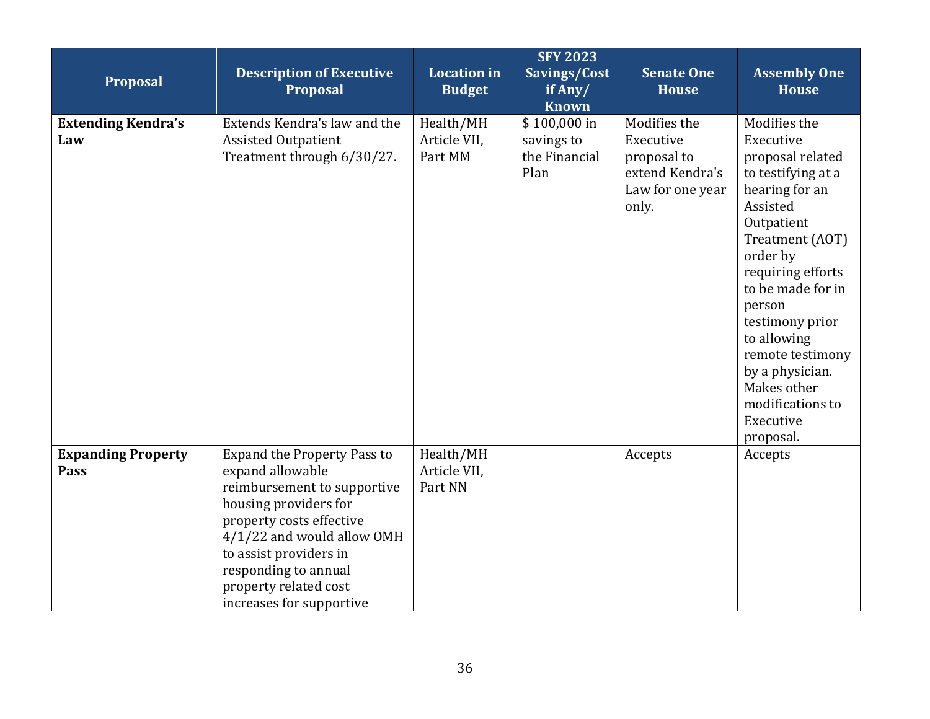| Proposal                          | <b>Description of Executive</b><br><b>Proposal</b>                                                                                                                                                                                                                              | <b>Location</b> in<br><b>Budget</b>  | <b>SFY 2023</b><br>Savings/Cost<br>if Any/<br><b>Known</b> | <b>Senate One</b><br><b>House</b>                                                        | <b>Assembly One</b><br><b>House</b>                                                                                                                                                                                                                                                                                                      |
|-----------------------------------|---------------------------------------------------------------------------------------------------------------------------------------------------------------------------------------------------------------------------------------------------------------------------------|--------------------------------------|------------------------------------------------------------|------------------------------------------------------------------------------------------|------------------------------------------------------------------------------------------------------------------------------------------------------------------------------------------------------------------------------------------------------------------------------------------------------------------------------------------|
| <b>Extending Kendra's</b><br>Law  | Extends Kendra's law and the<br><b>Assisted Outpatient</b><br>Treatment through 6/30/27.                                                                                                                                                                                        | Health/MH<br>Article VII,<br>Part MM | \$100,000 in<br>savings to<br>the Financial<br>Plan        | Modifies the<br>Executive<br>proposal to<br>extend Kendra's<br>Law for one year<br>only. | Modifies the<br>Executive<br>proposal related<br>to testifying at a<br>hearing for an<br>Assisted<br>Outpatient<br>Treatment (AOT)<br>order by<br>requiring efforts<br>to be made for in<br>person<br>testimony prior<br>to allowing<br>remote testimony<br>by a physician.<br>Makes other<br>modifications to<br>Executive<br>proposal. |
| <b>Expanding Property</b><br>Pass | <b>Expand the Property Pass to</b><br>expand allowable<br>reimbursement to supportive<br>housing providers for<br>property costs effective<br>4/1/22 and would allow OMH<br>to assist providers in<br>responding to annual<br>property related cost<br>increases for supportive | Health/MH<br>Article VII,<br>Part NN |                                                            | Accepts                                                                                  | Accepts                                                                                                                                                                                                                                                                                                                                  |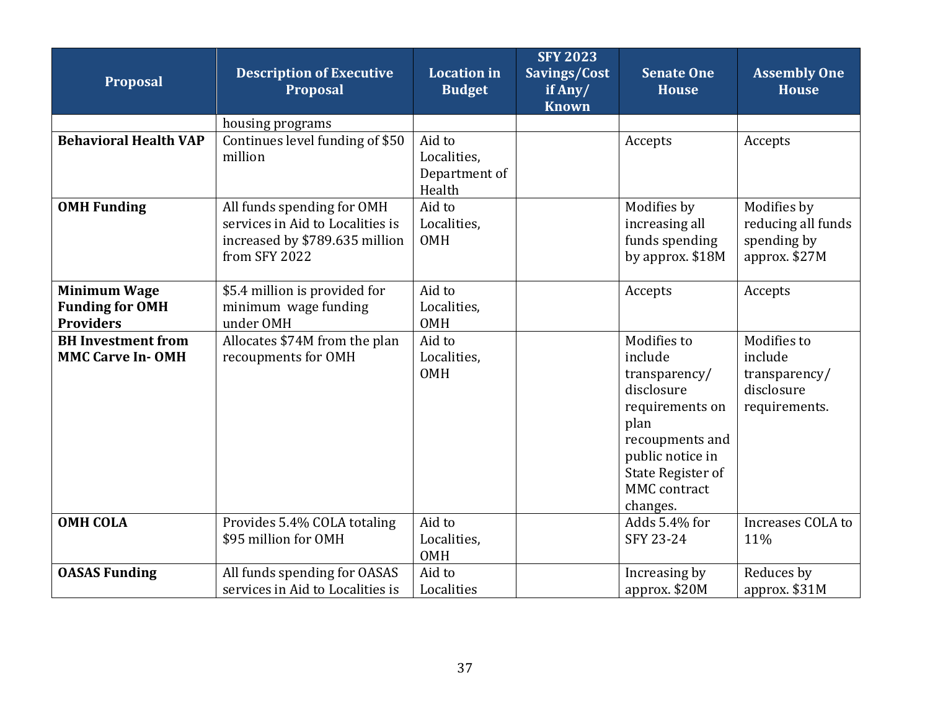| Proposal                                                          | <b>Description of Executive</b><br><b>Proposal</b>                                                                | <b>Location in</b><br><b>Budget</b>              | <b>SFY 2023</b><br>Savings/Cost<br>if Any/<br><b>Known</b> | <b>Senate One</b><br><b>House</b>                                                                                                                                                      | <b>Assembly One</b><br><b>House</b>                                    |
|-------------------------------------------------------------------|-------------------------------------------------------------------------------------------------------------------|--------------------------------------------------|------------------------------------------------------------|----------------------------------------------------------------------------------------------------------------------------------------------------------------------------------------|------------------------------------------------------------------------|
|                                                                   | housing programs                                                                                                  |                                                  |                                                            |                                                                                                                                                                                        |                                                                        |
| <b>Behavioral Health VAP</b>                                      | Continues level funding of \$50<br>million                                                                        | Aid to<br>Localities,<br>Department of<br>Health |                                                            | Accepts                                                                                                                                                                                | Accepts                                                                |
| <b>OMH Funding</b>                                                | All funds spending for OMH<br>services in Aid to Localities is<br>increased by \$789.635 million<br>from SFY 2022 | Aid to<br>Localities,<br><b>OMH</b>              |                                                            | Modifies by<br>increasing all<br>funds spending<br>by approx. \$18M                                                                                                                    | Modifies by<br>reducing all funds<br>spending by<br>approx. \$27M      |
| <b>Minimum Wage</b><br><b>Funding for OMH</b><br><b>Providers</b> | \$5.4 million is provided for<br>minimum wage funding<br>under OMH                                                | Aid to<br>Localities,<br><b>OMH</b>              |                                                            | Accepts                                                                                                                                                                                | Accepts                                                                |
| <b>BH</b> Investment from<br><b>MMC Carve In-OMH</b>              | Allocates \$74M from the plan<br>recoupments for OMH                                                              | Aid to<br>Localities,<br><b>OMH</b>              |                                                            | Modifies to<br>include<br>transparency/<br>disclosure<br>requirements on<br>plan<br>recoupments and<br>public notice in<br><b>State Register of</b><br><b>MMC</b> contract<br>changes. | Modifies to<br>include<br>transparency/<br>disclosure<br>requirements. |
| <b>OMH COLA</b>                                                   | Provides 5.4% COLA totaling<br>\$95 million for OMH                                                               | Aid to<br>Localities,<br><b>OMH</b>              |                                                            | Adds 5.4% for<br>SFY 23-24                                                                                                                                                             | Increases COLA to<br>11%                                               |
| <b>OASAS Funding</b>                                              | All funds spending for OASAS<br>services in Aid to Localities is                                                  | Aid to<br>Localities                             |                                                            | Increasing by<br>approx. \$20M                                                                                                                                                         | Reduces by<br>approx. \$31M                                            |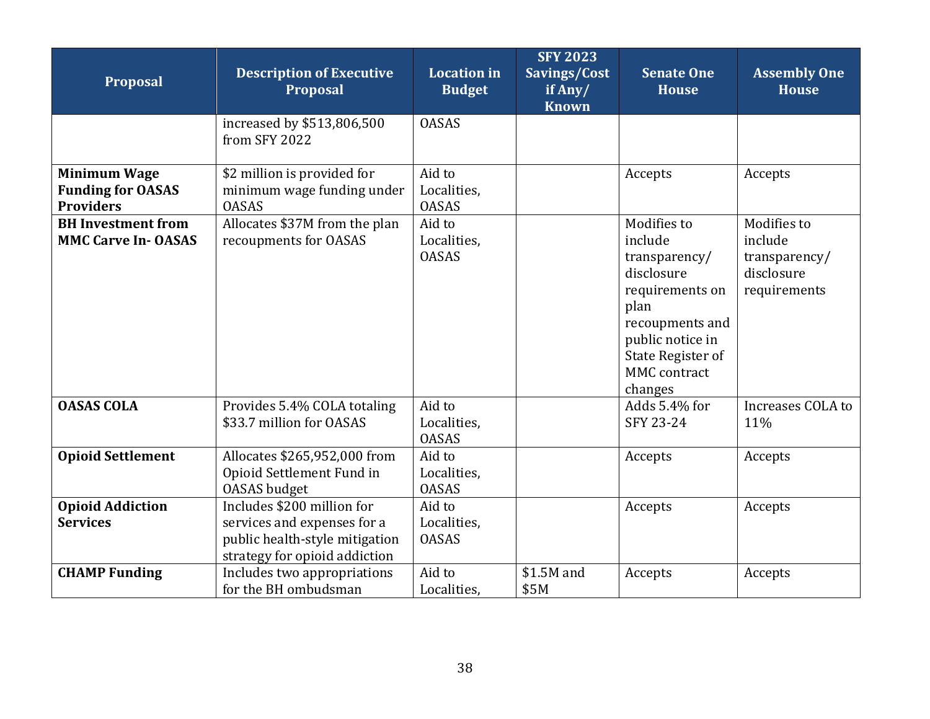| Proposal                                                            | <b>Description of Executive</b><br><b>Proposal</b>                                                                           | <b>Location</b> in<br><b>Budget</b>   | <b>SFY 2023</b><br>Savings/Cost<br>if Any/<br><b>Known</b> | <b>Senate One</b><br><b>House</b>                                                                                                                                       | <b>Assembly One</b><br><b>House</b>                                   |
|---------------------------------------------------------------------|------------------------------------------------------------------------------------------------------------------------------|---------------------------------------|------------------------------------------------------------|-------------------------------------------------------------------------------------------------------------------------------------------------------------------------|-----------------------------------------------------------------------|
|                                                                     | increased by \$513,806,500<br>from SFY 2022                                                                                  | <b>OASAS</b>                          |                                                            |                                                                                                                                                                         |                                                                       |
| <b>Minimum Wage</b><br><b>Funding for OASAS</b><br><b>Providers</b> | \$2 million is provided for<br>minimum wage funding under<br><b>OASAS</b>                                                    | Aid to<br>Localities,<br><b>OASAS</b> |                                                            | Accepts                                                                                                                                                                 | Accepts                                                               |
| <b>BH</b> Investment from<br><b>MMC Carve In-OASAS</b>              | Allocates \$37M from the plan<br>recoupments for OASAS                                                                       | Aid to<br>Localities,<br><b>OASAS</b> |                                                            | Modifies to<br>include<br>transparency/<br>disclosure<br>requirements on<br>plan<br>recoupments and<br>public notice in<br>State Register of<br>MMC contract<br>changes | Modifies to<br>include<br>transparency/<br>disclosure<br>requirements |
| <b>OASAS COLA</b>                                                   | Provides 5.4% COLA totaling<br>\$33.7 million for OASAS                                                                      | Aid to<br>Localities,<br><b>OASAS</b> |                                                            | Adds 5.4% for<br>SFY 23-24                                                                                                                                              | Increases COLA to<br>11%                                              |
| <b>Opioid Settlement</b>                                            | Allocates \$265,952,000 from<br>Opioid Settlement Fund in<br><b>OASAS</b> budget                                             | Aid to<br>Localities,<br><b>OASAS</b> |                                                            | Accepts                                                                                                                                                                 | Accepts                                                               |
| <b>Opioid Addiction</b><br><b>Services</b>                          | Includes \$200 million for<br>services and expenses for a<br>public health-style mitigation<br>strategy for opioid addiction | Aid to<br>Localities.<br><b>OASAS</b> |                                                            | Accepts                                                                                                                                                                 | Accepts                                                               |
| <b>CHAMP Funding</b>                                                | Includes two appropriations<br>for the BH ombudsman                                                                          | Aid to<br>Localities,                 | \$1.5M and<br>\$5M                                         | Accepts                                                                                                                                                                 | Accepts                                                               |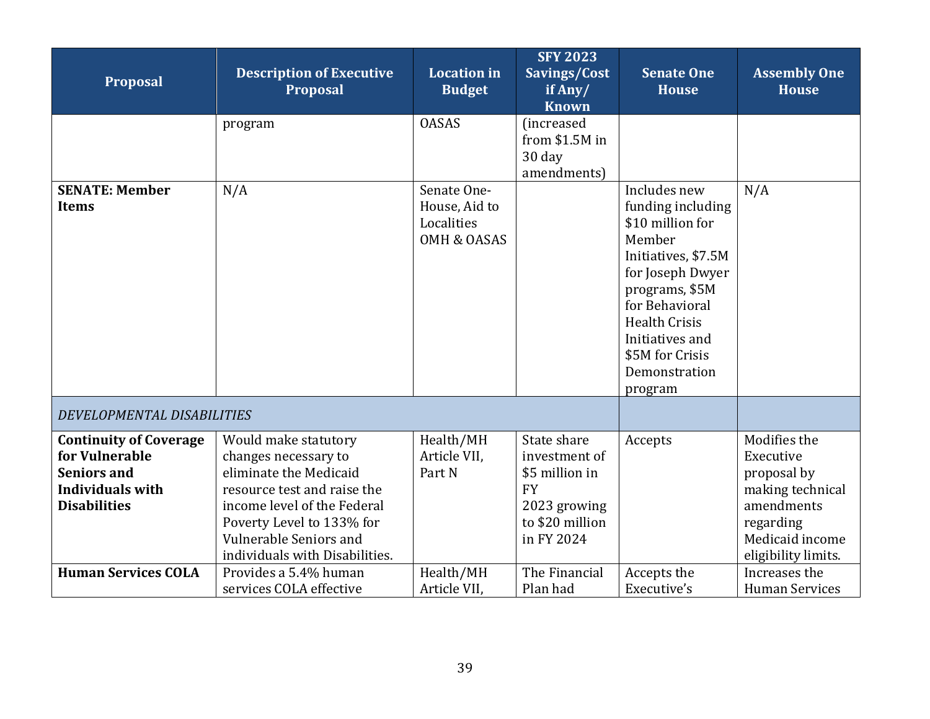<span id="page-38-0"></span>

| Proposal                                                                                                         | <b>Description of Executive</b><br>Proposal                                                                                                                                                                                          | <b>Location</b> in<br><b>Budget</b>                                  | <b>SFY 2023</b><br>Savings/Cost<br>if Any/<br><b>Known</b>                                                   | <b>Senate One</b><br><b>House</b>                                                                                                                                                                                                        | <b>Assembly One</b><br><b>House</b>                                                                                               |
|------------------------------------------------------------------------------------------------------------------|--------------------------------------------------------------------------------------------------------------------------------------------------------------------------------------------------------------------------------------|----------------------------------------------------------------------|--------------------------------------------------------------------------------------------------------------|------------------------------------------------------------------------------------------------------------------------------------------------------------------------------------------------------------------------------------------|-----------------------------------------------------------------------------------------------------------------------------------|
|                                                                                                                  | program                                                                                                                                                                                                                              | <b>OASAS</b>                                                         | (increased<br>from \$1.5M in<br>30 day<br>amendments)                                                        |                                                                                                                                                                                                                                          |                                                                                                                                   |
| <b>SENATE: Member</b><br><b>Items</b>                                                                            | N/A                                                                                                                                                                                                                                  | Senate One-<br>House, Aid to<br>Localities<br><b>OMH &amp; OASAS</b> |                                                                                                              | Includes new<br>funding including<br>\$10 million for<br>Member<br>Initiatives, \$7.5M<br>for Joseph Dwyer<br>programs, \$5M<br>for Behavioral<br><b>Health Crisis</b><br>Initiatives and<br>\$5M for Crisis<br>Demonstration<br>program | N/A                                                                                                                               |
| DEVELOPMENTAL DISABILITIES                                                                                       |                                                                                                                                                                                                                                      |                                                                      |                                                                                                              |                                                                                                                                                                                                                                          |                                                                                                                                   |
| <b>Continuity of Coverage</b><br>for Vulnerable<br><b>Seniors and</b><br>Individuals with<br><b>Disabilities</b> | Would make statutory<br>changes necessary to<br>eliminate the Medicaid<br>resource test and raise the<br>income level of the Federal<br>Poverty Level to 133% for<br><b>Vulnerable Seniors and</b><br>individuals with Disabilities. | Health/MH<br>Article VII.<br>Part N                                  | State share<br>investment of<br>\$5 million in<br><b>FY</b><br>2023 growing<br>to \$20 million<br>in FY 2024 | Accepts                                                                                                                                                                                                                                  | Modifies the<br>Executive<br>proposal by<br>making technical<br>amendments<br>regarding<br>Medicaid income<br>eligibility limits. |
| <b>Human Services COLA</b>                                                                                       | Provides a 5.4% human<br>services COLA effective                                                                                                                                                                                     | Health/MH<br>Article VII.                                            | The Financial<br>Plan had                                                                                    | Accepts the<br>Executive's                                                                                                                                                                                                               | Increases the<br><b>Human Services</b>                                                                                            |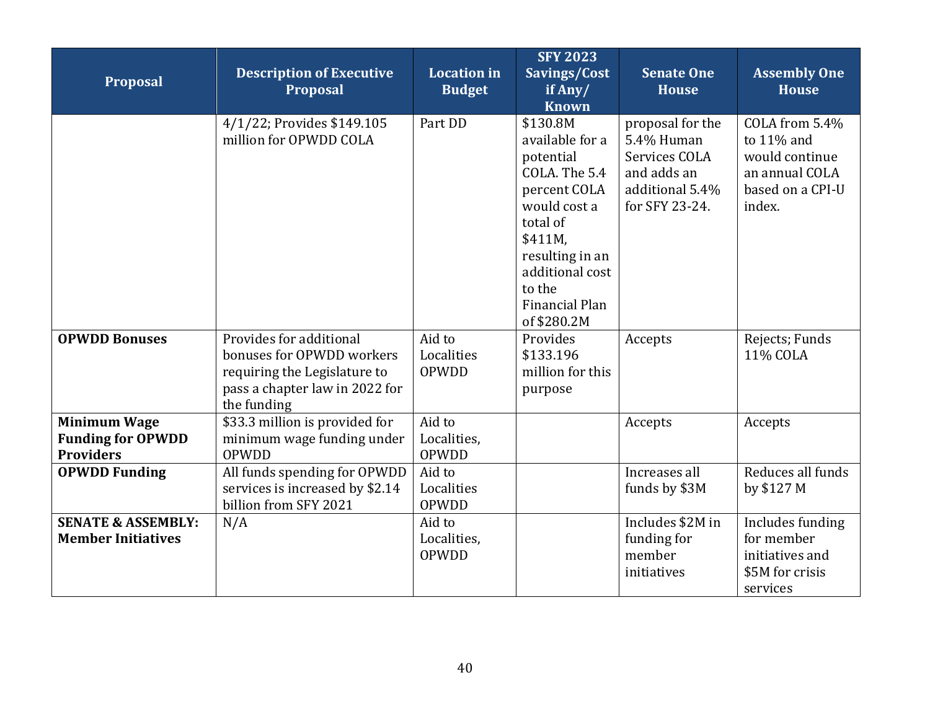| Proposal                                                            | <b>Description of Executive</b><br><b>Proposal</b>                                                                                    | <b>Location in</b><br><b>Budget</b>   | <b>SFY 2023</b><br>Savings/Cost<br>if Any/<br><b>Known</b>                                                                                                                                        | <b>Senate One</b><br><b>House</b>                                                                   | <b>Assembly One</b><br><b>House</b>                                                            |
|---------------------------------------------------------------------|---------------------------------------------------------------------------------------------------------------------------------------|---------------------------------------|---------------------------------------------------------------------------------------------------------------------------------------------------------------------------------------------------|-----------------------------------------------------------------------------------------------------|------------------------------------------------------------------------------------------------|
|                                                                     | 4/1/22; Provides \$149.105<br>million for OPWDD COLA                                                                                  | Part DD                               | \$130.8M<br>available for a<br>potential<br>COLA. The 5.4<br>percent COLA<br>would cost a<br>total of<br>\$411M.<br>resulting in an<br>additional cost<br>to the<br>Financial Plan<br>of \$280.2M | proposal for the<br>5.4% Human<br>Services COLA<br>and adds an<br>additional 5.4%<br>for SFY 23-24. | COLA from 5.4%<br>to 11% and<br>would continue<br>an annual COLA<br>based on a CPI-U<br>index. |
| <b>OPWDD Bonuses</b>                                                | Provides for additional<br>bonuses for OPWDD workers<br>requiring the Legislature to<br>pass a chapter law in 2022 for<br>the funding | Aid to<br>Localities<br>OPWDD         | Provides<br>\$133.196<br>million for this<br>purpose                                                                                                                                              | Accepts                                                                                             | Rejects; Funds<br>11% COLA                                                                     |
| <b>Minimum Wage</b><br><b>Funding for OPWDD</b><br><b>Providers</b> | \$33.3 million is provided for<br>minimum wage funding under<br>OPWDD                                                                 | Aid to<br>Localities,<br><b>OPWDD</b> |                                                                                                                                                                                                   | Accepts                                                                                             | Accepts                                                                                        |
| <b>OPWDD Funding</b>                                                | All funds spending for OPWDD<br>services is increased by \$2.14<br>billion from SFY 2021                                              | Aid to<br>Localities<br>OPWDD         |                                                                                                                                                                                                   | Increases all<br>funds by \$3M                                                                      | Reduces all funds<br>by \$127 M                                                                |
| <b>SENATE &amp; ASSEMBLY:</b><br><b>Member Initiatives</b>          | N/A                                                                                                                                   | Aid to<br>Localities,<br>OPWDD        |                                                                                                                                                                                                   | Includes \$2M in<br>funding for<br>member<br>initiatives                                            | Includes funding<br>for member<br>initiatives and<br>\$5M for crisis<br>services               |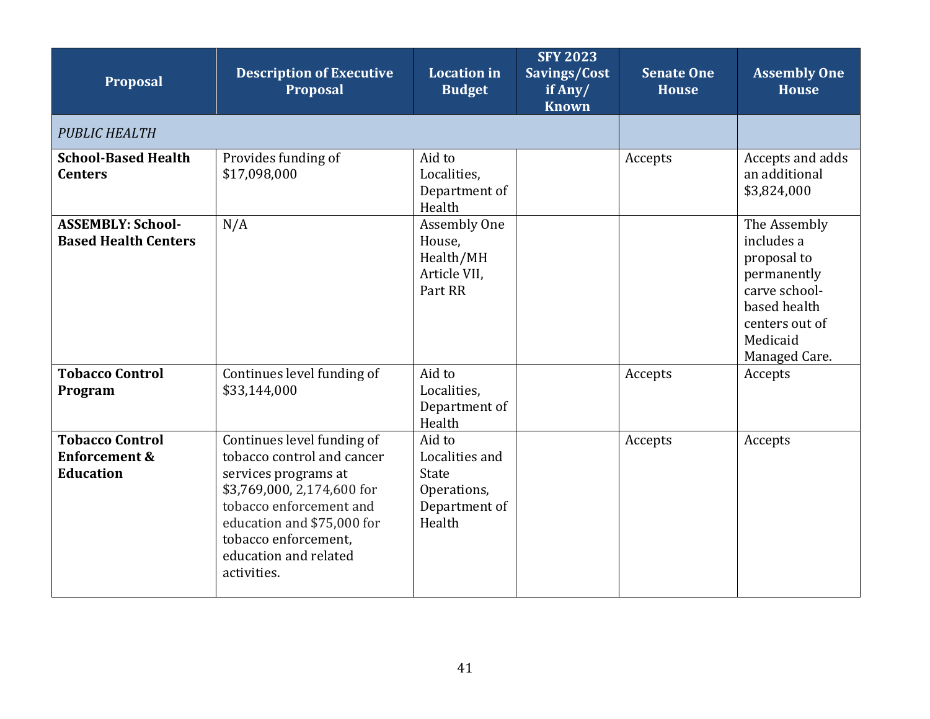<span id="page-40-0"></span>

| <b>Proposal</b>                                                        | <b>Description of Executive</b><br><b>Proposal</b>                                                                                                                                                                                      | <b>Location</b> in<br><b>Budget</b>                                         | <b>SFY 2023</b><br>Savings/Cost<br>if Any/<br><b>Known</b> | <b>Senate One</b><br><b>House</b> | <b>Assembly One</b><br><b>House</b>                                                                                                      |
|------------------------------------------------------------------------|-----------------------------------------------------------------------------------------------------------------------------------------------------------------------------------------------------------------------------------------|-----------------------------------------------------------------------------|------------------------------------------------------------|-----------------------------------|------------------------------------------------------------------------------------------------------------------------------------------|
| <b>PUBLIC HEALTH</b>                                                   |                                                                                                                                                                                                                                         |                                                                             |                                                            |                                   |                                                                                                                                          |
| <b>School-Based Health</b><br><b>Centers</b>                           | Provides funding of<br>\$17,098,000                                                                                                                                                                                                     | Aid to<br>Localities,<br>Department of<br>Health                            |                                                            | Accepts                           | Accepts and adds<br>an additional<br>\$3,824,000                                                                                         |
| <b>ASSEMBLY: School-</b><br><b>Based Health Centers</b>                | N/A                                                                                                                                                                                                                                     | Assembly One<br>House,<br>Health/MH<br>Article VII,<br>Part RR              |                                                            |                                   | The Assembly<br>includes a<br>proposal to<br>permanently<br>carve school-<br>based health<br>centers out of<br>Medicaid<br>Managed Care. |
| <b>Tobacco Control</b><br>Program                                      | Continues level funding of<br>\$33,144,000                                                                                                                                                                                              | Aid to<br>Localities,<br>Department of<br>Health                            |                                                            | Accepts                           | Accepts                                                                                                                                  |
| <b>Tobacco Control</b><br><b>Enforcement &amp;</b><br><b>Education</b> | Continues level funding of<br>tobacco control and cancer<br>services programs at<br>\$3,769,000, 2,174,600 for<br>tobacco enforcement and<br>education and \$75,000 for<br>tobacco enforcement,<br>education and related<br>activities. | Aid to<br>Localities and<br>State<br>Operations,<br>Department of<br>Health |                                                            | Accepts                           | Accepts                                                                                                                                  |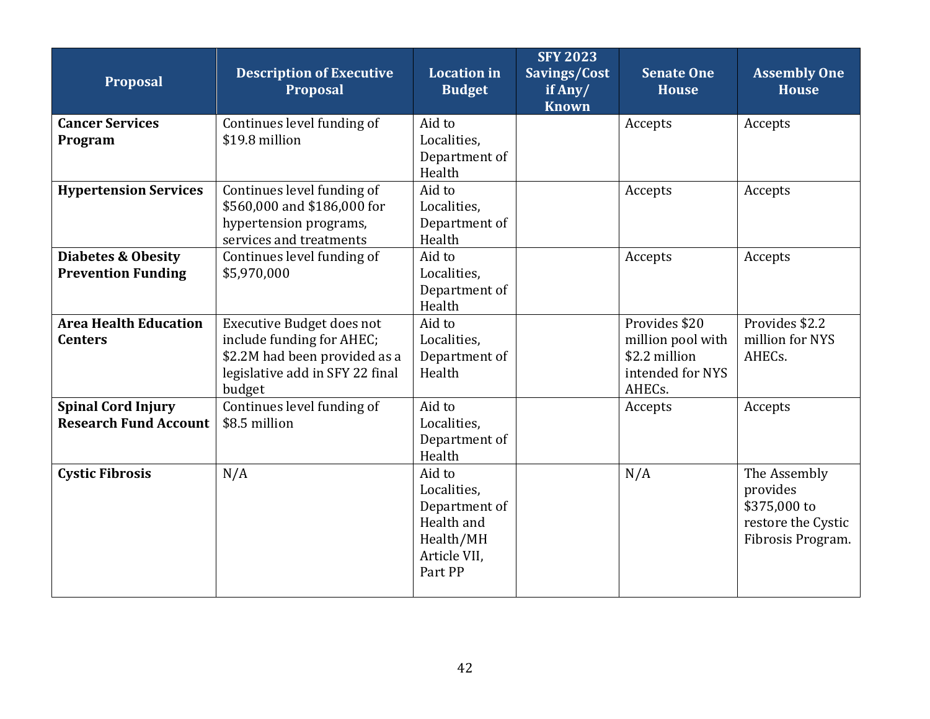| Proposal                      | <b>Description of Executive</b><br><b>Proposal</b> | <b>Location in</b><br><b>Budget</b> | <b>SFY 2023</b><br>Savings/Cost<br>if Any/<br><b>Known</b> | <b>Senate One</b><br><b>House</b> | <b>Assembly One</b><br><b>House</b> |
|-------------------------------|----------------------------------------------------|-------------------------------------|------------------------------------------------------------|-----------------------------------|-------------------------------------|
| <b>Cancer Services</b>        | Continues level funding of                         | Aid to                              |                                                            | Accepts                           | Accepts                             |
| Program                       | \$19.8 million                                     | Localities,                         |                                                            |                                   |                                     |
|                               |                                                    | Department of                       |                                                            |                                   |                                     |
|                               |                                                    | Health                              |                                                            |                                   |                                     |
| <b>Hypertension Services</b>  | Continues level funding of                         | Aid to                              |                                                            | Accepts                           | Accepts                             |
|                               | \$560,000 and \$186,000 for                        | Localities,                         |                                                            |                                   |                                     |
|                               | hypertension programs,                             | Department of                       |                                                            |                                   |                                     |
|                               | services and treatments                            | Health                              |                                                            |                                   |                                     |
| <b>Diabetes &amp; Obesity</b> | Continues level funding of                         | Aid to                              |                                                            | Accepts                           | Accepts                             |
| <b>Prevention Funding</b>     | \$5,970,000                                        | Localities,                         |                                                            |                                   |                                     |
|                               |                                                    | Department of<br>Health             |                                                            |                                   |                                     |
| <b>Area Health Education</b>  | Executive Budget does not                          | Aid to                              |                                                            | Provides \$20                     | Provides \$2.2                      |
| <b>Centers</b>                | include funding for AHEC;                          | Localities,                         |                                                            | million pool with                 | million for NYS                     |
|                               | \$2.2M had been provided as a                      | Department of                       |                                                            | \$2.2 million                     | AHECs.                              |
|                               | legislative add in SFY 22 final                    | Health                              |                                                            | intended for NYS                  |                                     |
|                               | budget                                             |                                     |                                                            | AHECs.                            |                                     |
| <b>Spinal Cord Injury</b>     | Continues level funding of                         | Aid to                              |                                                            | Accepts                           | Accepts                             |
| <b>Research Fund Account</b>  | \$8.5 million                                      | Localities,                         |                                                            |                                   |                                     |
|                               |                                                    | Department of                       |                                                            |                                   |                                     |
|                               |                                                    | Health                              |                                                            |                                   |                                     |
| <b>Cystic Fibrosis</b>        | N/A                                                | Aid to                              |                                                            | N/A                               | The Assembly                        |
|                               |                                                    | Localities,                         |                                                            |                                   | provides                            |
|                               |                                                    | Department of                       |                                                            |                                   | \$375,000 to                        |
|                               |                                                    | Health and                          |                                                            |                                   | restore the Cystic                  |
|                               |                                                    | Health/MH                           |                                                            |                                   | Fibrosis Program.                   |
|                               |                                                    | Article VII,                        |                                                            |                                   |                                     |
|                               |                                                    | Part PP                             |                                                            |                                   |                                     |
|                               |                                                    |                                     |                                                            |                                   |                                     |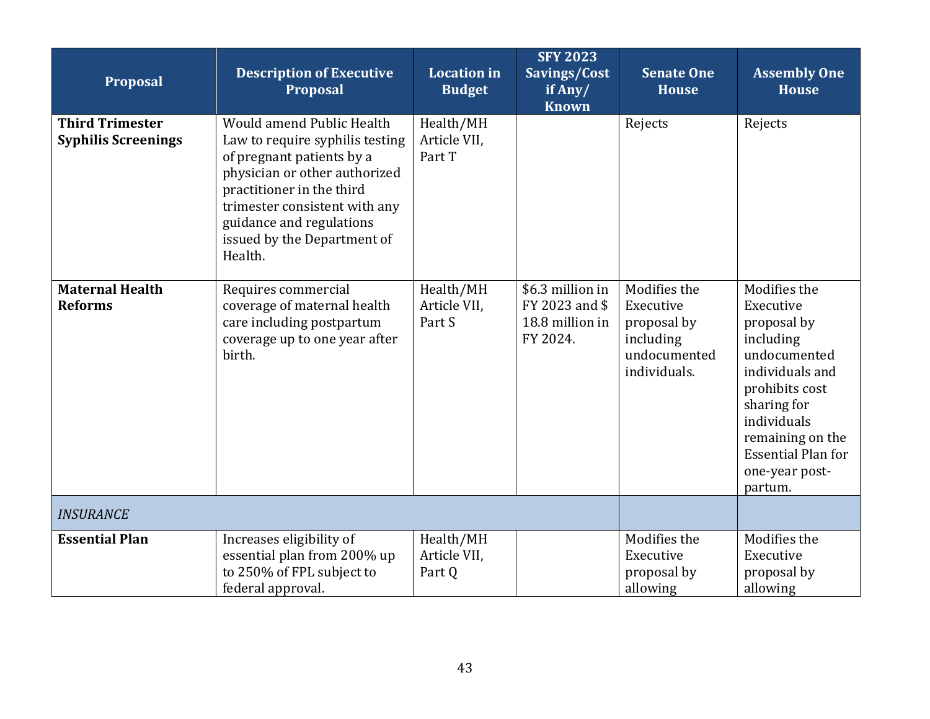<span id="page-42-0"></span>

| <b>Proposal</b>                                      | <b>Description of Executive</b><br><b>Proposal</b>                                                                                                                                                                                                             | <b>Location</b> in<br><b>Budget</b> | <b>SFY 2023</b><br>Savings/Cost<br>if Any/<br><b>Known</b>        | <b>Senate One</b><br><b>House</b>                                                     | <b>Assembly One</b><br><b>House</b>                                                                                                                                                                                    |
|------------------------------------------------------|----------------------------------------------------------------------------------------------------------------------------------------------------------------------------------------------------------------------------------------------------------------|-------------------------------------|-------------------------------------------------------------------|---------------------------------------------------------------------------------------|------------------------------------------------------------------------------------------------------------------------------------------------------------------------------------------------------------------------|
| <b>Third Trimester</b><br><b>Syphilis Screenings</b> | Would amend Public Health<br>Law to require syphilis testing<br>of pregnant patients by a<br>physician or other authorized<br>practitioner in the third<br>trimester consistent with any<br>guidance and regulations<br>issued by the Department of<br>Health. | Health/MH<br>Article VII,<br>Part T |                                                                   | Rejects                                                                               | Rejects                                                                                                                                                                                                                |
| <b>Maternal Health</b><br><b>Reforms</b>             | Requires commercial<br>coverage of maternal health<br>care including postpartum<br>coverage up to one year after<br>birth.                                                                                                                                     | Health/MH<br>Article VII,<br>Part S | \$6.3 million in<br>FY 2023 and \$<br>18.8 million in<br>FY 2024. | Modifies the<br>Executive<br>proposal by<br>including<br>undocumented<br>individuals. | Modifies the<br>Executive<br>proposal by<br>including<br>undocumented<br>individuals and<br>prohibits cost<br>sharing for<br>individuals<br>remaining on the<br><b>Essential Plan for</b><br>one-year post-<br>partum. |
| <b>INSURANCE</b>                                     |                                                                                                                                                                                                                                                                |                                     |                                                                   |                                                                                       |                                                                                                                                                                                                                        |
| <b>Essential Plan</b>                                | Increases eligibility of<br>essential plan from 200% up<br>to 250% of FPL subject to<br>federal approval.                                                                                                                                                      | Health/MH<br>Article VII.<br>Part Q |                                                                   | Modifies the<br>Executive<br>proposal by<br>allowing                                  | Modifies the<br>Executive<br>proposal by<br>allowing                                                                                                                                                                   |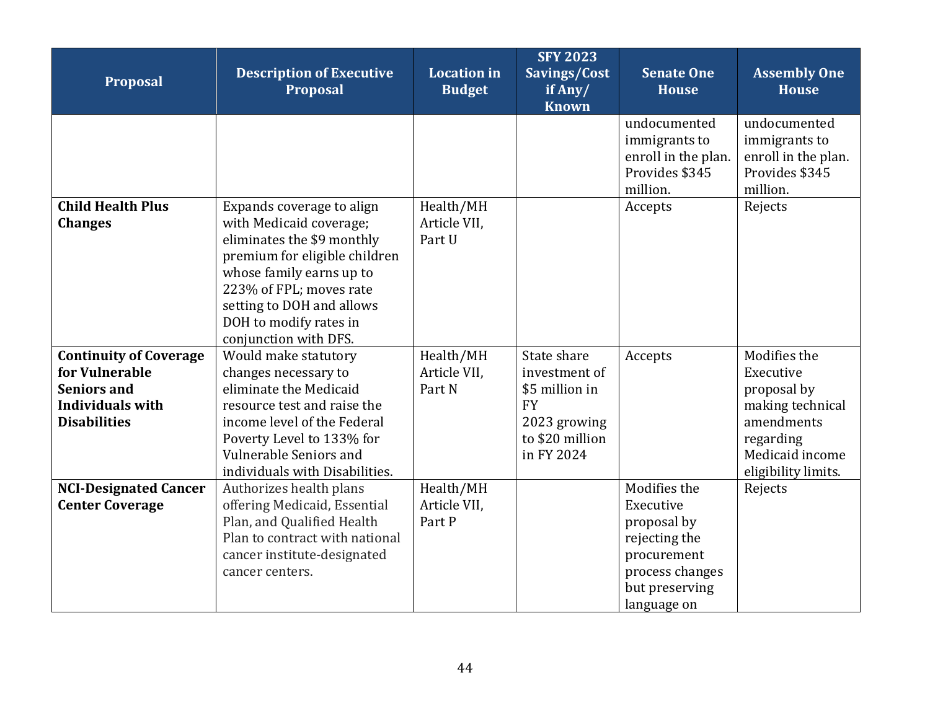| Proposal                                                                                                         | <b>Description of Executive</b><br>Proposal                                                                                                                                                                                                                | <b>Location</b> in<br><b>Budget</b> | <b>SFY 2023</b><br>Savings/Cost<br>if Any/<br><b>Known</b>                                                   | <b>Senate One</b><br><b>House</b>                                                                                            | <b>Assembly One</b><br><b>House</b>                                                                                               |
|------------------------------------------------------------------------------------------------------------------|------------------------------------------------------------------------------------------------------------------------------------------------------------------------------------------------------------------------------------------------------------|-------------------------------------|--------------------------------------------------------------------------------------------------------------|------------------------------------------------------------------------------------------------------------------------------|-----------------------------------------------------------------------------------------------------------------------------------|
|                                                                                                                  |                                                                                                                                                                                                                                                            |                                     |                                                                                                              | undocumented<br>immigrants to<br>enroll in the plan.<br>Provides \$345<br>million.                                           | undocumented<br>immigrants to<br>enroll in the plan.<br>Provides \$345<br>million.                                                |
| <b>Child Health Plus</b><br><b>Changes</b>                                                                       | Expands coverage to align<br>with Medicaid coverage;<br>eliminates the \$9 monthly<br>premium for eligible children<br>whose family earns up to<br>223% of FPL; moves rate<br>setting to DOH and allows<br>DOH to modify rates in<br>conjunction with DFS. | Health/MH<br>Article VII,<br>Part U |                                                                                                              | Accepts                                                                                                                      | Rejects                                                                                                                           |
| <b>Continuity of Coverage</b><br>for Vulnerable<br><b>Seniors and</b><br>Individuals with<br><b>Disabilities</b> | Would make statutory<br>changes necessary to<br>eliminate the Medicaid<br>resource test and raise the<br>income level of the Federal<br>Poverty Level to 133% for<br>Vulnerable Seniors and<br>individuals with Disabilities.                              | Health/MH<br>Article VII.<br>Part N | State share<br>investment of<br>\$5 million in<br><b>FY</b><br>2023 growing<br>to \$20 million<br>in FY 2024 | Accepts                                                                                                                      | Modifies the<br>Executive<br>proposal by<br>making technical<br>amendments<br>regarding<br>Medicaid income<br>eligibility limits. |
| <b>NCI-Designated Cancer</b><br><b>Center Coverage</b>                                                           | Authorizes health plans<br>offering Medicaid, Essential<br>Plan, and Qualified Health<br>Plan to contract with national<br>cancer institute-designated<br>cancer centers.                                                                                  | Health/MH<br>Article VII,<br>Part P |                                                                                                              | Modifies the<br>Executive<br>proposal by<br>rejecting the<br>procurement<br>process changes<br>but preserving<br>language on | Rejects                                                                                                                           |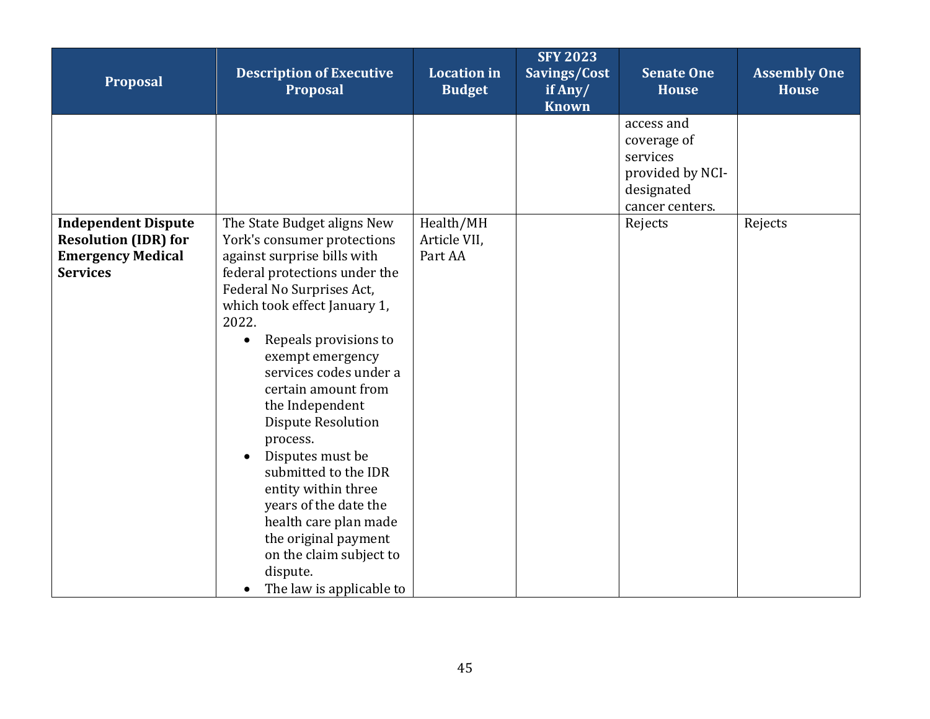| Proposal                                                                                                 | <b>Description of Executive</b><br>Proposal                                                                                                                                                                                                                                                                                                                                                                                                                                                                                                                                             | <b>Location</b> in<br><b>Budget</b>  | <b>SFY 2023</b><br>Savings/Cost<br>if Any/<br><b>Known</b> | <b>Senate One</b><br><b>House</b>                                                          | <b>Assembly One</b><br><b>House</b> |
|----------------------------------------------------------------------------------------------------------|-----------------------------------------------------------------------------------------------------------------------------------------------------------------------------------------------------------------------------------------------------------------------------------------------------------------------------------------------------------------------------------------------------------------------------------------------------------------------------------------------------------------------------------------------------------------------------------------|--------------------------------------|------------------------------------------------------------|--------------------------------------------------------------------------------------------|-------------------------------------|
|                                                                                                          |                                                                                                                                                                                                                                                                                                                                                                                                                                                                                                                                                                                         |                                      |                                                            | access and<br>coverage of<br>services<br>provided by NCI-<br>designated<br>cancer centers. |                                     |
| <b>Independent Dispute</b><br><b>Resolution (IDR) for</b><br><b>Emergency Medical</b><br><b>Services</b> | The State Budget aligns New<br>York's consumer protections<br>against surprise bills with<br>federal protections under the<br>Federal No Surprises Act,<br>which took effect January 1,<br>2022.<br>Repeals provisions to<br>$\bullet$<br>exempt emergency<br>services codes under a<br>certain amount from<br>the Independent<br><b>Dispute Resolution</b><br>process.<br>Disputes must be<br>submitted to the IDR<br>entity within three<br>years of the date the<br>health care plan made<br>the original payment<br>on the claim subject to<br>dispute.<br>The law is applicable to | Health/MH<br>Article VII,<br>Part AA |                                                            | Rejects                                                                                    | Rejects                             |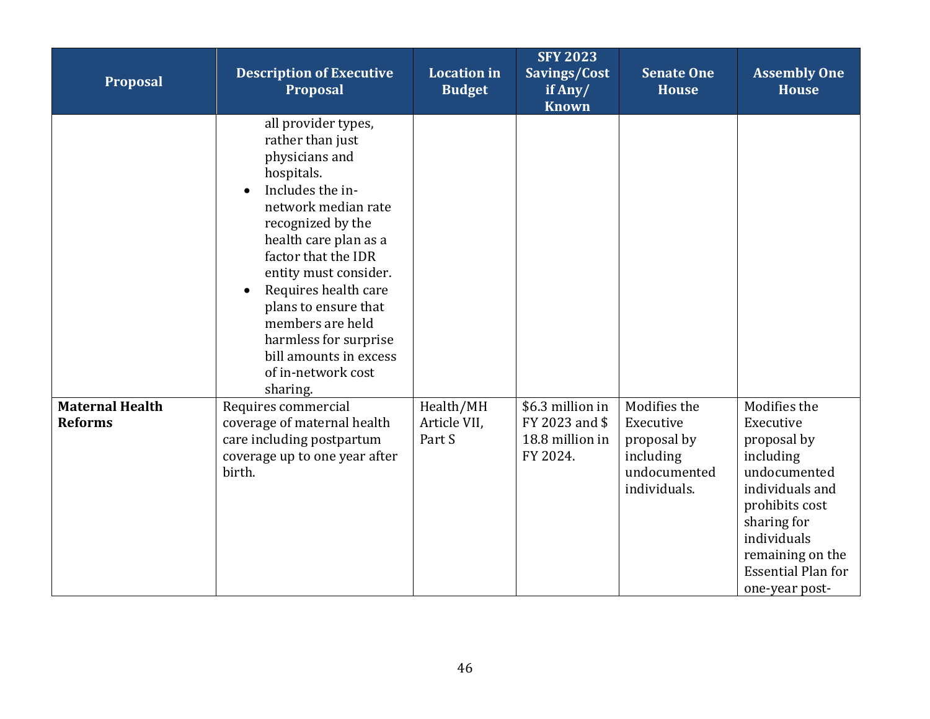| Proposal                                 | <b>Description of Executive</b><br><b>Proposal</b>                                                                                                                                                                                                                                                                                                                        | <b>Location</b> in<br><b>Budget</b> | <b>SFY 2023</b><br>Savings/Cost<br>if Any/<br><b>Known</b>        | <b>Senate One</b><br><b>House</b>                                                     | <b>Assembly One</b><br><b>House</b>                                                                                                                                                                         |
|------------------------------------------|---------------------------------------------------------------------------------------------------------------------------------------------------------------------------------------------------------------------------------------------------------------------------------------------------------------------------------------------------------------------------|-------------------------------------|-------------------------------------------------------------------|---------------------------------------------------------------------------------------|-------------------------------------------------------------------------------------------------------------------------------------------------------------------------------------------------------------|
|                                          | all provider types,<br>rather than just<br>physicians and<br>hospitals.<br>Includes the in-<br>network median rate<br>recognized by the<br>health care plan as a<br>factor that the IDR<br>entity must consider.<br>Requires health care<br>plans to ensure that<br>members are held<br>harmless for surprise<br>bill amounts in excess<br>of in-network cost<br>sharing. |                                     |                                                                   |                                                                                       |                                                                                                                                                                                                             |
| <b>Maternal Health</b><br><b>Reforms</b> | Requires commercial<br>coverage of maternal health<br>care including postpartum<br>coverage up to one year after<br>birth.                                                                                                                                                                                                                                                | Health/MH<br>Article VII,<br>Part S | \$6.3 million in<br>FY 2023 and \$<br>18.8 million in<br>FY 2024. | Modifies the<br>Executive<br>proposal by<br>including<br>undocumented<br>individuals. | Modifies the<br>Executive<br>proposal by<br>including<br>undocumented<br>individuals and<br>prohibits cost<br>sharing for<br>individuals<br>remaining on the<br><b>Essential Plan for</b><br>one-year post- |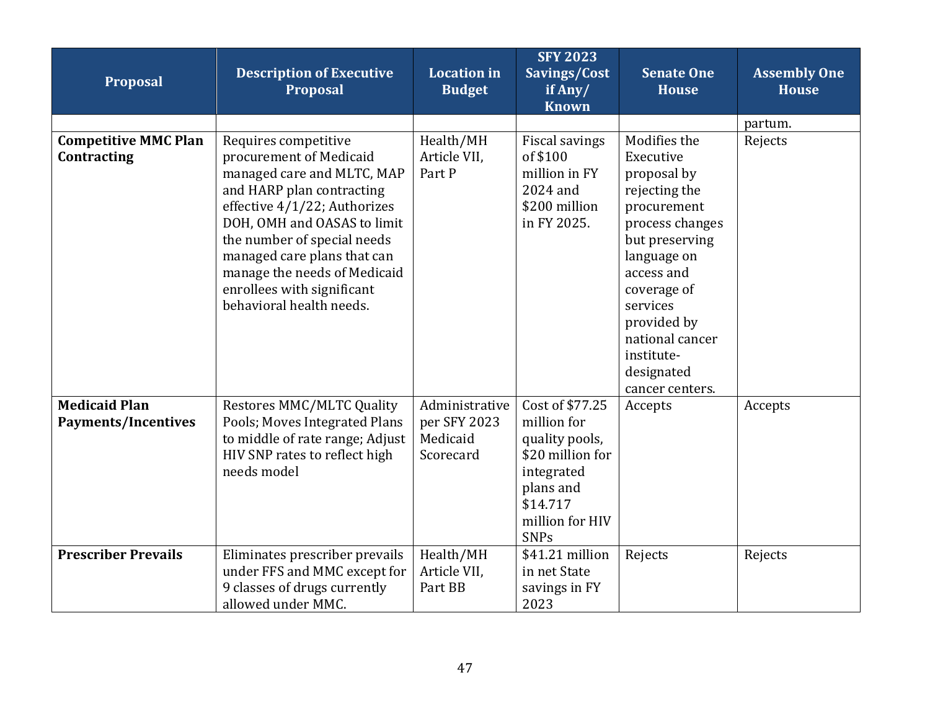| Proposal                                   | <b>Description of Executive</b><br>Proposal                                                                                                                                                                                                                                                                                       | <b>Location</b> in<br><b>Budget</b> | <b>SFY 2023</b><br>Savings/Cost<br>if Any/<br><b>Known</b>                                     | <b>Senate One</b><br><b>House</b>                                                                                                                                                                                                                      | <b>Assembly One</b><br><b>House</b> |
|--------------------------------------------|-----------------------------------------------------------------------------------------------------------------------------------------------------------------------------------------------------------------------------------------------------------------------------------------------------------------------------------|-------------------------------------|------------------------------------------------------------------------------------------------|--------------------------------------------------------------------------------------------------------------------------------------------------------------------------------------------------------------------------------------------------------|-------------------------------------|
|                                            |                                                                                                                                                                                                                                                                                                                                   |                                     |                                                                                                |                                                                                                                                                                                                                                                        | partum.                             |
| <b>Competitive MMC Plan</b><br>Contracting | Requires competitive<br>procurement of Medicaid<br>managed care and MLTC, MAP<br>and HARP plan contracting<br>effective 4/1/22; Authorizes<br>DOH, OMH and OASAS to limit<br>the number of special needs<br>managed care plans that can<br>manage the needs of Medicaid<br>enrollees with significant<br>behavioral health needs. | Health/MH<br>Article VII,<br>Part P | <b>Fiscal savings</b><br>of \$100<br>million in FY<br>2024 and<br>\$200 million<br>in FY 2025. | Modifies the<br>Executive<br>proposal by<br>rejecting the<br>procurement<br>process changes<br>but preserving<br>language on<br>access and<br>coverage of<br>services<br>provided by<br>national cancer<br>institute-<br>designated<br>cancer centers. | Rejects                             |
| <b>Medicaid Plan</b>                       | <b>Restores MMC/MLTC Quality</b>                                                                                                                                                                                                                                                                                                  | Administrative                      | Cost of \$77.25                                                                                | Accepts                                                                                                                                                                                                                                                | Accepts                             |
| <b>Payments/Incentives</b>                 | Pools; Moves Integrated Plans                                                                                                                                                                                                                                                                                                     | per SFY 2023                        | million for                                                                                    |                                                                                                                                                                                                                                                        |                                     |
|                                            | to middle of rate range; Adjust                                                                                                                                                                                                                                                                                                   | Medicaid                            | quality pools,                                                                                 |                                                                                                                                                                                                                                                        |                                     |
|                                            | HIV SNP rates to reflect high<br>needs model                                                                                                                                                                                                                                                                                      | Scorecard                           | \$20 million for<br>integrated                                                                 |                                                                                                                                                                                                                                                        |                                     |
|                                            |                                                                                                                                                                                                                                                                                                                                   |                                     | plans and                                                                                      |                                                                                                                                                                                                                                                        |                                     |
|                                            |                                                                                                                                                                                                                                                                                                                                   |                                     | \$14.717                                                                                       |                                                                                                                                                                                                                                                        |                                     |
|                                            |                                                                                                                                                                                                                                                                                                                                   |                                     | million for HIV                                                                                |                                                                                                                                                                                                                                                        |                                     |
|                                            |                                                                                                                                                                                                                                                                                                                                   |                                     | <b>SNPs</b>                                                                                    |                                                                                                                                                                                                                                                        |                                     |
| <b>Prescriber Prevails</b>                 | Eliminates prescriber prevails<br>under FFS and MMC except for                                                                                                                                                                                                                                                                    | Health/MH<br>Article VII,           | \$41.21 million<br>in net State                                                                | Rejects                                                                                                                                                                                                                                                | Rejects                             |
|                                            | 9 classes of drugs currently                                                                                                                                                                                                                                                                                                      | Part BB                             | savings in FY                                                                                  |                                                                                                                                                                                                                                                        |                                     |
|                                            | allowed under MMC.                                                                                                                                                                                                                                                                                                                |                                     | 2023                                                                                           |                                                                                                                                                                                                                                                        |                                     |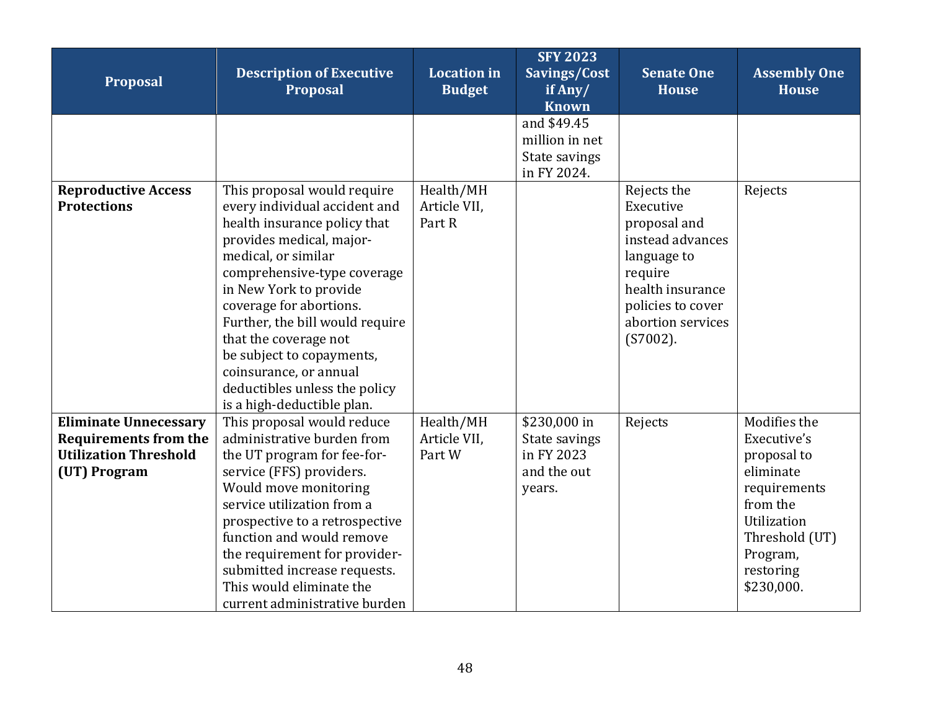| Proposal                                                                                                     | <b>Description of Executive</b><br>Proposal                                                                                                                                                                                                                                                                                                                                                                           | <b>Location in</b><br><b>Budget</b> | <b>SFY 2023</b><br>Savings/Cost<br>if Any/<br><b>Known</b>           | <b>Senate One</b><br><b>House</b>                                                                                                                                   | <b>Assembly One</b><br><b>House</b>                                                                                                                         |
|--------------------------------------------------------------------------------------------------------------|-----------------------------------------------------------------------------------------------------------------------------------------------------------------------------------------------------------------------------------------------------------------------------------------------------------------------------------------------------------------------------------------------------------------------|-------------------------------------|----------------------------------------------------------------------|---------------------------------------------------------------------------------------------------------------------------------------------------------------------|-------------------------------------------------------------------------------------------------------------------------------------------------------------|
|                                                                                                              |                                                                                                                                                                                                                                                                                                                                                                                                                       |                                     | and \$49.45<br>million in net<br>State savings<br>in FY 2024.        |                                                                                                                                                                     |                                                                                                                                                             |
| <b>Reproductive Access</b><br><b>Protections</b>                                                             | This proposal would require<br>every individual accident and<br>health insurance policy that<br>provides medical, major-<br>medical, or similar<br>comprehensive-type coverage<br>in New York to provide<br>coverage for abortions.<br>Further, the bill would require<br>that the coverage not<br>be subject to copayments,<br>coinsurance, or annual<br>deductibles unless the policy<br>is a high-deductible plan. | Health/MH<br>Article VII,<br>Part R |                                                                      | Rejects the<br>Executive<br>proposal and<br>instead advances<br>language to<br>require<br>health insurance<br>policies to cover<br>abortion services<br>$(S7002)$ . | Rejects                                                                                                                                                     |
| <b>Eliminate Unnecessary</b><br><b>Requirements from the</b><br><b>Utilization Threshold</b><br>(UT) Program | This proposal would reduce<br>administrative burden from<br>the UT program for fee-for-<br>service (FFS) providers.<br>Would move monitoring<br>service utilization from a<br>prospective to a retrospective<br>function and would remove<br>the requirement for provider-<br>submitted increase requests.<br>This would eliminate the<br>current administrative burden                                               | Health/MH<br>Article VII.<br>Part W | \$230,000 in<br>State savings<br>in FY 2023<br>and the out<br>years. | Rejects                                                                                                                                                             | Modifies the<br>Executive's<br>proposal to<br>eliminate<br>requirements<br>from the<br>Utilization<br>Threshold (UT)<br>Program,<br>restoring<br>\$230,000. |